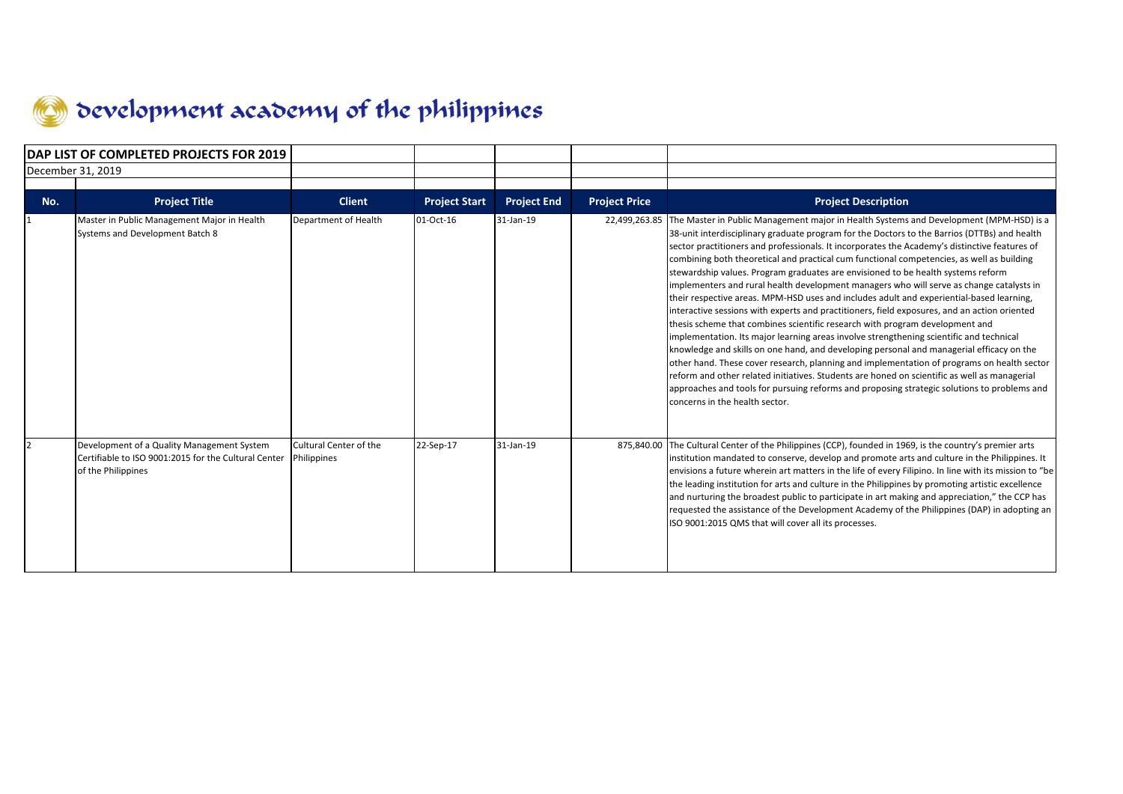

| DAP LIST OF COMPLETED PROJECTS FOR 2019 |                                                                                                                          |                                       |                      |                    |                      |                                                                                                                                                                                                                                                                                                                                                                                                                                                                                                                                                                                                                                                                                                                                                                                                                                                                                                                                                                                                                                                                                                                                                                                                                                                                                                                                                                                      |
|-----------------------------------------|--------------------------------------------------------------------------------------------------------------------------|---------------------------------------|----------------------|--------------------|----------------------|--------------------------------------------------------------------------------------------------------------------------------------------------------------------------------------------------------------------------------------------------------------------------------------------------------------------------------------------------------------------------------------------------------------------------------------------------------------------------------------------------------------------------------------------------------------------------------------------------------------------------------------------------------------------------------------------------------------------------------------------------------------------------------------------------------------------------------------------------------------------------------------------------------------------------------------------------------------------------------------------------------------------------------------------------------------------------------------------------------------------------------------------------------------------------------------------------------------------------------------------------------------------------------------------------------------------------------------------------------------------------------------|
|                                         | December 31, 2019                                                                                                        |                                       |                      |                    |                      |                                                                                                                                                                                                                                                                                                                                                                                                                                                                                                                                                                                                                                                                                                                                                                                                                                                                                                                                                                                                                                                                                                                                                                                                                                                                                                                                                                                      |
|                                         |                                                                                                                          |                                       |                      |                    |                      |                                                                                                                                                                                                                                                                                                                                                                                                                                                                                                                                                                                                                                                                                                                                                                                                                                                                                                                                                                                                                                                                                                                                                                                                                                                                                                                                                                                      |
| No.                                     | <b>Project Title</b>                                                                                                     | <b>Client</b>                         | <b>Project Start</b> | <b>Project End</b> | <b>Project Price</b> | <b>Project Description</b>                                                                                                                                                                                                                                                                                                                                                                                                                                                                                                                                                                                                                                                                                                                                                                                                                                                                                                                                                                                                                                                                                                                                                                                                                                                                                                                                                           |
|                                         | Master in Public Management Major in Health<br>Systems and Development Batch 8                                           | Department of Health                  | 01-Oct-16            | 31-Jan-19          |                      | 22,499,263.85 The Master in Public Management major in Health Systems and Development (MPM-HSD) is a<br>38-unit interdisciplinary graduate program for the Doctors to the Barrios (DTTBs) and health<br>sector practitioners and professionals. It incorporates the Academy's distinctive features of<br>combining both theoretical and practical cum functional competencies, as well as building<br>stewardship values. Program graduates are envisioned to be health systems reform<br>implementers and rural health development managers who will serve as change catalysts in<br>their respective areas. MPM-HSD uses and includes adult and experiential-based learning,<br>interactive sessions with experts and practitioners, field exposures, and an action oriented<br>thesis scheme that combines scientific research with program development and<br>implementation. Its major learning areas involve strengthening scientific and technical<br>knowledge and skills on one hand, and developing personal and managerial efficacy on the<br>other hand. These cover research, planning and implementation of programs on health sector<br>reform and other related initiatives. Students are honed on scientific as well as managerial<br>approaches and tools for pursuing reforms and proposing strategic solutions to problems and<br>concerns in the health sector. |
|                                         | Development of a Quality Management System<br>Certifiable to ISO 9001:2015 for the Cultural Center<br>of the Philippines | Cultural Center of the<br>Philippines | 22-Sep-17            | 31-Jan-19          |                      | 875,840.00 The Cultural Center of the Philippines (CCP), founded in 1969, is the country's premier arts<br>institution mandated to conserve, develop and promote arts and culture in the Philippines. It<br>envisions a future wherein art matters in the life of every Filipino. In line with its mission to "be<br>the leading institution for arts and culture in the Philippines by promoting artistic excellence<br>and nurturing the broadest public to participate in art making and appreciation," the CCP has<br>requested the assistance of the Development Academy of the Philippines (DAP) in adopting an<br>ISO 9001:2015 QMS that will cover all its processes.                                                                                                                                                                                                                                                                                                                                                                                                                                                                                                                                                                                                                                                                                                        |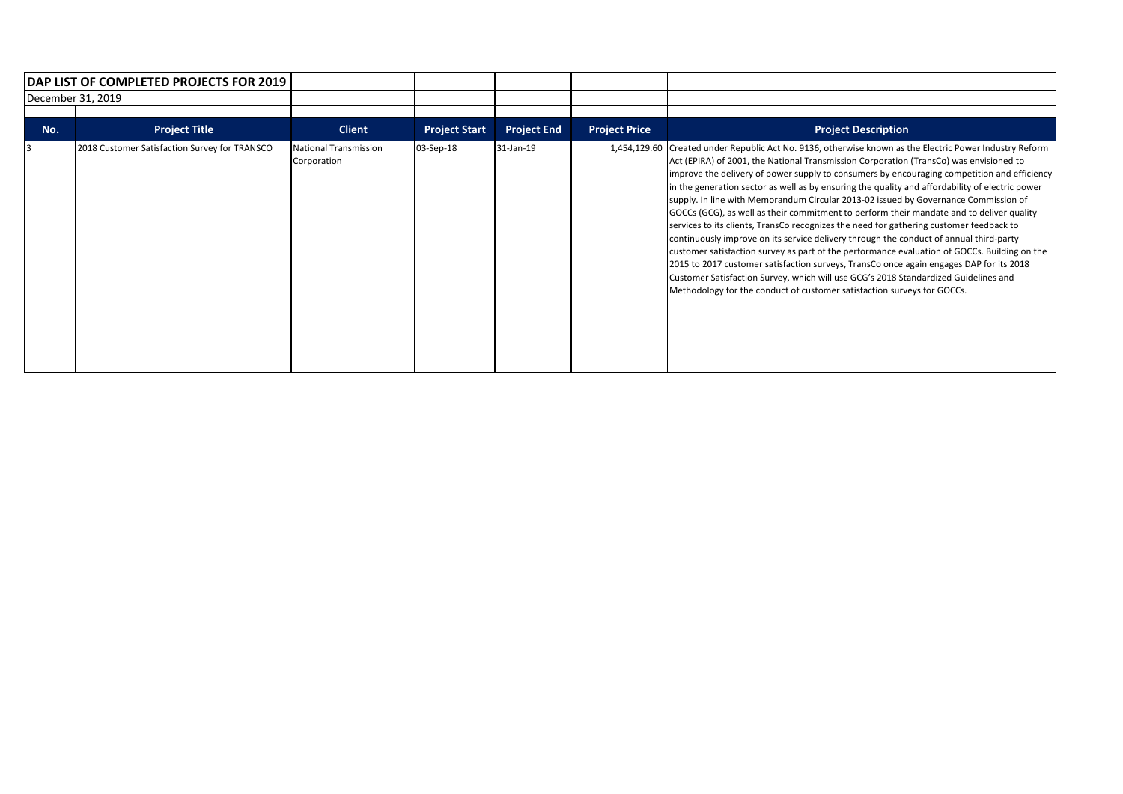|                   | DAP LIST OF COMPLETED PROJECTS FOR 2019       |                                      |                      |                    |                      |                                                                                                                                                                                                                                                                                                                                                                                                                                                                                                                                                                                                                                                                                                                                                                                                                                                                                                                                                                                                                                                                                                                                          |
|-------------------|-----------------------------------------------|--------------------------------------|----------------------|--------------------|----------------------|------------------------------------------------------------------------------------------------------------------------------------------------------------------------------------------------------------------------------------------------------------------------------------------------------------------------------------------------------------------------------------------------------------------------------------------------------------------------------------------------------------------------------------------------------------------------------------------------------------------------------------------------------------------------------------------------------------------------------------------------------------------------------------------------------------------------------------------------------------------------------------------------------------------------------------------------------------------------------------------------------------------------------------------------------------------------------------------------------------------------------------------|
| December 31, 2019 |                                               |                                      |                      |                    |                      |                                                                                                                                                                                                                                                                                                                                                                                                                                                                                                                                                                                                                                                                                                                                                                                                                                                                                                                                                                                                                                                                                                                                          |
|                   |                                               |                                      |                      |                    |                      |                                                                                                                                                                                                                                                                                                                                                                                                                                                                                                                                                                                                                                                                                                                                                                                                                                                                                                                                                                                                                                                                                                                                          |
| No.               | Project Title                                 | <b>Client</b>                        | <b>Project Start</b> | <b>Project End</b> | <b>Project Price</b> | <b>Project Description</b>                                                                                                                                                                                                                                                                                                                                                                                                                                                                                                                                                                                                                                                                                                                                                                                                                                                                                                                                                                                                                                                                                                               |
|                   | 2018 Customer Satisfaction Survey for TRANSCO | National Transmission<br>Corporation | 03-Sep-18            | 31-Jan-19          |                      | 1,454,129.60 Created under Republic Act No. 9136, otherwise known as the Electric Power Industry Reform<br>Act (EPIRA) of 2001, the National Transmission Corporation (TransCo) was envisioned to<br>improve the delivery of power supply to consumers by encouraging competition and efficiency<br>in the generation sector as well as by ensuring the quality and affordability of electric power<br>supply. In line with Memorandum Circular 2013-02 issued by Governance Commission of<br>GOCCs (GCG), as well as their commitment to perform their mandate and to deliver quality<br>services to its clients, TransCo recognizes the need for gathering customer feedback to<br>continuously improve on its service delivery through the conduct of annual third-party<br>customer satisfaction survey as part of the performance evaluation of GOCCs. Building on the<br>2015 to 2017 customer satisfaction surveys, TransCo once again engages DAP for its 2018<br>Customer Satisfaction Survey, which will use GCG's 2018 Standardized Guidelines and<br>Methodology for the conduct of customer satisfaction surveys for GOCCs. |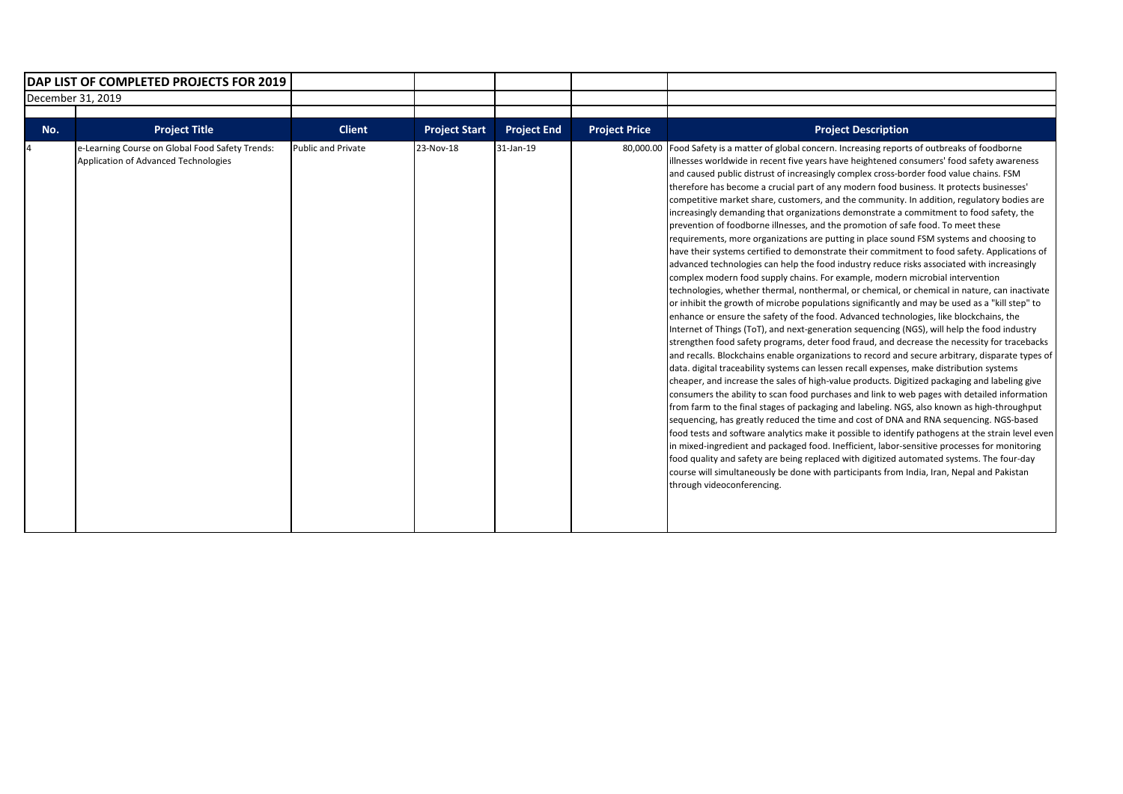|     | <b>IDAP LIST OF COMPLETED PROJECTS FOR 2019</b>                                         |                           |                      |                    |                      |                                                                                                                                                                                                                                                                                                                                                                                                                                                                                                                                                                                                                                                                                                                                                                                                                                                                                                                                                                                                                                                                                                                                                                                                                                                                                                                                                                                                                                                                                                                                                                                                                                                                                                                                                                                                                                                                                                                                                                                                                                                                                                                                                                                                                                                                                                                                                                                                                                                                                                                                                     |
|-----|-----------------------------------------------------------------------------------------|---------------------------|----------------------|--------------------|----------------------|-----------------------------------------------------------------------------------------------------------------------------------------------------------------------------------------------------------------------------------------------------------------------------------------------------------------------------------------------------------------------------------------------------------------------------------------------------------------------------------------------------------------------------------------------------------------------------------------------------------------------------------------------------------------------------------------------------------------------------------------------------------------------------------------------------------------------------------------------------------------------------------------------------------------------------------------------------------------------------------------------------------------------------------------------------------------------------------------------------------------------------------------------------------------------------------------------------------------------------------------------------------------------------------------------------------------------------------------------------------------------------------------------------------------------------------------------------------------------------------------------------------------------------------------------------------------------------------------------------------------------------------------------------------------------------------------------------------------------------------------------------------------------------------------------------------------------------------------------------------------------------------------------------------------------------------------------------------------------------------------------------------------------------------------------------------------------------------------------------------------------------------------------------------------------------------------------------------------------------------------------------------------------------------------------------------------------------------------------------------------------------------------------------------------------------------------------------------------------------------------------------------------------------------------------------|
|     | December 31, 2019                                                                       |                           |                      |                    |                      |                                                                                                                                                                                                                                                                                                                                                                                                                                                                                                                                                                                                                                                                                                                                                                                                                                                                                                                                                                                                                                                                                                                                                                                                                                                                                                                                                                                                                                                                                                                                                                                                                                                                                                                                                                                                                                                                                                                                                                                                                                                                                                                                                                                                                                                                                                                                                                                                                                                                                                                                                     |
| No. | <b>Project Title</b>                                                                    | <b>Client</b>             | <b>Project Start</b> | <b>Project End</b> | <b>Project Price</b> | <b>Project Description</b>                                                                                                                                                                                                                                                                                                                                                                                                                                                                                                                                                                                                                                                                                                                                                                                                                                                                                                                                                                                                                                                                                                                                                                                                                                                                                                                                                                                                                                                                                                                                                                                                                                                                                                                                                                                                                                                                                                                                                                                                                                                                                                                                                                                                                                                                                                                                                                                                                                                                                                                          |
|     | e-Learning Course on Global Food Safety Trends:<br>Application of Advanced Technologies | <b>Public and Private</b> | 23-Nov-18            | 31-Jan-19          | 80,000.00            | Food Safety is a matter of global concern. Increasing reports of outbreaks of foodborne<br>illnesses worldwide in recent five years have heightened consumers' food safety awareness<br>and caused public distrust of increasingly complex cross-border food value chains. FSM<br>therefore has become a crucial part of any modern food business. It protects businesses'<br>competitive market share, customers, and the community. In addition, regulatory bodies are<br>increasingly demanding that organizations demonstrate a commitment to food safety, the<br>prevention of foodborne illnesses, and the promotion of safe food. To meet these<br>requirements, more organizations are putting in place sound FSM systems and choosing to<br>have their systems certified to demonstrate their commitment to food safety. Applications of<br>advanced technologies can help the food industry reduce risks associated with increasingly<br>complex modern food supply chains. For example, modern microbial intervention<br>technologies, whether thermal, nonthermal, or chemical, or chemical in nature, can inactivate<br>or inhibit the growth of microbe populations significantly and may be used as a "kill step" to<br>enhance or ensure the safety of the food. Advanced technologies, like blockchains, the<br>Internet of Things (ToT), and next-generation sequencing (NGS), will help the food industry<br>strengthen food safety programs, deter food fraud, and decrease the necessity for tracebacks<br>and recalls. Blockchains enable organizations to record and secure arbitrary, disparate types of<br>data. digital traceability systems can lessen recall expenses, make distribution systems<br>cheaper, and increase the sales of high-value products. Digitized packaging and labeling give<br>consumers the ability to scan food purchases and link to web pages with detailed information<br>from farm to the final stages of packaging and labeling. NGS, also known as high-throughput<br>sequencing, has greatly reduced the time and cost of DNA and RNA sequencing. NGS-based<br>food tests and software analytics make it possible to identify pathogens at the strain level even<br>in mixed-ingredient and packaged food. Inefficient, labor-sensitive processes for monitoring<br>food quality and safety are being replaced with digitized automated systems. The four-day<br>course will simultaneously be done with participants from India, Iran, Nepal and Pakistan<br>through videoconferencing. |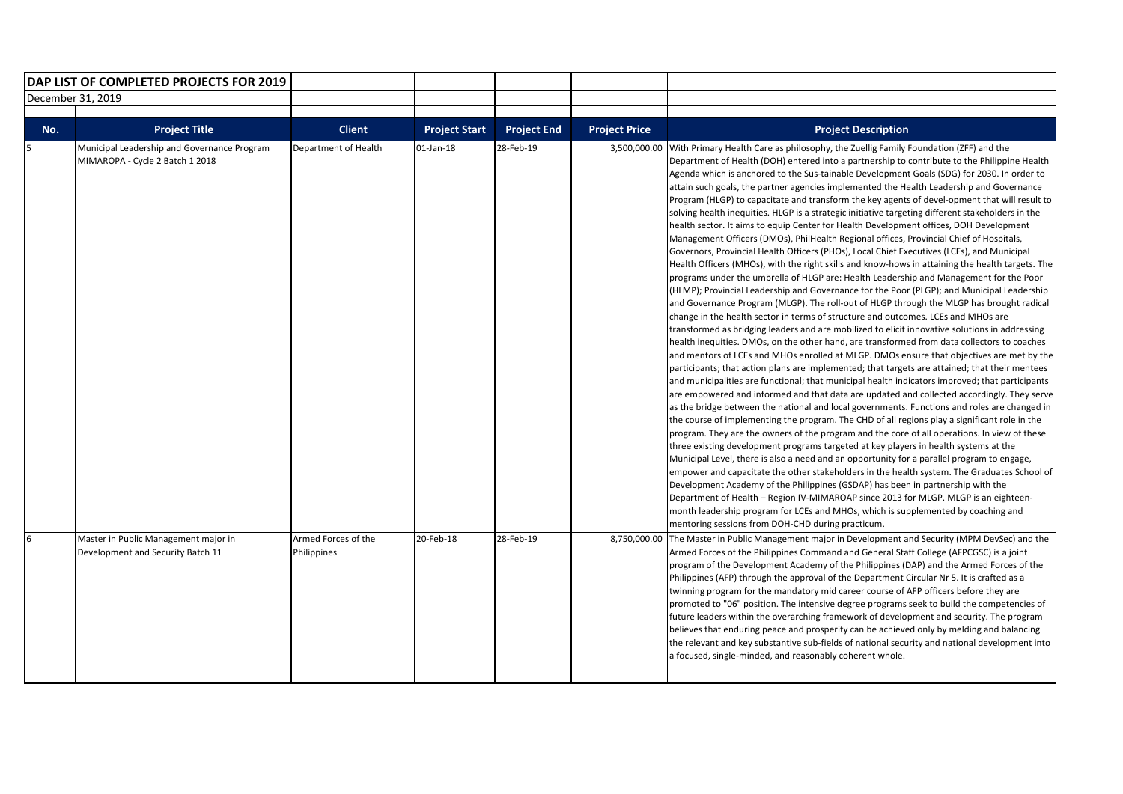|     | DAP LIST OF COMPLETED PROJECTS FOR 2019                                        |                             |                      |                    |                      |                                                                                                                                                                                                                                                                                                                                                                                                                                                                                                                                                                                                                                                                                                                                                                                                                                                                                                                                                                                                                                                                                                                                                                                                                                                                                                                                                                                                                                                                                                                                                                                                                                                                                                                                                                                                                                                                                                                                                                                                                                                                                                                                                                                                                                                                                                                                                                                                                                                                                                                                                                                                                                                                                                                                                                                                                                                                |
|-----|--------------------------------------------------------------------------------|-----------------------------|----------------------|--------------------|----------------------|----------------------------------------------------------------------------------------------------------------------------------------------------------------------------------------------------------------------------------------------------------------------------------------------------------------------------------------------------------------------------------------------------------------------------------------------------------------------------------------------------------------------------------------------------------------------------------------------------------------------------------------------------------------------------------------------------------------------------------------------------------------------------------------------------------------------------------------------------------------------------------------------------------------------------------------------------------------------------------------------------------------------------------------------------------------------------------------------------------------------------------------------------------------------------------------------------------------------------------------------------------------------------------------------------------------------------------------------------------------------------------------------------------------------------------------------------------------------------------------------------------------------------------------------------------------------------------------------------------------------------------------------------------------------------------------------------------------------------------------------------------------------------------------------------------------------------------------------------------------------------------------------------------------------------------------------------------------------------------------------------------------------------------------------------------------------------------------------------------------------------------------------------------------------------------------------------------------------------------------------------------------------------------------------------------------------------------------------------------------------------------------------------------------------------------------------------------------------------------------------------------------------------------------------------------------------------------------------------------------------------------------------------------------------------------------------------------------------------------------------------------------------------------------------------------------------------------------------------------------|
|     | December 31, 2019                                                              |                             |                      |                    |                      |                                                                                                                                                                                                                                                                                                                                                                                                                                                                                                                                                                                                                                                                                                                                                                                                                                                                                                                                                                                                                                                                                                                                                                                                                                                                                                                                                                                                                                                                                                                                                                                                                                                                                                                                                                                                                                                                                                                                                                                                                                                                                                                                                                                                                                                                                                                                                                                                                                                                                                                                                                                                                                                                                                                                                                                                                                                                |
|     |                                                                                |                             |                      |                    |                      |                                                                                                                                                                                                                                                                                                                                                                                                                                                                                                                                                                                                                                                                                                                                                                                                                                                                                                                                                                                                                                                                                                                                                                                                                                                                                                                                                                                                                                                                                                                                                                                                                                                                                                                                                                                                                                                                                                                                                                                                                                                                                                                                                                                                                                                                                                                                                                                                                                                                                                                                                                                                                                                                                                                                                                                                                                                                |
| No. | <b>Project Title</b>                                                           | <b>Client</b>               | <b>Project Start</b> | <b>Project End</b> | <b>Project Price</b> | <b>Project Description</b>                                                                                                                                                                                                                                                                                                                                                                                                                                                                                                                                                                                                                                                                                                                                                                                                                                                                                                                                                                                                                                                                                                                                                                                                                                                                                                                                                                                                                                                                                                                                                                                                                                                                                                                                                                                                                                                                                                                                                                                                                                                                                                                                                                                                                                                                                                                                                                                                                                                                                                                                                                                                                                                                                                                                                                                                                                     |
| 5   | Municipal Leadership and Governance Program<br>MIMAROPA - Cycle 2 Batch 1 2018 | <b>Department of Health</b> | $01$ -Jan-18         | 28-Feb-19          | 3,500,000.00         | With Primary Health Care as philosophy, the Zuellig Family Foundation (ZFF) and the<br>Department of Health (DOH) entered into a partnership to contribute to the Philippine Health<br>Agenda which is anchored to the Sus-tainable Development Goals (SDG) for 2030. In order to<br>attain such goals, the partner agencies implemented the Health Leadership and Governance<br>Program (HLGP) to capacitate and transform the key agents of devel-opment that will result to<br>solving health inequities. HLGP is a strategic initiative targeting different stakeholders in the<br>health sector. It aims to equip Center for Health Development offices, DOH Development<br>Management Officers (DMOs), PhilHealth Regional offices, Provincial Chief of Hospitals,<br>Governors, Provincial Health Officers (PHOs), Local Chief Executives (LCEs), and Municipal<br>Health Officers (MHOs), with the right skills and know-hows in attaining the health targets. The<br>programs under the umbrella of HLGP are: Health Leadership and Management for the Poor<br>(HLMP); Provincial Leadership and Governance for the Poor (PLGP); and Municipal Leadership<br>and Governance Program (MLGP). The roll-out of HLGP through the MLGP has brought radical<br>change in the health sector in terms of structure and outcomes. LCEs and MHOs are<br>transformed as bridging leaders and are mobilized to elicit innovative solutions in addressing<br>health inequities. DMOs, on the other hand, are transformed from data collectors to coaches<br>and mentors of LCEs and MHOs enrolled at MLGP. DMOs ensure that objectives are met by the<br>participants; that action plans are implemented; that targets are attained; that their mentees<br>and municipalities are functional; that municipal health indicators improved; that participants<br>are empowered and informed and that data are updated and collected accordingly. They serve<br>as the bridge between the national and local governments. Functions and roles are changed in<br>the course of implementing the program. The CHD of all regions play a significant role in the<br>program. They are the owners of the program and the core of all operations. In view of these<br>three existing development programs targeted at key players in health systems at the<br>Municipal Level, there is also a need and an opportunity for a parallel program to engage,<br>empower and capacitate the other stakeholders in the health system. The Graduates School of<br>Development Academy of the Philippines (GSDAP) has been in partnership with the<br>Department of Health - Region IV-MIMAROAP since 2013 for MLGP. MLGP is an eighteen-<br>month leadership program for LCEs and MHOs, which is supplemented by coaching and<br>mentoring sessions from DOH-CHD during practicum. |
| 6   | Master in Public Management major in                                           | Armed Forces of the         | 20-Feb-18            | 28-Feb-19          | 8,750,000.00         | The Master in Public Management major in Development and Security (MPM DevSec) and the                                                                                                                                                                                                                                                                                                                                                                                                                                                                                                                                                                                                                                                                                                                                                                                                                                                                                                                                                                                                                                                                                                                                                                                                                                                                                                                                                                                                                                                                                                                                                                                                                                                                                                                                                                                                                                                                                                                                                                                                                                                                                                                                                                                                                                                                                                                                                                                                                                                                                                                                                                                                                                                                                                                                                                         |
|     | Development and Security Batch 11                                              | Philippines                 |                      |                    |                      | Armed Forces of the Philippines Command and General Staff College (AFPCGSC) is a joint<br>program of the Development Academy of the Philippines (DAP) and the Armed Forces of the<br>Philippines (AFP) through the approval of the Department Circular Nr 5. It is crafted as a<br>twinning program for the mandatory mid career course of AFP officers before they are<br>promoted to "06" position. The intensive degree programs seek to build the competencies of<br>future leaders within the overarching framework of development and security. The program<br>believes that enduring peace and prosperity can be achieved only by melding and balancing<br>the relevant and key substantive sub-fields of national security and national development into<br>a focused, single-minded, and reasonably coherent whole.                                                                                                                                                                                                                                                                                                                                                                                                                                                                                                                                                                                                                                                                                                                                                                                                                                                                                                                                                                                                                                                                                                                                                                                                                                                                                                                                                                                                                                                                                                                                                                                                                                                                                                                                                                                                                                                                                                                                                                                                                                   |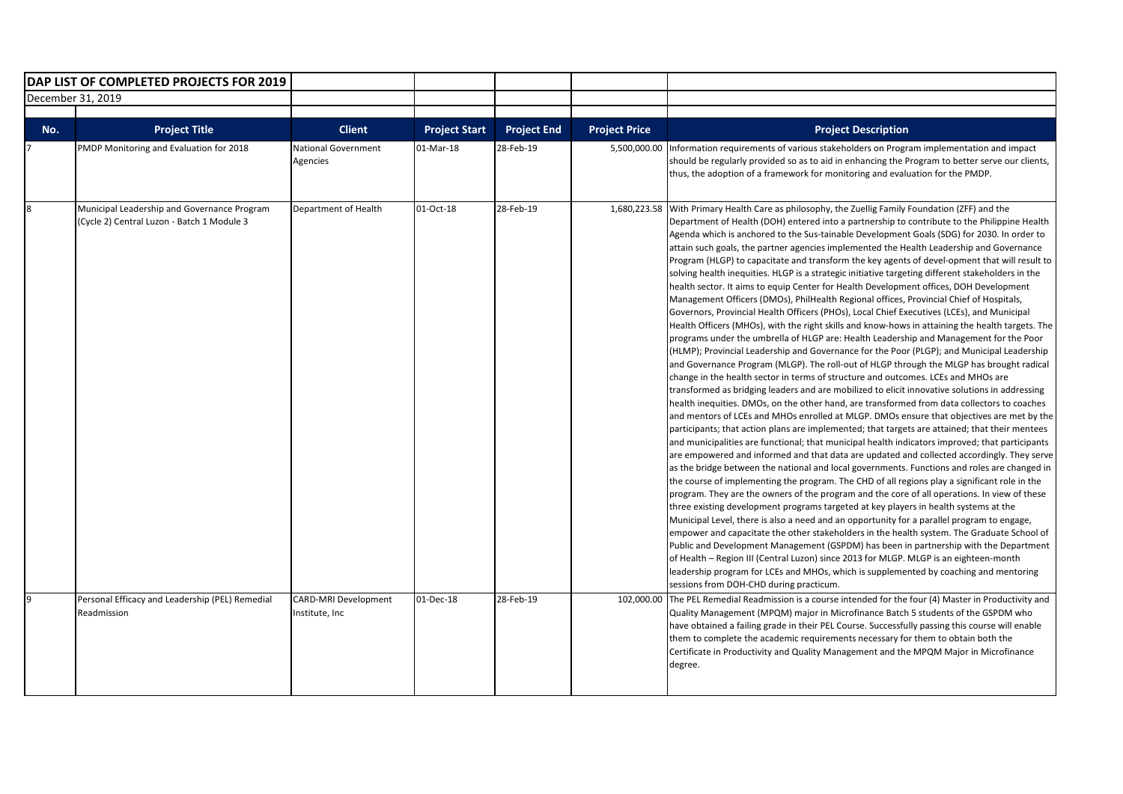|     | DAP LIST OF COMPLETED PROJECTS FOR 2019                                                   |                                        |                      |                    |                      |                                                                                                                                                                                                                                                                                                                                                                                                                                                                                                                                                                                                                                                                                                                                                                                                                                                                                                                                                                                                                                                                                                                                                                                                                                                                                                                                                                                                                                                                                                                                                                                                                                                                                                                                                                                                                                                                                                                                                                                                                                                                                                                                                                                                                                                                                                                                                                                                                                                                                                                                                                                                                                                                                                                                                                                                                                                                              |
|-----|-------------------------------------------------------------------------------------------|----------------------------------------|----------------------|--------------------|----------------------|------------------------------------------------------------------------------------------------------------------------------------------------------------------------------------------------------------------------------------------------------------------------------------------------------------------------------------------------------------------------------------------------------------------------------------------------------------------------------------------------------------------------------------------------------------------------------------------------------------------------------------------------------------------------------------------------------------------------------------------------------------------------------------------------------------------------------------------------------------------------------------------------------------------------------------------------------------------------------------------------------------------------------------------------------------------------------------------------------------------------------------------------------------------------------------------------------------------------------------------------------------------------------------------------------------------------------------------------------------------------------------------------------------------------------------------------------------------------------------------------------------------------------------------------------------------------------------------------------------------------------------------------------------------------------------------------------------------------------------------------------------------------------------------------------------------------------------------------------------------------------------------------------------------------------------------------------------------------------------------------------------------------------------------------------------------------------------------------------------------------------------------------------------------------------------------------------------------------------------------------------------------------------------------------------------------------------------------------------------------------------------------------------------------------------------------------------------------------------------------------------------------------------------------------------------------------------------------------------------------------------------------------------------------------------------------------------------------------------------------------------------------------------------------------------------------------------------------------------------------------------|
|     | December 31, 2019                                                                         |                                        |                      |                    |                      |                                                                                                                                                                                                                                                                                                                                                                                                                                                                                                                                                                                                                                                                                                                                                                                                                                                                                                                                                                                                                                                                                                                                                                                                                                                                                                                                                                                                                                                                                                                                                                                                                                                                                                                                                                                                                                                                                                                                                                                                                                                                                                                                                                                                                                                                                                                                                                                                                                                                                                                                                                                                                                                                                                                                                                                                                                                                              |
|     |                                                                                           |                                        |                      |                    |                      |                                                                                                                                                                                                                                                                                                                                                                                                                                                                                                                                                                                                                                                                                                                                                                                                                                                                                                                                                                                                                                                                                                                                                                                                                                                                                                                                                                                                                                                                                                                                                                                                                                                                                                                                                                                                                                                                                                                                                                                                                                                                                                                                                                                                                                                                                                                                                                                                                                                                                                                                                                                                                                                                                                                                                                                                                                                                              |
| No. | <b>Project Title</b>                                                                      | <b>Client</b>                          | <b>Project Start</b> | <b>Project End</b> | <b>Project Price</b> | <b>Project Description</b>                                                                                                                                                                                                                                                                                                                                                                                                                                                                                                                                                                                                                                                                                                                                                                                                                                                                                                                                                                                                                                                                                                                                                                                                                                                                                                                                                                                                                                                                                                                                                                                                                                                                                                                                                                                                                                                                                                                                                                                                                                                                                                                                                                                                                                                                                                                                                                                                                                                                                                                                                                                                                                                                                                                                                                                                                                                   |
|     | PMDP Monitoring and Evaluation for 2018                                                   | National Government<br>Agencies        | 01-Mar-18            | 28-Feb-19          | 5,500,000.00         | Information requirements of various stakeholders on Program implementation and impact<br>should be regularly provided so as to aid in enhancing the Program to better serve our clients,<br>thus, the adoption of a framework for monitoring and evaluation for the PMDP.                                                                                                                                                                                                                                                                                                                                                                                                                                                                                                                                                                                                                                                                                                                                                                                                                                                                                                                                                                                                                                                                                                                                                                                                                                                                                                                                                                                                                                                                                                                                                                                                                                                                                                                                                                                                                                                                                                                                                                                                                                                                                                                                                                                                                                                                                                                                                                                                                                                                                                                                                                                                    |
| 8   | Municipal Leadership and Governance Program<br>(Cycle 2) Central Luzon - Batch 1 Module 3 | Department of Health                   | 01-Oct-18            | 28-Feb-19          |                      | 1,680,223.58 With Primary Health Care as philosophy, the Zuellig Family Foundation (ZFF) and the<br>Department of Health (DOH) entered into a partnership to contribute to the Philippine Health<br>Agenda which is anchored to the Sus-tainable Development Goals (SDG) for 2030. In order to<br>attain such goals, the partner agencies implemented the Health Leadership and Governance<br>Program (HLGP) to capacitate and transform the key agents of devel-opment that will result to<br>solving health inequities. HLGP is a strategic initiative targeting different stakeholders in the<br>health sector. It aims to equip Center for Health Development offices, DOH Development<br>Management Officers (DMOs), PhilHealth Regional offices, Provincial Chief of Hospitals,<br>Governors, Provincial Health Officers (PHOs), Local Chief Executives (LCEs), and Municipal<br>Health Officers (MHOs), with the right skills and know-hows in attaining the health targets. The<br>programs under the umbrella of HLGP are: Health Leadership and Management for the Poor<br>(HLMP); Provincial Leadership and Governance for the Poor (PLGP); and Municipal Leadership<br>and Governance Program (MLGP). The roll-out of HLGP through the MLGP has brought radical<br>change in the health sector in terms of structure and outcomes. LCEs and MHOs are<br>transformed as bridging leaders and are mobilized to elicit innovative solutions in addressing<br>health inequities. DMOs, on the other hand, are transformed from data collectors to coaches<br>and mentors of LCEs and MHOs enrolled at MLGP. DMOs ensure that objectives are met by the<br>participants; that action plans are implemented; that targets are attained; that their mentees<br>and municipalities are functional; that municipal health indicators improved; that participants<br>are empowered and informed and that data are updated and collected accordingly. They serve<br>as the bridge between the national and local governments. Functions and roles are changed in<br>the course of implementing the program. The CHD of all regions play a significant role in the<br>program. They are the owners of the program and the core of all operations. In view of these<br>three existing development programs targeted at key players in health systems at the<br>Municipal Level, there is also a need and an opportunity for a parallel program to engage,<br>empower and capacitate the other stakeholders in the health system. The Graduate School of<br>Public and Development Management (GSPDM) has been in partnership with the Department<br>of Health - Region III (Central Luzon) since 2013 for MLGP. MLGP is an eighteen-month<br>leadership program for LCEs and MHOs, which is supplemented by coaching and mentoring<br>sessions from DOH-CHD during practicum. |
| 9   | Personal Efficacy and Leadership (PEL) Remedial<br>Readmission                            | CARD-MRI Development<br>Institute, Inc | 01-Dec-18            | 28-Feb-19          | 102,000.00           | The PEL Remedial Readmission is a course intended for the four (4) Master in Productivity and<br>Quality Management (MPQM) major in Microfinance Batch 5 students of the GSPDM who<br>have obtained a failing grade in their PEL Course. Successfully passing this course will enable<br>them to complete the academic requirements necessary for them to obtain both the<br>Certificate in Productivity and Quality Management and the MPQM Major in Microfinance<br>degree.                                                                                                                                                                                                                                                                                                                                                                                                                                                                                                                                                                                                                                                                                                                                                                                                                                                                                                                                                                                                                                                                                                                                                                                                                                                                                                                                                                                                                                                                                                                                                                                                                                                                                                                                                                                                                                                                                                                                                                                                                                                                                                                                                                                                                                                                                                                                                                                                |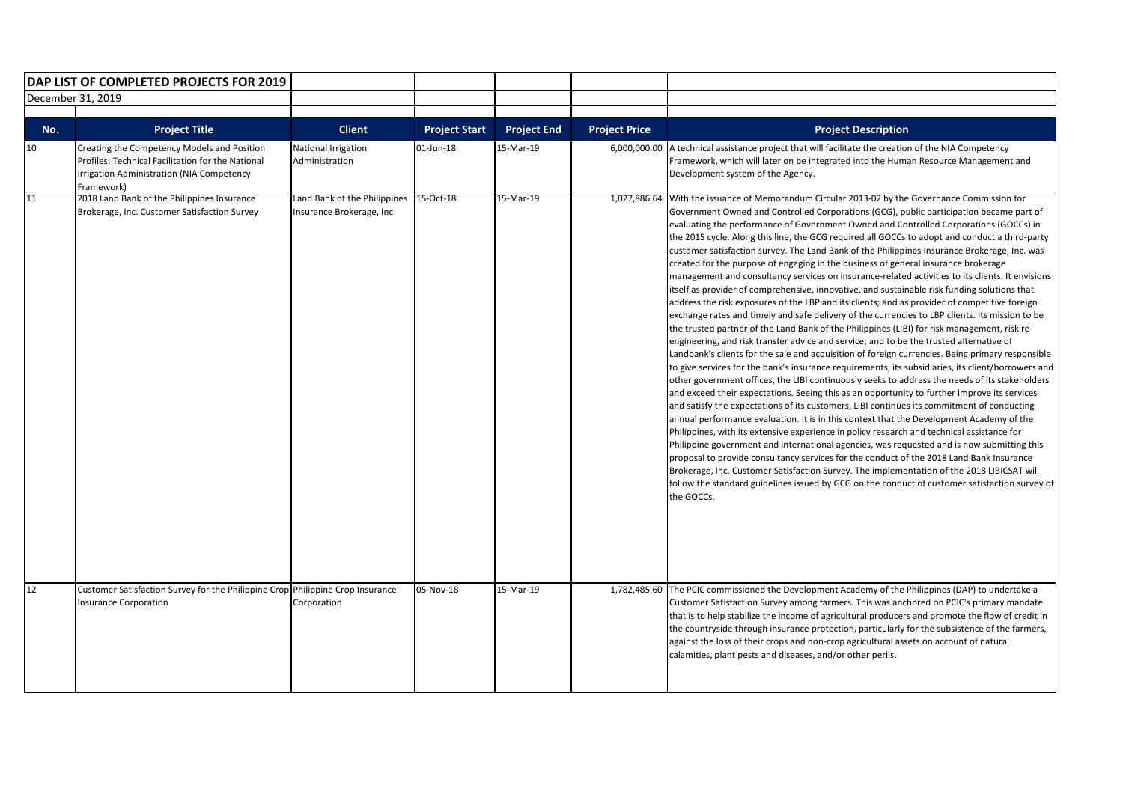|                   | DAP LIST OF COMPLETED PROJECTS FOR 2019                                                                                                                     |                                                          |                      |                    |                      |                                                                                                                                                                                                                                                                                                                                                                                                                                                                                                                                                                                                                                                                                                                                                                                                                                                                                                                                                                                                                                                                                                                                                                                                                                                                                                                                                                                                                                                                                                                                                                                                                                                                                                                                                                                                                                                                                                                                                                                                                                                                                                                                                                                                                                                                              |
|-------------------|-------------------------------------------------------------------------------------------------------------------------------------------------------------|----------------------------------------------------------|----------------------|--------------------|----------------------|------------------------------------------------------------------------------------------------------------------------------------------------------------------------------------------------------------------------------------------------------------------------------------------------------------------------------------------------------------------------------------------------------------------------------------------------------------------------------------------------------------------------------------------------------------------------------------------------------------------------------------------------------------------------------------------------------------------------------------------------------------------------------------------------------------------------------------------------------------------------------------------------------------------------------------------------------------------------------------------------------------------------------------------------------------------------------------------------------------------------------------------------------------------------------------------------------------------------------------------------------------------------------------------------------------------------------------------------------------------------------------------------------------------------------------------------------------------------------------------------------------------------------------------------------------------------------------------------------------------------------------------------------------------------------------------------------------------------------------------------------------------------------------------------------------------------------------------------------------------------------------------------------------------------------------------------------------------------------------------------------------------------------------------------------------------------------------------------------------------------------------------------------------------------------------------------------------------------------------------------------------------------------|
| December 31, 2019 |                                                                                                                                                             |                                                          |                      |                    |                      |                                                                                                                                                                                                                                                                                                                                                                                                                                                                                                                                                                                                                                                                                                                                                                                                                                                                                                                                                                                                                                                                                                                                                                                                                                                                                                                                                                                                                                                                                                                                                                                                                                                                                                                                                                                                                                                                                                                                                                                                                                                                                                                                                                                                                                                                              |
|                   |                                                                                                                                                             |                                                          |                      |                    |                      |                                                                                                                                                                                                                                                                                                                                                                                                                                                                                                                                                                                                                                                                                                                                                                                                                                                                                                                                                                                                                                                                                                                                                                                                                                                                                                                                                                                                                                                                                                                                                                                                                                                                                                                                                                                                                                                                                                                                                                                                                                                                                                                                                                                                                                                                              |
| No.               | <b>Project Title</b>                                                                                                                                        | <b>Client</b>                                            | <b>Project Start</b> | <b>Project End</b> | <b>Project Price</b> | <b>Project Description</b>                                                                                                                                                                                                                                                                                                                                                                                                                                                                                                                                                                                                                                                                                                                                                                                                                                                                                                                                                                                                                                                                                                                                                                                                                                                                                                                                                                                                                                                                                                                                                                                                                                                                                                                                                                                                                                                                                                                                                                                                                                                                                                                                                                                                                                                   |
| 10                | Creating the Competency Models and Position<br>Profiles: Technical Facilitation for the National<br>Irrigation Administration (NIA Competency<br>Framework) | National Irrigation<br>Administration                    | 01-Jun-18            | 15-Mar-19          | 6,000,000.00         | A technical assistance project that will facilitate the creation of the NIA Competency<br>Framework, which will later on be integrated into the Human Resource Management and<br>Development system of the Agency.                                                                                                                                                                                                                                                                                                                                                                                                                                                                                                                                                                                                                                                                                                                                                                                                                                                                                                                                                                                                                                                                                                                                                                                                                                                                                                                                                                                                                                                                                                                                                                                                                                                                                                                                                                                                                                                                                                                                                                                                                                                           |
| 11                | 2018 Land Bank of the Philippines Insurance<br>Brokerage, Inc. Customer Satisfaction Survey                                                                 | Land Bank of the Philippines<br>Insurance Brokerage, Inc | 15-Oct-18            | 15-Mar-19          | 1,027,886.64         | With the issuance of Memorandum Circular 2013-02 by the Governance Commission for<br>Government Owned and Controlled Corporations (GCG), public participation became part of<br>evaluating the performance of Government Owned and Controlled Corporations (GOCCs) in<br>the 2015 cycle. Along this line, the GCG required all GOCCs to adopt and conduct a third-party<br>customer satisfaction survey. The Land Bank of the Philippines Insurance Brokerage, Inc. was<br>created for the purpose of engaging in the business of general insurance brokerage<br>management and consultancy services on insurance-related activities to its clients. It envisions<br>itself as provider of comprehensive, innovative, and sustainable risk funding solutions that<br>address the risk exposures of the LBP and its clients; and as provider of competitive foreign<br>exchange rates and timely and safe delivery of the currencies to LBP clients. Its mission to be<br>the trusted partner of the Land Bank of the Philippines (LIBI) for risk management, risk re-<br>engineering, and risk transfer advice and service; and to be the trusted alternative of<br>Landbank's clients for the sale and acquisition of foreign currencies. Being primary responsible<br>to give services for the bank's insurance requirements, its subsidiaries, its client/borrowers and<br>other government offices, the LIBI continuously seeks to address the needs of its stakeholders<br>and exceed their expectations. Seeing this as an opportunity to further improve its services<br>and satisfy the expectations of its customers, LIBI continues its commitment of conducting<br>annual performance evaluation. It is in this context that the Development Academy of the<br>Philippines, with its extensive experience in policy research and technical assistance for<br>Philippine government and international agencies, was requested and is now submitting this<br>proposal to provide consultancy services for the conduct of the 2018 Land Bank Insurance<br>Brokerage, Inc. Customer Satisfaction Survey. The implementation of the 2018 LIBICSAT will<br>follow the standard guidelines issued by GCG on the conduct of customer satisfaction survey of<br>the GOCCs. |
| 12                | Customer Satisfaction Survey for the Philippine Crop Philippine Crop Insurance<br><b>Insurance Corporation</b>                                              | Corporation                                              | 05-Nov-18            | 15-Mar-19          | 1,782,485.60         | The PCIC commissioned the Development Academy of the Philippines (DAP) to undertake a<br>Customer Satisfaction Survey among farmers. This was anchored on PCIC's primary mandate<br>that is to help stabilize the income of agricultural producers and promote the flow of credit in<br>the countryside through insurance protection, particularly for the subsistence of the farmers,<br>against the loss of their crops and non-crop agricultural assets on account of natural<br>calamities, plant pests and diseases, and/or other perils.                                                                                                                                                                                                                                                                                                                                                                                                                                                                                                                                                                                                                                                                                                                                                                                                                                                                                                                                                                                                                                                                                                                                                                                                                                                                                                                                                                                                                                                                                                                                                                                                                                                                                                                               |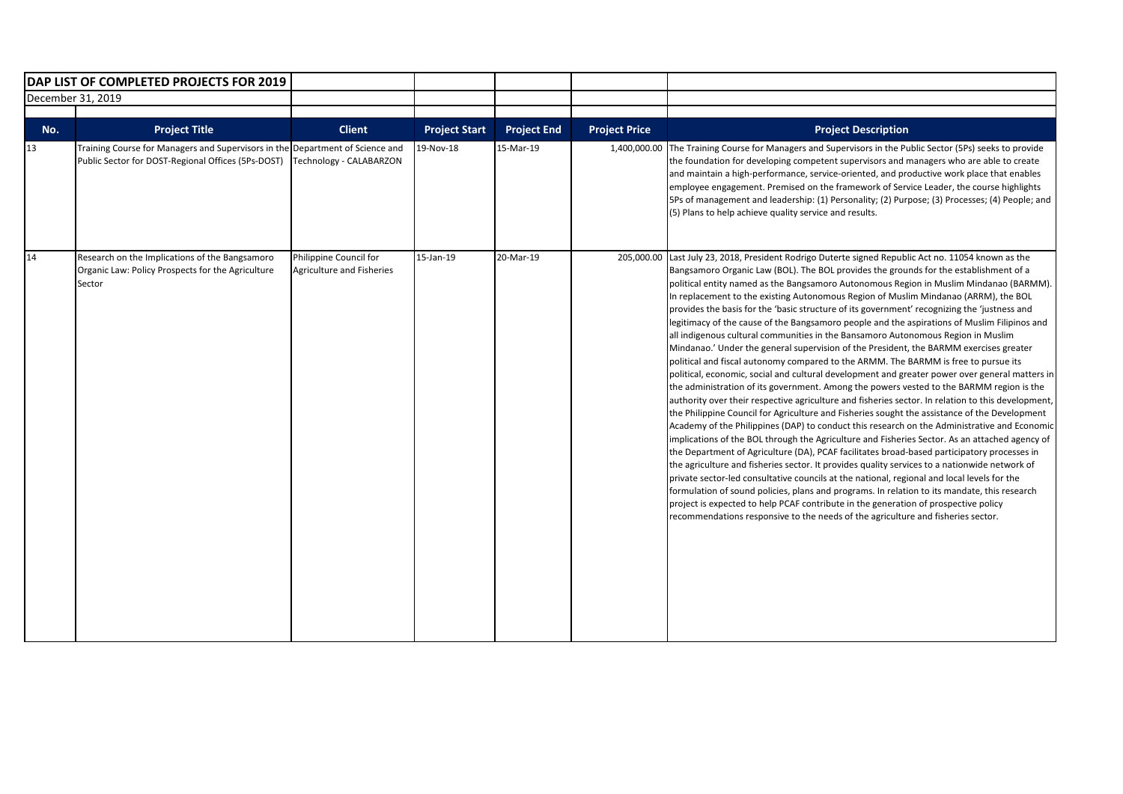|                   | DAP LIST OF COMPLETED PROJECTS FOR 2019                                                                                             |                                                     |                      |                    |                      |                                                                                                                                                                                                                                                                                                                                                                                                                                                                                                                                                                                                                                                                                                                                                                                                                                                                                                                                                                                                                                                                                                                                                                                                                                                                                                                                                                                                                                                                                                                                                                                                                                                                                                                                                                                                                                                                                                                                                                                                                          |
|-------------------|-------------------------------------------------------------------------------------------------------------------------------------|-----------------------------------------------------|----------------------|--------------------|----------------------|--------------------------------------------------------------------------------------------------------------------------------------------------------------------------------------------------------------------------------------------------------------------------------------------------------------------------------------------------------------------------------------------------------------------------------------------------------------------------------------------------------------------------------------------------------------------------------------------------------------------------------------------------------------------------------------------------------------------------------------------------------------------------------------------------------------------------------------------------------------------------------------------------------------------------------------------------------------------------------------------------------------------------------------------------------------------------------------------------------------------------------------------------------------------------------------------------------------------------------------------------------------------------------------------------------------------------------------------------------------------------------------------------------------------------------------------------------------------------------------------------------------------------------------------------------------------------------------------------------------------------------------------------------------------------------------------------------------------------------------------------------------------------------------------------------------------------------------------------------------------------------------------------------------------------------------------------------------------------------------------------------------------------|
| December 31, 2019 |                                                                                                                                     |                                                     |                      |                    |                      |                                                                                                                                                                                                                                                                                                                                                                                                                                                                                                                                                                                                                                                                                                                                                                                                                                                                                                                                                                                                                                                                                                                                                                                                                                                                                                                                                                                                                                                                                                                                                                                                                                                                                                                                                                                                                                                                                                                                                                                                                          |
| No.               | <b>Project Title</b>                                                                                                                | <b>Client</b>                                       | <b>Project Start</b> | <b>Project End</b> | <b>Project Price</b> | <b>Project Description</b>                                                                                                                                                                                                                                                                                                                                                                                                                                                                                                                                                                                                                                                                                                                                                                                                                                                                                                                                                                                                                                                                                                                                                                                                                                                                                                                                                                                                                                                                                                                                                                                                                                                                                                                                                                                                                                                                                                                                                                                               |
| 13                | Training Course for Managers and Supervisors in the Department of Science and<br>Public Sector for DOST-Regional Offices (5Ps-DOST) | Technology - CALABARZON                             | 19-Nov-18            | 15-Mar-19          | 1,400,000.00         | The Training Course for Managers and Supervisors in the Public Sector (5Ps) seeks to provide<br>the foundation for developing competent supervisors and managers who are able to create<br>and maintain a high-performance, service-oriented, and productive work place that enables<br>employee engagement. Premised on the framework of Service Leader, the course highlights<br>5Ps of management and leadership: (1) Personality; (2) Purpose; (3) Processes; (4) People; and<br>(5) Plans to help achieve quality service and results.                                                                                                                                                                                                                                                                                                                                                                                                                                                                                                                                                                                                                                                                                                                                                                                                                                                                                                                                                                                                                                                                                                                                                                                                                                                                                                                                                                                                                                                                              |
| 14                | Research on the Implications of the Bangsamoro<br>Organic Law: Policy Prospects for the Agriculture<br>Sector                       | Philippine Council for<br>Agriculture and Fisheries | 15-Jan-19            | 20-Mar-19          | 205,000.00           | Last July 23, 2018, President Rodrigo Duterte signed Republic Act no. 11054 known as the<br>Bangsamoro Organic Law (BOL). The BOL provides the grounds for the establishment of a<br>political entity named as the Bangsamoro Autonomous Region in Muslim Mindanao (BARMM).<br>In replacement to the existing Autonomous Region of Muslim Mindanao (ARRM), the BOL<br>provides the basis for the 'basic structure of its government' recognizing the 'justness and<br>legitimacy of the cause of the Bangsamoro people and the aspirations of Muslim Filipinos and<br>all indigenous cultural communities in the Bansamoro Autonomous Region in Muslim<br>Mindanao.' Under the general supervision of the President, the BARMM exercises greater<br>political and fiscal autonomy compared to the ARMM. The BARMM is free to pursue its<br>political, economic, social and cultural development and greater power over general matters in<br>the administration of its government. Among the powers vested to the BARMM region is the<br>authority over their respective agriculture and fisheries sector. In relation to this development,<br>the Philippine Council for Agriculture and Fisheries sought the assistance of the Development<br>Academy of the Philippines (DAP) to conduct this research on the Administrative and Economic<br>implications of the BOL through the Agriculture and Fisheries Sector. As an attached agency of<br>the Department of Agriculture (DA), PCAF facilitates broad-based participatory processes in<br>the agriculture and fisheries sector. It provides quality services to a nationwide network of<br>private sector-led consultative councils at the national, regional and local levels for the<br>formulation of sound policies, plans and programs. In relation to its mandate, this research<br>project is expected to help PCAF contribute in the generation of prospective policy<br>recommendations responsive to the needs of the agriculture and fisheries sector. |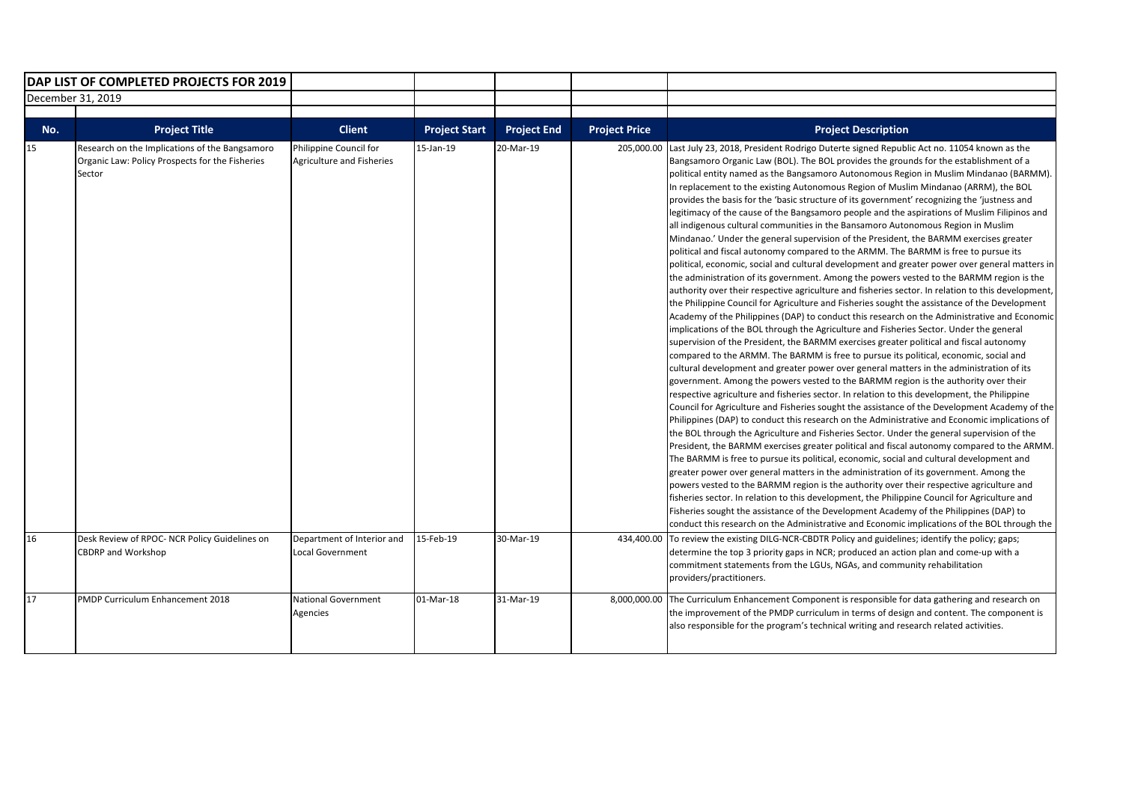| DAP LIST OF COMPLETED PROJECTS FOR 2019 |                                                                                                             |                                                     |                      |                    |                      |                                                                                                                                                                                                                                                                                                                                                                                                                                                                                                                                                                                                                                                                                                                                                                                                                                                                                                                                                                                                                                                                                                                                                                                                                                                                                                                                                                                                                                                                                                                                                                                                                                                                                                                                                                                                                                                                                                                                                                                                                                                                                                                                                                                                                                                                                                                                                                                                                                                                                                                                                                                                                                                                                                                                                                                                                                                                                          |
|-----------------------------------------|-------------------------------------------------------------------------------------------------------------|-----------------------------------------------------|----------------------|--------------------|----------------------|------------------------------------------------------------------------------------------------------------------------------------------------------------------------------------------------------------------------------------------------------------------------------------------------------------------------------------------------------------------------------------------------------------------------------------------------------------------------------------------------------------------------------------------------------------------------------------------------------------------------------------------------------------------------------------------------------------------------------------------------------------------------------------------------------------------------------------------------------------------------------------------------------------------------------------------------------------------------------------------------------------------------------------------------------------------------------------------------------------------------------------------------------------------------------------------------------------------------------------------------------------------------------------------------------------------------------------------------------------------------------------------------------------------------------------------------------------------------------------------------------------------------------------------------------------------------------------------------------------------------------------------------------------------------------------------------------------------------------------------------------------------------------------------------------------------------------------------------------------------------------------------------------------------------------------------------------------------------------------------------------------------------------------------------------------------------------------------------------------------------------------------------------------------------------------------------------------------------------------------------------------------------------------------------------------------------------------------------------------------------------------------------------------------------------------------------------------------------------------------------------------------------------------------------------------------------------------------------------------------------------------------------------------------------------------------------------------------------------------------------------------------------------------------------------------------------------------------------------------------------------------------|
| December 31, 2019                       |                                                                                                             |                                                     |                      |                    |                      |                                                                                                                                                                                                                                                                                                                                                                                                                                                                                                                                                                                                                                                                                                                                                                                                                                                                                                                                                                                                                                                                                                                                                                                                                                                                                                                                                                                                                                                                                                                                                                                                                                                                                                                                                                                                                                                                                                                                                                                                                                                                                                                                                                                                                                                                                                                                                                                                                                                                                                                                                                                                                                                                                                                                                                                                                                                                                          |
|                                         |                                                                                                             |                                                     |                      |                    |                      |                                                                                                                                                                                                                                                                                                                                                                                                                                                                                                                                                                                                                                                                                                                                                                                                                                                                                                                                                                                                                                                                                                                                                                                                                                                                                                                                                                                                                                                                                                                                                                                                                                                                                                                                                                                                                                                                                                                                                                                                                                                                                                                                                                                                                                                                                                                                                                                                                                                                                                                                                                                                                                                                                                                                                                                                                                                                                          |
| No.                                     | <b>Project Title</b>                                                                                        | <b>Client</b>                                       | <b>Project Start</b> | <b>Project End</b> | <b>Project Price</b> | <b>Project Description</b>                                                                                                                                                                                                                                                                                                                                                                                                                                                                                                                                                                                                                                                                                                                                                                                                                                                                                                                                                                                                                                                                                                                                                                                                                                                                                                                                                                                                                                                                                                                                                                                                                                                                                                                                                                                                                                                                                                                                                                                                                                                                                                                                                                                                                                                                                                                                                                                                                                                                                                                                                                                                                                                                                                                                                                                                                                                               |
| 15                                      | Research on the Implications of the Bangsamoro<br>Organic Law: Policy Prospects for the Fisheries<br>Sector | Philippine Council for<br>Agriculture and Fisheries | 15-Jan-19            | 20-Mar-19          | 205,000.00           | Last July 23, 2018, President Rodrigo Duterte signed Republic Act no. 11054 known as the<br>Bangsamoro Organic Law (BOL). The BOL provides the grounds for the establishment of a<br>political entity named as the Bangsamoro Autonomous Region in Muslim Mindanao (BARMM).<br>In replacement to the existing Autonomous Region of Muslim Mindanao (ARRM), the BOL<br>provides the basis for the 'basic structure of its government' recognizing the 'justness and<br>legitimacy of the cause of the Bangsamoro people and the aspirations of Muslim Filipinos and<br>all indigenous cultural communities in the Bansamoro Autonomous Region in Muslim<br>Mindanao.' Under the general supervision of the President, the BARMM exercises greater<br>political and fiscal autonomy compared to the ARMM. The BARMM is free to pursue its<br>political, economic, social and cultural development and greater power over general matters in<br>the administration of its government. Among the powers vested to the BARMM region is the<br>authority over their respective agriculture and fisheries sector. In relation to this development,<br>the Philippine Council for Agriculture and Fisheries sought the assistance of the Development<br>Academy of the Philippines (DAP) to conduct this research on the Administrative and Economic<br>implications of the BOL through the Agriculture and Fisheries Sector. Under the general<br>supervision of the President, the BARMM exercises greater political and fiscal autonomy<br>compared to the ARMM. The BARMM is free to pursue its political, economic, social and<br>cultural development and greater power over general matters in the administration of its<br>government. Among the powers vested to the BARMM region is the authority over their<br>respective agriculture and fisheries sector. In relation to this development, the Philippine<br>Council for Agriculture and Fisheries sought the assistance of the Development Academy of the<br>Philippines (DAP) to conduct this research on the Administrative and Economic implications of<br>the BOL through the Agriculture and Fisheries Sector. Under the general supervision of the<br>President, the BARMM exercises greater political and fiscal autonomy compared to the ARMM.<br>The BARMM is free to pursue its political, economic, social and cultural development and<br>greater power over general matters in the administration of its government. Among the<br>powers vested to the BARMM region is the authority over their respective agriculture and<br>fisheries sector. In relation to this development, the Philippine Council for Agriculture and<br>Fisheries sought the assistance of the Development Academy of the Philippines (DAP) to<br>conduct this research on the Administrative and Economic implications of the BOL through the |
| 16                                      | Desk Review of RPOC- NCR Policy Guidelines on<br><b>CBDRP and Workshop</b>                                  | Department of Interior and<br>Local Government      | 15-Feb-19            | 30-Mar-19          | 434,400.00           | To review the existing DILG-NCR-CBDTR Policy and guidelines; identify the policy; gaps;<br>determine the top 3 priority gaps in NCR; produced an action plan and come-up with a<br>commitment statements from the LGUs, NGAs, and community rehabilitation<br>providers/practitioners.                                                                                                                                                                                                                                                                                                                                                                                                                                                                                                                                                                                                                                                                                                                                                                                                                                                                                                                                                                                                                                                                                                                                                                                                                                                                                                                                                                                                                                                                                                                                                                                                                                                                                                                                                                                                                                                                                                                                                                                                                                                                                                                                                                                                                                                                                                                                                                                                                                                                                                                                                                                                   |
| 17                                      | PMDP Curriculum Enhancement 2018                                                                            | <b>National Government</b><br>Agencies              | 01-Mar-18            | 31-Mar-19          |                      | 8,000,000.00 The Curriculum Enhancement Component is responsible for data gathering and research on<br>the improvement of the PMDP curriculum in terms of design and content. The component is<br>also responsible for the program's technical writing and research related activities.                                                                                                                                                                                                                                                                                                                                                                                                                                                                                                                                                                                                                                                                                                                                                                                                                                                                                                                                                                                                                                                                                                                                                                                                                                                                                                                                                                                                                                                                                                                                                                                                                                                                                                                                                                                                                                                                                                                                                                                                                                                                                                                                                                                                                                                                                                                                                                                                                                                                                                                                                                                                  |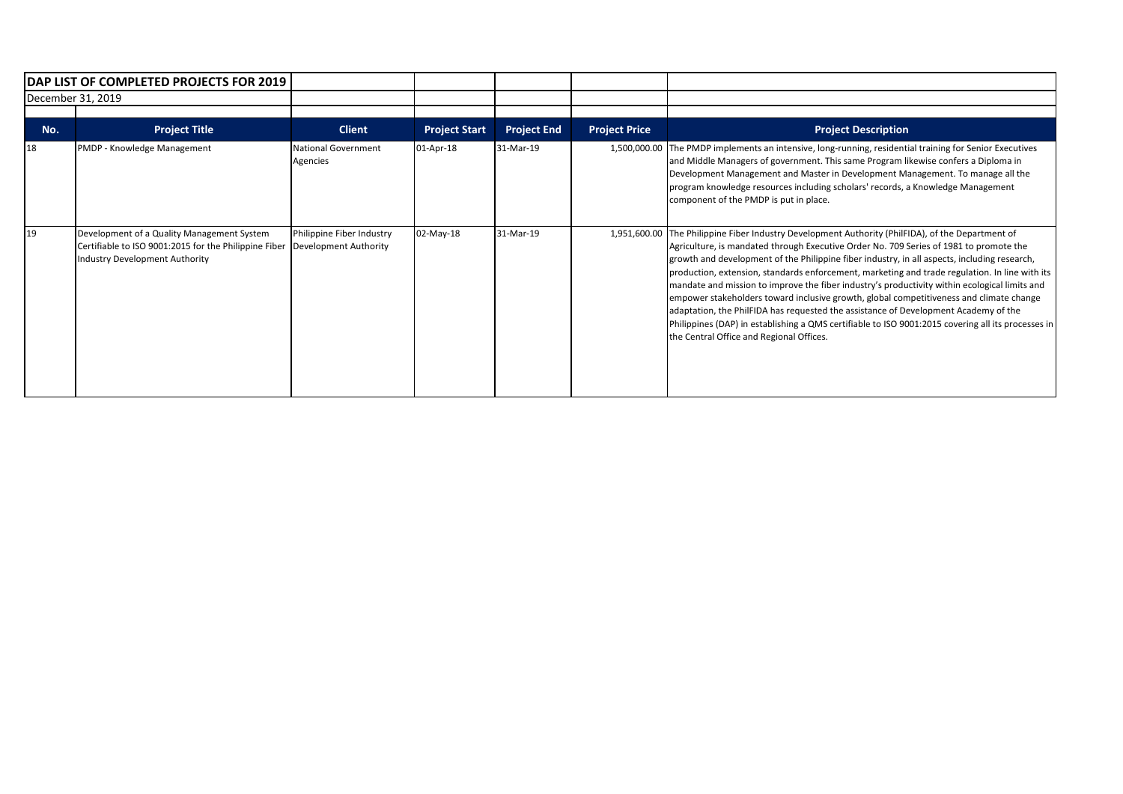| DAP LIST OF COMPLETED PROJECTS FOR 2019 |                                                                                                                                              |                                                    |                      |                    |                      |                                                                                                                                                                                                                                                                                                                                                                                                                                                                                                                                                                                                                                                                                                                                                                                                                       |
|-----------------------------------------|----------------------------------------------------------------------------------------------------------------------------------------------|----------------------------------------------------|----------------------|--------------------|----------------------|-----------------------------------------------------------------------------------------------------------------------------------------------------------------------------------------------------------------------------------------------------------------------------------------------------------------------------------------------------------------------------------------------------------------------------------------------------------------------------------------------------------------------------------------------------------------------------------------------------------------------------------------------------------------------------------------------------------------------------------------------------------------------------------------------------------------------|
| December 31, 2019                       |                                                                                                                                              |                                                    |                      |                    |                      |                                                                                                                                                                                                                                                                                                                                                                                                                                                                                                                                                                                                                                                                                                                                                                                                                       |
| No.                                     | <b>Project Title</b>                                                                                                                         | <b>Client</b>                                      | <b>Project Start</b> | <b>Project End</b> | <b>Project Price</b> | <b>Project Description</b>                                                                                                                                                                                                                                                                                                                                                                                                                                                                                                                                                                                                                                                                                                                                                                                            |
| 18                                      | PMDP - Knowledge Management                                                                                                                  | <b>National Government</b><br>Agencies             | 01-Apr-18            | 31-Mar-19          |                      | 1,500,000.00 The PMDP implements an intensive, long-running, residential training for Senior Executives<br>and Middle Managers of government. This same Program likewise confers a Diploma in<br>Development Management and Master in Development Management. To manage all the<br>program knowledge resources including scholars' records, a Knowledge Management<br>component of the PMDP is put in place.                                                                                                                                                                                                                                                                                                                                                                                                          |
| 19                                      | Development of a Quality Management System<br>Certifiable to ISO 9001:2015 for the Philippine Fiber<br><b>Industry Development Authority</b> | Philippine Fiber Industry<br>Development Authority | 02-May-18            | 31-Mar-19          | 1,951,600.00         | The Philippine Fiber Industry Development Authority (PhilFIDA), of the Department of<br>Agriculture, is mandated through Executive Order No. 709 Series of 1981 to promote the<br>growth and development of the Philippine fiber industry, in all aspects, including research,<br>production, extension, standards enforcement, marketing and trade regulation. In line with its<br>mandate and mission to improve the fiber industry's productivity within ecological limits and<br>empower stakeholders toward inclusive growth, global competitiveness and climate change<br>adaptation, the PhilFIDA has requested the assistance of Development Academy of the<br>Philippines (DAP) in establishing a QMS certifiable to ISO 9001:2015 covering all its processes in<br>the Central Office and Regional Offices. |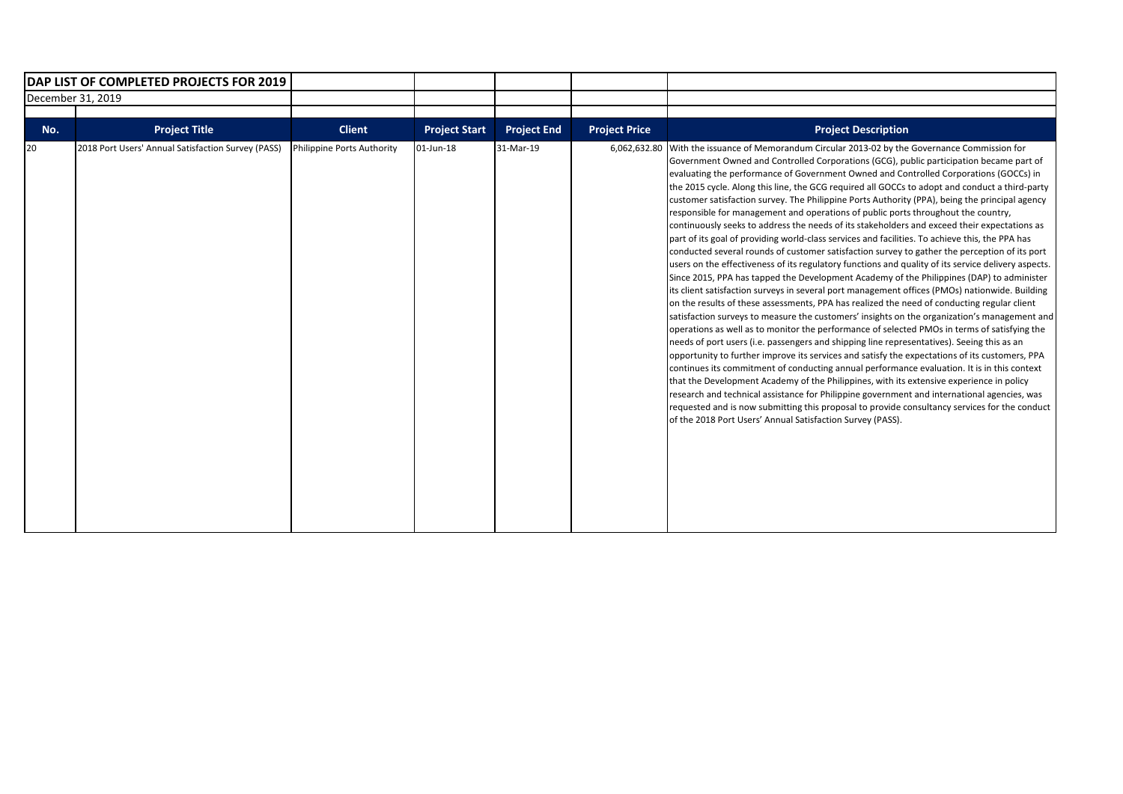| <b>IDAP LIST OF COMPLETED PROJECTS FOR 2019</b> |                                                    |                            |                      |                    |                      |                                                                                                                                                                                                                                                                                                                                                                                                                                                                                                                                                                                                                                                                                                                                                                                                                                                                                                                                                                                                                                                                                                                                                                                                                                                                                                                                                                                                                                                                                                                                                                                                                                                                                                                                                                                                                                                                                                                                                                                                                                                                                                                                  |
|-------------------------------------------------|----------------------------------------------------|----------------------------|----------------------|--------------------|----------------------|----------------------------------------------------------------------------------------------------------------------------------------------------------------------------------------------------------------------------------------------------------------------------------------------------------------------------------------------------------------------------------------------------------------------------------------------------------------------------------------------------------------------------------------------------------------------------------------------------------------------------------------------------------------------------------------------------------------------------------------------------------------------------------------------------------------------------------------------------------------------------------------------------------------------------------------------------------------------------------------------------------------------------------------------------------------------------------------------------------------------------------------------------------------------------------------------------------------------------------------------------------------------------------------------------------------------------------------------------------------------------------------------------------------------------------------------------------------------------------------------------------------------------------------------------------------------------------------------------------------------------------------------------------------------------------------------------------------------------------------------------------------------------------------------------------------------------------------------------------------------------------------------------------------------------------------------------------------------------------------------------------------------------------------------------------------------------------------------------------------------------------|
|                                                 | December 31, 2019                                  |                            |                      |                    |                      |                                                                                                                                                                                                                                                                                                                                                                                                                                                                                                                                                                                                                                                                                                                                                                                                                                                                                                                                                                                                                                                                                                                                                                                                                                                                                                                                                                                                                                                                                                                                                                                                                                                                                                                                                                                                                                                                                                                                                                                                                                                                                                                                  |
| No.                                             | <b>Project Title</b>                               | <b>Client</b>              | <b>Project Start</b> | <b>Project End</b> | <b>Project Price</b> | <b>Project Description</b>                                                                                                                                                                                                                                                                                                                                                                                                                                                                                                                                                                                                                                                                                                                                                                                                                                                                                                                                                                                                                                                                                                                                                                                                                                                                                                                                                                                                                                                                                                                                                                                                                                                                                                                                                                                                                                                                                                                                                                                                                                                                                                       |
| 20                                              | 2018 Port Users' Annual Satisfaction Survey (PASS) | Philippine Ports Authority | 01-Jun-18            | 31-Mar-19          | 6,062,632.80         | With the issuance of Memorandum Circular 2013-02 by the Governance Commission for<br>Government Owned and Controlled Corporations (GCG), public participation became part of<br>evaluating the performance of Government Owned and Controlled Corporations (GOCCs) in<br>the 2015 cycle. Along this line, the GCG required all GOCCs to adopt and conduct a third-party<br>customer satisfaction survey. The Philippine Ports Authority (PPA), being the principal agency<br>responsible for management and operations of public ports throughout the country,<br>continuously seeks to address the needs of its stakeholders and exceed their expectations as<br>part of its goal of providing world-class services and facilities. To achieve this, the PPA has<br>conducted several rounds of customer satisfaction survey to gather the perception of its port<br>users on the effectiveness of its regulatory functions and quality of its service delivery aspects.<br>Since 2015, PPA has tapped the Development Academy of the Philippines (DAP) to administer<br>its client satisfaction surveys in several port management offices (PMOs) nationwide. Building<br>on the results of these assessments, PPA has realized the need of conducting regular client<br>satisfaction surveys to measure the customers' insights on the organization's management and<br>operations as well as to monitor the performance of selected PMOs in terms of satisfying the<br>needs of port users (i.e. passengers and shipping line representatives). Seeing this as an<br>opportunity to further improve its services and satisfy the expectations of its customers, PPA<br>continues its commitment of conducting annual performance evaluation. It is in this context<br>that the Development Academy of the Philippines, with its extensive experience in policy<br>research and technical assistance for Philippine government and international agencies, was<br>requested and is now submitting this proposal to provide consultancy services for the conduct<br>of the 2018 Port Users' Annual Satisfaction Survey (PASS). |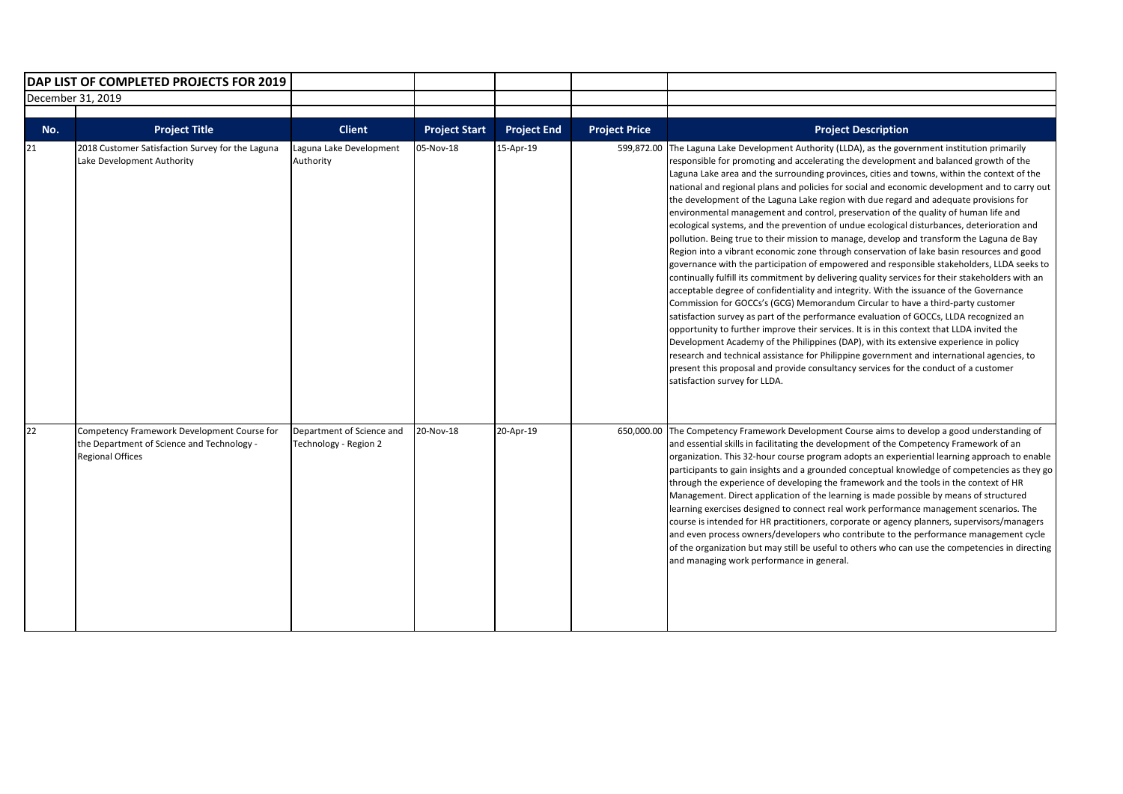| <b>DAP LIST OF COMPLETED PROJECTS FOR 2019</b> |                                                                                                                      |                                                    |                      |                    |                      |                                                                                                                                                                                                                                                                                                                                                                                                                                                                                                                                                                                                                                                                                                                                                                                                                                                                                                                                                                                                                                                                                                                                                                                                                                                                                                                                                                                                                                                                                                                                                                                                                                                                                                                                                |
|------------------------------------------------|----------------------------------------------------------------------------------------------------------------------|----------------------------------------------------|----------------------|--------------------|----------------------|------------------------------------------------------------------------------------------------------------------------------------------------------------------------------------------------------------------------------------------------------------------------------------------------------------------------------------------------------------------------------------------------------------------------------------------------------------------------------------------------------------------------------------------------------------------------------------------------------------------------------------------------------------------------------------------------------------------------------------------------------------------------------------------------------------------------------------------------------------------------------------------------------------------------------------------------------------------------------------------------------------------------------------------------------------------------------------------------------------------------------------------------------------------------------------------------------------------------------------------------------------------------------------------------------------------------------------------------------------------------------------------------------------------------------------------------------------------------------------------------------------------------------------------------------------------------------------------------------------------------------------------------------------------------------------------------------------------------------------------------|
|                                                | December 31, 2019                                                                                                    |                                                    |                      |                    |                      |                                                                                                                                                                                                                                                                                                                                                                                                                                                                                                                                                                                                                                                                                                                                                                                                                                                                                                                                                                                                                                                                                                                                                                                                                                                                                                                                                                                                                                                                                                                                                                                                                                                                                                                                                |
| No.                                            | <b>Project Title</b>                                                                                                 | <b>Client</b>                                      | <b>Project Start</b> | <b>Project End</b> | <b>Project Price</b> | <b>Project Description</b>                                                                                                                                                                                                                                                                                                                                                                                                                                                                                                                                                                                                                                                                                                                                                                                                                                                                                                                                                                                                                                                                                                                                                                                                                                                                                                                                                                                                                                                                                                                                                                                                                                                                                                                     |
| 21                                             | 2018 Customer Satisfaction Survey for the Laguna<br>Lake Development Authority                                       | Laguna Lake Development<br>Authority               | 05-Nov-18            | 15-Apr-19          | 599,872.00           | The Laguna Lake Development Authority (LLDA), as the government institution primarily<br>responsible for promoting and accelerating the development and balanced growth of the<br>Laguna Lake area and the surrounding provinces, cities and towns, within the context of the<br>national and regional plans and policies for social and economic development and to carry out<br>the development of the Laguna Lake region with due regard and adequate provisions for<br>environmental management and control, preservation of the quality of human life and<br>ecological systems, and the prevention of undue ecological disturbances, deterioration and<br>pollution. Being true to their mission to manage, develop and transform the Laguna de Bay<br>Region into a vibrant economic zone through conservation of lake basin resources and good<br>governance with the participation of empowered and responsible stakeholders, LLDA seeks to<br>continually fulfill its commitment by delivering quality services for their stakeholders with an<br>acceptable degree of confidentiality and integrity. With the issuance of the Governance<br>Commission for GOCCs's (GCG) Memorandum Circular to have a third-party customer<br>satisfaction survey as part of the performance evaluation of GOCCs, LLDA recognized an<br>opportunity to further improve their services. It is in this context that LLDA invited the<br>Development Academy of the Philippines (DAP), with its extensive experience in policy<br>research and technical assistance for Philippine government and international agencies, to<br>present this proposal and provide consultancy services for the conduct of a customer<br>satisfaction survey for LLDA. |
| 22                                             | Competency Framework Development Course for<br>the Department of Science and Technology -<br><b>Regional Offices</b> | Department of Science and<br>Technology - Region 2 | 20-Nov-18            | 20-Apr-19          |                      | 650,000.00 The Competency Framework Development Course aims to develop a good understanding of<br>and essential skills in facilitating the development of the Competency Framework of an<br>organization. This 32-hour course program adopts an experiential learning approach to enable<br>participants to gain insights and a grounded conceptual knowledge of competencies as they go<br>through the experience of developing the framework and the tools in the context of HR<br>Management. Direct application of the learning is made possible by means of structured<br>learning exercises designed to connect real work performance management scenarios. The<br>course is intended for HR practitioners, corporate or agency planners, supervisors/managers<br>and even process owners/developers who contribute to the performance management cycle<br>of the organization but may still be useful to others who can use the competencies in directing<br>and managing work performance in general.                                                                                                                                                                                                                                                                                                                                                                                                                                                                                                                                                                                                                                                                                                                                  |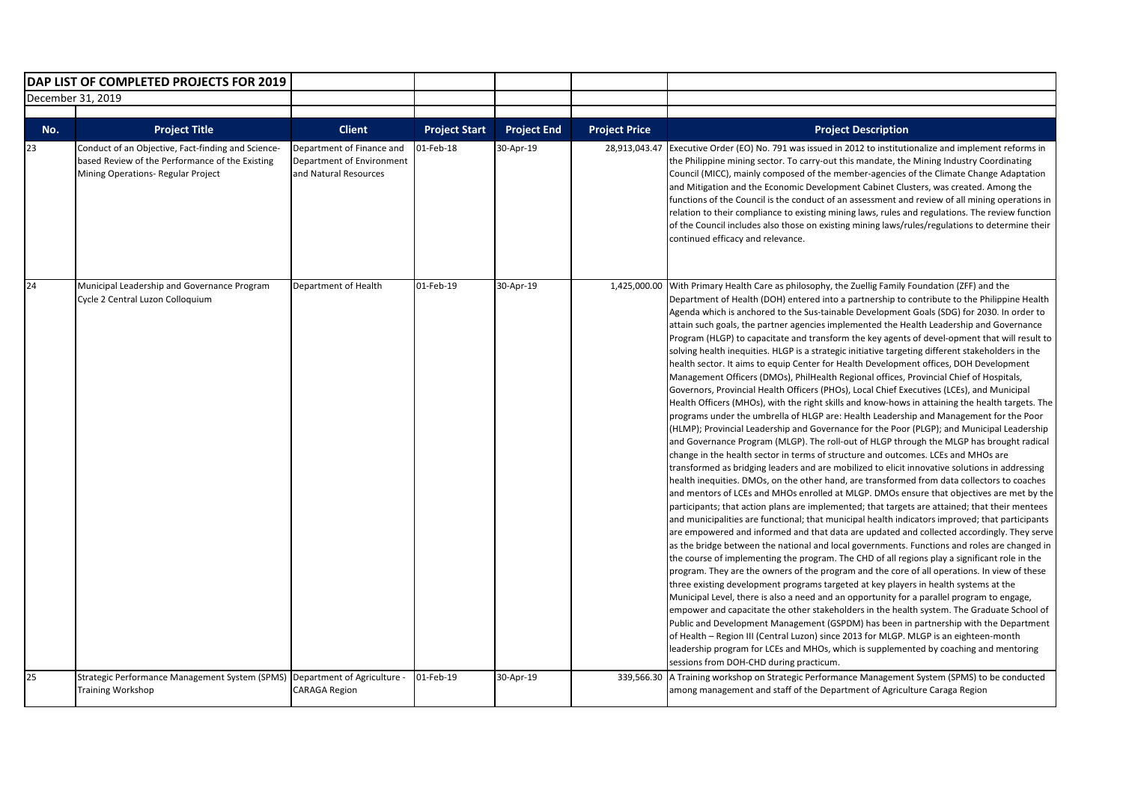|                   | DAP LIST OF COMPLETED PROJECTS FOR 2019                                                                                                     |                                                                                 |                      |                    |                      |                                                                                                                                                                                                                                                                                                                                                                                                                                                                                                                                                                                                                                                                                                                                                                                                                                                                                                                                                                                                                                                                                                                                                                                                                                                                                                                                                                                                                                                                                                                                                                                                                                                                                                                                                                                                                                                                                                                                                                                                                                                                                                                                                                                                                                                                                                                                                                                                                                                                                                                                                                                                                                                                                                                                                                                                                                                                 |
|-------------------|---------------------------------------------------------------------------------------------------------------------------------------------|---------------------------------------------------------------------------------|----------------------|--------------------|----------------------|-----------------------------------------------------------------------------------------------------------------------------------------------------------------------------------------------------------------------------------------------------------------------------------------------------------------------------------------------------------------------------------------------------------------------------------------------------------------------------------------------------------------------------------------------------------------------------------------------------------------------------------------------------------------------------------------------------------------------------------------------------------------------------------------------------------------------------------------------------------------------------------------------------------------------------------------------------------------------------------------------------------------------------------------------------------------------------------------------------------------------------------------------------------------------------------------------------------------------------------------------------------------------------------------------------------------------------------------------------------------------------------------------------------------------------------------------------------------------------------------------------------------------------------------------------------------------------------------------------------------------------------------------------------------------------------------------------------------------------------------------------------------------------------------------------------------------------------------------------------------------------------------------------------------------------------------------------------------------------------------------------------------------------------------------------------------------------------------------------------------------------------------------------------------------------------------------------------------------------------------------------------------------------------------------------------------------------------------------------------------------------------------------------------------------------------------------------------------------------------------------------------------------------------------------------------------------------------------------------------------------------------------------------------------------------------------------------------------------------------------------------------------------------------------------------------------------------------------------------------------|
| December 31, 2019 |                                                                                                                                             |                                                                                 |                      |                    |                      |                                                                                                                                                                                                                                                                                                                                                                                                                                                                                                                                                                                                                                                                                                                                                                                                                                                                                                                                                                                                                                                                                                                                                                                                                                                                                                                                                                                                                                                                                                                                                                                                                                                                                                                                                                                                                                                                                                                                                                                                                                                                                                                                                                                                                                                                                                                                                                                                                                                                                                                                                                                                                                                                                                                                                                                                                                                                 |
|                   |                                                                                                                                             |                                                                                 |                      |                    |                      |                                                                                                                                                                                                                                                                                                                                                                                                                                                                                                                                                                                                                                                                                                                                                                                                                                                                                                                                                                                                                                                                                                                                                                                                                                                                                                                                                                                                                                                                                                                                                                                                                                                                                                                                                                                                                                                                                                                                                                                                                                                                                                                                                                                                                                                                                                                                                                                                                                                                                                                                                                                                                                                                                                                                                                                                                                                                 |
| No.               | <b>Project Title</b>                                                                                                                        | <b>Client</b>                                                                   | <b>Project Start</b> | <b>Project End</b> | <b>Project Price</b> | <b>Project Description</b>                                                                                                                                                                                                                                                                                                                                                                                                                                                                                                                                                                                                                                                                                                                                                                                                                                                                                                                                                                                                                                                                                                                                                                                                                                                                                                                                                                                                                                                                                                                                                                                                                                                                                                                                                                                                                                                                                                                                                                                                                                                                                                                                                                                                                                                                                                                                                                                                                                                                                                                                                                                                                                                                                                                                                                                                                                      |
| 23                | Conduct of an Objective, Fact-finding and Science-<br>based Review of the Performance of the Existing<br>Mining Operations- Regular Project | Department of Finance and<br>Department of Environment<br>and Natural Resources | 01-Feb-18            | 30-Apr-19          | 28,913,043.47        | Executive Order (EO) No. 791 was issued in 2012 to institutionalize and implement reforms in<br>the Philippine mining sector. To carry-out this mandate, the Mining Industry Coordinating<br>Council (MICC), mainly composed of the member-agencies of the Climate Change Adaptation<br>and Mitigation and the Economic Development Cabinet Clusters, was created. Among the<br>functions of the Council is the conduct of an assessment and review of all mining operations in<br>relation to their compliance to existing mining laws, rules and regulations. The review function<br>of the Council includes also those on existing mining laws/rules/regulations to determine their<br>continued efficacy and relevance.                                                                                                                                                                                                                                                                                                                                                                                                                                                                                                                                                                                                                                                                                                                                                                                                                                                                                                                                                                                                                                                                                                                                                                                                                                                                                                                                                                                                                                                                                                                                                                                                                                                                                                                                                                                                                                                                                                                                                                                                                                                                                                                                     |
| 24                | Municipal Leadership and Governance Program<br>Cycle 2 Central Luzon Colloquium                                                             | Department of Health                                                            | 01-Feb-19            | 30-Apr-19          | 1,425,000.00         | With Primary Health Care as philosophy, the Zuellig Family Foundation (ZFF) and the<br>Department of Health (DOH) entered into a partnership to contribute to the Philippine Health<br>Agenda which is anchored to the Sus-tainable Development Goals (SDG) for 2030. In order to<br>attain such goals, the partner agencies implemented the Health Leadership and Governance<br>Program (HLGP) to capacitate and transform the key agents of devel-opment that will result to<br>solving health inequities. HLGP is a strategic initiative targeting different stakeholders in the<br>health sector. It aims to equip Center for Health Development offices, DOH Development<br>Management Officers (DMOs), PhilHealth Regional offices, Provincial Chief of Hospitals,<br>Governors, Provincial Health Officers (PHOs), Local Chief Executives (LCEs), and Municipal<br>Health Officers (MHOs), with the right skills and know-hows in attaining the health targets. The<br>programs under the umbrella of HLGP are: Health Leadership and Management for the Poor<br>(HLMP); Provincial Leadership and Governance for the Poor (PLGP); and Municipal Leadership<br>and Governance Program (MLGP). The roll-out of HLGP through the MLGP has brought radical<br>change in the health sector in terms of structure and outcomes. LCEs and MHOs are<br>transformed as bridging leaders and are mobilized to elicit innovative solutions in addressing<br>health inequities. DMOs, on the other hand, are transformed from data collectors to coaches<br>and mentors of LCEs and MHOs enrolled at MLGP. DMOs ensure that objectives are met by the<br>participants; that action plans are implemented; that targets are attained; that their mentees<br>and municipalities are functional; that municipal health indicators improved; that participants<br>are empowered and informed and that data are updated and collected accordingly. They serve<br>as the bridge between the national and local governments. Functions and roles are changed in<br>the course of implementing the program. The CHD of all regions play a significant role in the<br>program. They are the owners of the program and the core of all operations. In view of these<br>three existing development programs targeted at key players in health systems at the<br>Municipal Level, there is also a need and an opportunity for a parallel program to engage,<br>empower and capacitate the other stakeholders in the health system. The Graduate School of<br>Public and Development Management (GSPDM) has been in partnership with the Department<br>of Health - Region III (Central Luzon) since 2013 for MLGP. MLGP is an eighteen-month<br>leadership program for LCEs and MHOs, which is supplemented by coaching and mentoring<br>sessions from DOH-CHD during practicum. |
| 25                | Strategic Performance Management System (SPMS)   Department of Agriculture -<br><b>Training Workshop</b>                                    | <b>CARAGA Region</b>                                                            | 01-Feb-19            | 30-Apr-19          |                      | 339,566.30 A Training workshop on Strategic Performance Management System (SPMS) to be conducted<br>among management and staff of the Department of Agriculture Caraga Region                                                                                                                                                                                                                                                                                                                                                                                                                                                                                                                                                                                                                                                                                                                                                                                                                                                                                                                                                                                                                                                                                                                                                                                                                                                                                                                                                                                                                                                                                                                                                                                                                                                                                                                                                                                                                                                                                                                                                                                                                                                                                                                                                                                                                                                                                                                                                                                                                                                                                                                                                                                                                                                                                   |
|                   |                                                                                                                                             |                                                                                 |                      |                    |                      |                                                                                                                                                                                                                                                                                                                                                                                                                                                                                                                                                                                                                                                                                                                                                                                                                                                                                                                                                                                                                                                                                                                                                                                                                                                                                                                                                                                                                                                                                                                                                                                                                                                                                                                                                                                                                                                                                                                                                                                                                                                                                                                                                                                                                                                                                                                                                                                                                                                                                                                                                                                                                                                                                                                                                                                                                                                                 |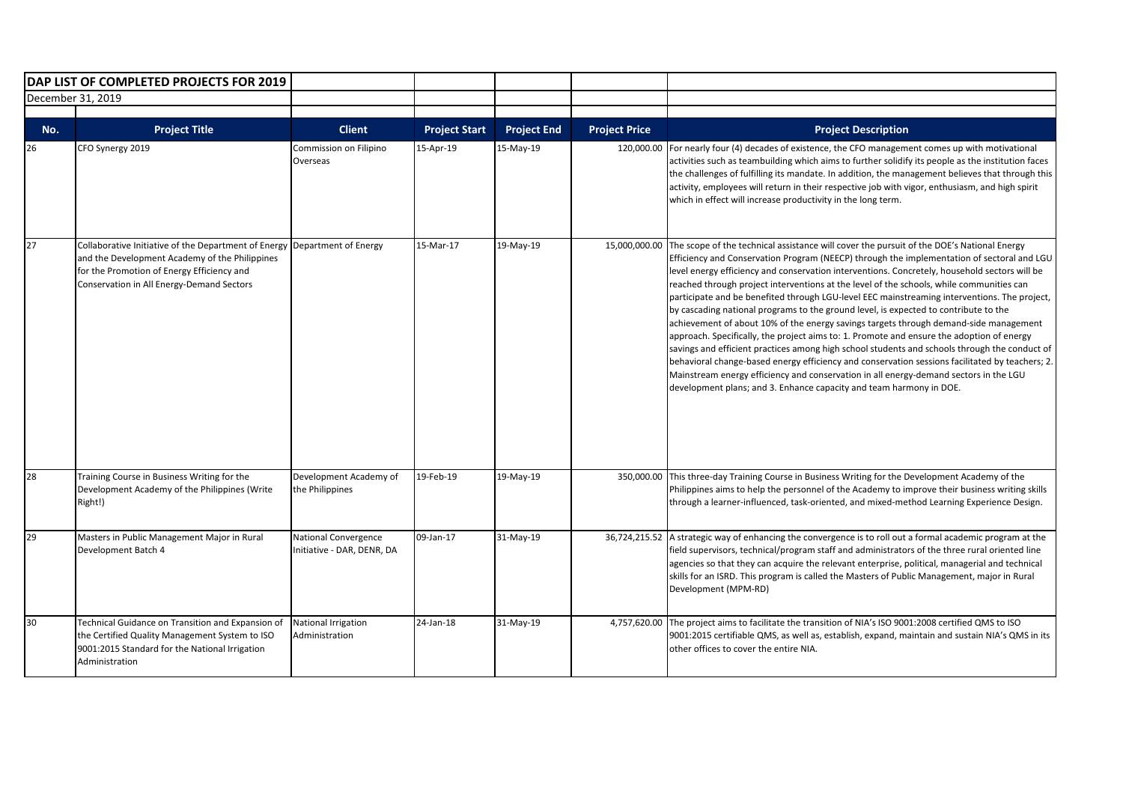|     | DAP LIST OF COMPLETED PROJECTS FOR 2019<br>December 31, 2019                                                                                                                                      |                                                   |                      |                    |                      |                                                                                                                                                                                                                                                                                                                                                                                                                                                                                                                                                                                                                                                                                                                                                                                                                                                                                                                                                                                                                                                                                                                                                      |
|-----|---------------------------------------------------------------------------------------------------------------------------------------------------------------------------------------------------|---------------------------------------------------|----------------------|--------------------|----------------------|------------------------------------------------------------------------------------------------------------------------------------------------------------------------------------------------------------------------------------------------------------------------------------------------------------------------------------------------------------------------------------------------------------------------------------------------------------------------------------------------------------------------------------------------------------------------------------------------------------------------------------------------------------------------------------------------------------------------------------------------------------------------------------------------------------------------------------------------------------------------------------------------------------------------------------------------------------------------------------------------------------------------------------------------------------------------------------------------------------------------------------------------------|
|     |                                                                                                                                                                                                   |                                                   |                      |                    |                      |                                                                                                                                                                                                                                                                                                                                                                                                                                                                                                                                                                                                                                                                                                                                                                                                                                                                                                                                                                                                                                                                                                                                                      |
| No. | <b>Project Title</b>                                                                                                                                                                              | <b>Client</b>                                     | <b>Project Start</b> | <b>Project End</b> | <b>Project Price</b> | <b>Project Description</b>                                                                                                                                                                                                                                                                                                                                                                                                                                                                                                                                                                                                                                                                                                                                                                                                                                                                                                                                                                                                                                                                                                                           |
| 26  | CFO Synergy 2019                                                                                                                                                                                  | Commission on Filipino<br>Overseas                | 15-Apr-19            | 15-May-19          | 120,000.00           | For nearly four (4) decades of existence, the CFO management comes up with motivational<br>activities such as teambuilding which aims to further solidify its people as the institution faces<br>the challenges of fulfilling its mandate. In addition, the management believes that through this<br>activity, employees will return in their respective job with vigor, enthusiasm, and high spirit<br>which in effect will increase productivity in the long term.                                                                                                                                                                                                                                                                                                                                                                                                                                                                                                                                                                                                                                                                                 |
| 27  | Collaborative Initiative of the Department of Energy<br>and the Development Academy of the Philippines<br>for the Promotion of Energy Efficiency and<br>Conservation in All Energy-Demand Sectors | Department of Energy                              | 15-Mar-17            | 19-May-19          |                      | 15,000,000.00 The scope of the technical assistance will cover the pursuit of the DOE's National Energy<br>Efficiency and Conservation Program (NEECP) through the implementation of sectoral and LGU<br>level energy efficiency and conservation interventions. Concretely, household sectors will be<br>reached through project interventions at the level of the schools, while communities can<br>participate and be benefited through LGU-level EEC mainstreaming interventions. The project,<br>by cascading national programs to the ground level, is expected to contribute to the<br>achievement of about 10% of the energy savings targets through demand-side management<br>approach. Specifically, the project aims to: 1. Promote and ensure the adoption of energy<br>savings and efficient practices among high school students and schools through the conduct of<br>behavioral change-based energy efficiency and conservation sessions facilitated by teachers; 2.<br>Mainstream energy efficiency and conservation in all energy-demand sectors in the LGU<br>development plans; and 3. Enhance capacity and team harmony in DOE. |
| 28  | Training Course in Business Writing for the<br>Development Academy of the Philippines (Write<br>Right!)                                                                                           | Development Academy of<br>the Philippines         | 19-Feb-19            | 19-May-19          |                      | 350,000.00 This three-day Training Course in Business Writing for the Development Academy of the<br>Philippines aims to help the personnel of the Academy to improve their business writing skills<br>through a learner-influenced, task-oriented, and mixed-method Learning Experience Design.                                                                                                                                                                                                                                                                                                                                                                                                                                                                                                                                                                                                                                                                                                                                                                                                                                                      |
| 29  | Masters in Public Management Major in Rural<br>Development Batch 4                                                                                                                                | National Convergence<br>nitiative - DAR, DENR, DA | 09-Jan-17            | 31-May-19          |                      | 36,724,215.52 A strategic way of enhancing the convergence is to roll out a formal academic program at the<br>field supervisors, technical/program staff and administrators of the three rural oriented line<br>agencies so that they can acquire the relevant enterprise, political, managerial and technical<br>skills for an ISRD. This program is called the Masters of Public Management, major in Rural<br>Development (MPM-RD)                                                                                                                                                                                                                                                                                                                                                                                                                                                                                                                                                                                                                                                                                                                |
| 30  | Technical Guidance on Transition and Expansion of<br>the Certified Quality Management System to ISO<br>9001:2015 Standard for the National Irrigation<br>Administration                           | National Irrigation<br>Administration             | 24-Jan-18            | 31-May-19          |                      | 4,757,620.00 The project aims to facilitate the transition of NIA's ISO 9001:2008 certified QMS to ISO<br>9001:2015 certifiable QMS, as well as, establish, expand, maintain and sustain NIA's QMS in its<br>other offices to cover the entire NIA.                                                                                                                                                                                                                                                                                                                                                                                                                                                                                                                                                                                                                                                                                                                                                                                                                                                                                                  |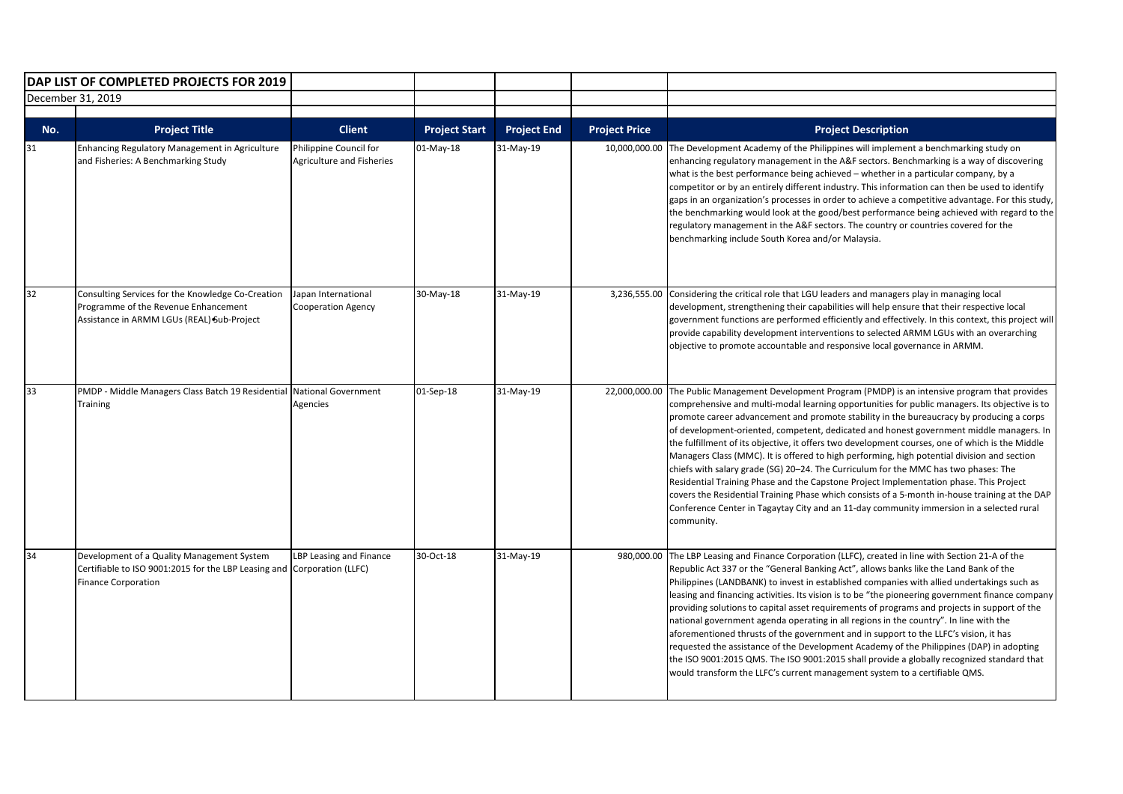|     | DAP LIST OF COMPLETED PROJECTS FOR 2019                                                                                                             |                                                     |                      |                    |                      |                                                                                                                                                                                                                                                                                                                                                                                                                                                                                                                                                                                                                                                                                                                                                                                                                                                                                                                                                                               |
|-----|-----------------------------------------------------------------------------------------------------------------------------------------------------|-----------------------------------------------------|----------------------|--------------------|----------------------|-------------------------------------------------------------------------------------------------------------------------------------------------------------------------------------------------------------------------------------------------------------------------------------------------------------------------------------------------------------------------------------------------------------------------------------------------------------------------------------------------------------------------------------------------------------------------------------------------------------------------------------------------------------------------------------------------------------------------------------------------------------------------------------------------------------------------------------------------------------------------------------------------------------------------------------------------------------------------------|
|     | December 31, 2019                                                                                                                                   |                                                     |                      |                    |                      |                                                                                                                                                                                                                                                                                                                                                                                                                                                                                                                                                                                                                                                                                                                                                                                                                                                                                                                                                                               |
|     |                                                                                                                                                     |                                                     |                      |                    |                      |                                                                                                                                                                                                                                                                                                                                                                                                                                                                                                                                                                                                                                                                                                                                                                                                                                                                                                                                                                               |
| No. | <b>Project Title</b>                                                                                                                                | <b>Client</b>                                       | <b>Project Start</b> | <b>Project End</b> | <b>Project Price</b> | <b>Project Description</b>                                                                                                                                                                                                                                                                                                                                                                                                                                                                                                                                                                                                                                                                                                                                                                                                                                                                                                                                                    |
| 31  | Enhancing Regulatory Management in Agriculture<br>and Fisheries: A Benchmarking Study                                                               | Philippine Council for<br>Agriculture and Fisheries | 01-May-18            | 31-May-19          | 10,000,000.00        | The Development Academy of the Philippines will implement a benchmarking study on<br>enhancing regulatory management in the A&F sectors. Benchmarking is a way of discovering<br>what is the best performance being achieved – whether in a particular company, by a<br>competitor or by an entirely different industry. This information can then be used to identify<br>gaps in an organization's processes in order to achieve a competitive advantage. For this study,<br>the benchmarking would look at the good/best performance being achieved with regard to the<br>regulatory management in the A&F sectors. The country or countries covered for the<br>benchmarking include South Korea and/or Malaysia.                                                                                                                                                                                                                                                           |
| 32  | Consulting Services for the Knowledge Co-Creation<br>Programme of the Revenue Enhancement<br>Assistance in ARMM LGUs (REAL) Sub-Project             | Japan International<br><b>Cooperation Agency</b>    | 30-May-18            | 31-May-19          | 3,236,555.00         | Considering the critical role that LGU leaders and managers play in managing local<br>development, strengthening their capabilities will help ensure that their respective local<br>government functions are performed efficiently and effectively. In this context, this project will<br>provide capability development interventions to selected ARMM LGUs with an overarching<br>objective to promote accountable and responsive local governance in ARMM.                                                                                                                                                                                                                                                                                                                                                                                                                                                                                                                 |
| 33  | PMDP - Middle Managers Class Batch 19 Residential National Government<br>Training                                                                   | Agencies                                            | 01-Sep-18            | 31-May-19          | 22.000.000.00        | The Public Management Development Program (PMDP) is an intensive program that provides<br>comprehensive and multi-modal learning opportunities for public managers. Its objective is to<br>promote career advancement and promote stability in the bureaucracy by producing a corps<br>of development-oriented, competent, dedicated and honest government middle managers. In<br>the fulfillment of its objective, it offers two development courses, one of which is the Middle<br>Managers Class (MMC). It is offered to high performing, high potential division and section<br>chiefs with salary grade (SG) 20-24. The Curriculum for the MMC has two phases: The<br>Residential Training Phase and the Capstone Project Implementation phase. This Project<br>covers the Residential Training Phase which consists of a 5-month in-house training at the DAP<br>Conference Center in Tagaytay City and an 11-day community immersion in a selected rural<br>community. |
| 34  | Development of a Quality Management System<br>Certifiable to ISO 9001:2015 for the LBP Leasing and Corporation (LLFC)<br><b>Finance Corporation</b> | LBP Leasing and Finance                             | 30-Oct-18            | 31-May-19          | 980,000.00           | The LBP Leasing and Finance Corporation (LLFC), created in line with Section 21-A of the<br>Republic Act 337 or the "General Banking Act", allows banks like the Land Bank of the<br>Philippines (LANDBANK) to invest in established companies with allied undertakings such as<br>leasing and financing activities. Its vision is to be "the pioneering government finance company<br>providing solutions to capital asset requirements of programs and projects in support of the<br>national government agenda operating in all regions in the country". In line with the<br>aforementioned thrusts of the government and in support to the LLFC's vision, it has<br>requested the assistance of the Development Academy of the Philippines (DAP) in adopting<br>the ISO 9001:2015 QMS. The ISO 9001:2015 shall provide a globally recognized standard that<br>would transform the LLFC's current management system to a certifiable QMS.                                  |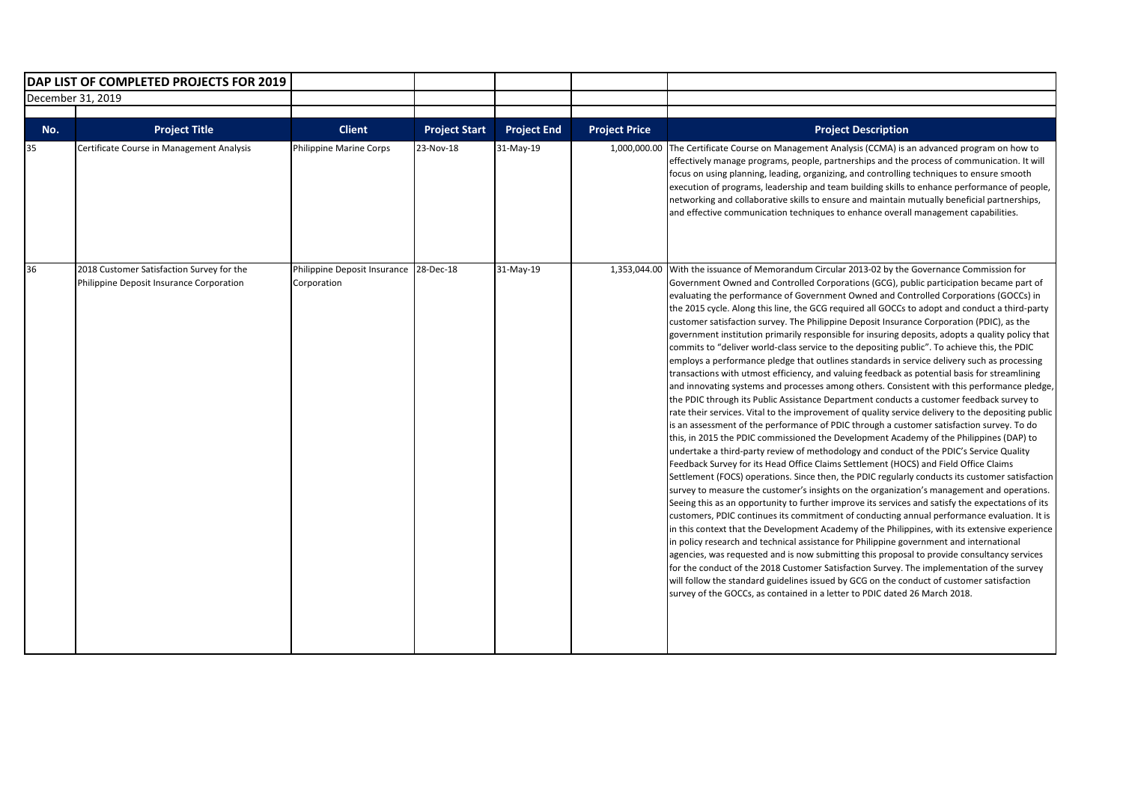|                   | DAP LIST OF COMPLETED PROJECTS FOR 2019                                               |                                                       |                      |                    |                      |                                                                                                                                                                                                                                                                                                                                                                                                                                                                                                                                                                                                                                                                                                                                                                                                                                                                                                                                                                                                                                                                                                                                                                                                                                                                                                                                                                                                                                                                                                                                                                                                                                                                                                                                                                                                                                                                                                                                                                                                                                                                                                                                                                                                                                                                                                                                                                                                                                                                                                                                             |
|-------------------|---------------------------------------------------------------------------------------|-------------------------------------------------------|----------------------|--------------------|----------------------|---------------------------------------------------------------------------------------------------------------------------------------------------------------------------------------------------------------------------------------------------------------------------------------------------------------------------------------------------------------------------------------------------------------------------------------------------------------------------------------------------------------------------------------------------------------------------------------------------------------------------------------------------------------------------------------------------------------------------------------------------------------------------------------------------------------------------------------------------------------------------------------------------------------------------------------------------------------------------------------------------------------------------------------------------------------------------------------------------------------------------------------------------------------------------------------------------------------------------------------------------------------------------------------------------------------------------------------------------------------------------------------------------------------------------------------------------------------------------------------------------------------------------------------------------------------------------------------------------------------------------------------------------------------------------------------------------------------------------------------------------------------------------------------------------------------------------------------------------------------------------------------------------------------------------------------------------------------------------------------------------------------------------------------------------------------------------------------------------------------------------------------------------------------------------------------------------------------------------------------------------------------------------------------------------------------------------------------------------------------------------------------------------------------------------------------------------------------------------------------------------------------------------------------------|
| December 31, 2019 |                                                                                       |                                                       |                      |                    |                      |                                                                                                                                                                                                                                                                                                                                                                                                                                                                                                                                                                                                                                                                                                                                                                                                                                                                                                                                                                                                                                                                                                                                                                                                                                                                                                                                                                                                                                                                                                                                                                                                                                                                                                                                                                                                                                                                                                                                                                                                                                                                                                                                                                                                                                                                                                                                                                                                                                                                                                                                             |
| No.               | <b>Project Title</b>                                                                  | <b>Client</b>                                         | <b>Project Start</b> | <b>Project End</b> | <b>Project Price</b> | <b>Project Description</b>                                                                                                                                                                                                                                                                                                                                                                                                                                                                                                                                                                                                                                                                                                                                                                                                                                                                                                                                                                                                                                                                                                                                                                                                                                                                                                                                                                                                                                                                                                                                                                                                                                                                                                                                                                                                                                                                                                                                                                                                                                                                                                                                                                                                                                                                                                                                                                                                                                                                                                                  |
| 35                | Certificate Course in Management Analysis                                             | <b>Philippine Marine Corps</b>                        | 23-Nov-18            | 31-May-19          |                      | 1,000,000.00 The Certificate Course on Management Analysis (CCMA) is an advanced program on how to<br>effectively manage programs, people, partnerships and the process of communication. It will<br>focus on using planning, leading, organizing, and controlling techniques to ensure smooth<br>execution of programs, leadership and team building skills to enhance performance of people,<br>networking and collaborative skills to ensure and maintain mutually beneficial partnerships,<br>and effective communication techniques to enhance overall management capabilities.                                                                                                                                                                                                                                                                                                                                                                                                                                                                                                                                                                                                                                                                                                                                                                                                                                                                                                                                                                                                                                                                                                                                                                                                                                                                                                                                                                                                                                                                                                                                                                                                                                                                                                                                                                                                                                                                                                                                                        |
| 36                | 2018 Customer Satisfaction Survey for the<br>Philippine Deposit Insurance Corporation | Philippine Deposit Insurance 28-Dec-18<br>Corporation |                      | 31-May-19          |                      | 1,353,044.00 With the issuance of Memorandum Circular 2013-02 by the Governance Commission for<br>Government Owned and Controlled Corporations (GCG), public participation became part of<br>evaluating the performance of Government Owned and Controlled Corporations (GOCCs) in<br>the 2015 cycle. Along this line, the GCG required all GOCCs to adopt and conduct a third-party<br>customer satisfaction survey. The Philippine Deposit Insurance Corporation (PDIC), as the<br>government institution primarily responsible for insuring deposits, adopts a quality policy that<br>commits to "deliver world-class service to the depositing public". To achieve this, the PDIC<br>employs a performance pledge that outlines standards in service delivery such as processing<br>transactions with utmost efficiency, and valuing feedback as potential basis for streamlining<br>and innovating systems and processes among others. Consistent with this performance pledge,<br>the PDIC through its Public Assistance Department conducts a customer feedback survey to<br>rate their services. Vital to the improvement of quality service delivery to the depositing public<br>is an assessment of the performance of PDIC through a customer satisfaction survey. To do<br>this, in 2015 the PDIC commissioned the Development Academy of the Philippines (DAP) to<br>undertake a third-party review of methodology and conduct of the PDIC's Service Quality<br>Feedback Survey for its Head Office Claims Settlement (HOCS) and Field Office Claims<br>Settlement (FOCS) operations. Since then, the PDIC regularly conducts its customer satisfaction<br>survey to measure the customer's insights on the organization's management and operations.<br>Seeing this as an opportunity to further improve its services and satisfy the expectations of its<br>customers, PDIC continues its commitment of conducting annual performance evaluation. It is<br>in this context that the Development Academy of the Philippines, with its extensive experience<br>in policy research and technical assistance for Philippine government and international<br>agencies, was requested and is now submitting this proposal to provide consultancy services<br>for the conduct of the 2018 Customer Satisfaction Survey. The implementation of the survey<br>will follow the standard guidelines issued by GCG on the conduct of customer satisfaction<br>survey of the GOCCs, as contained in a letter to PDIC dated 26 March 2018. |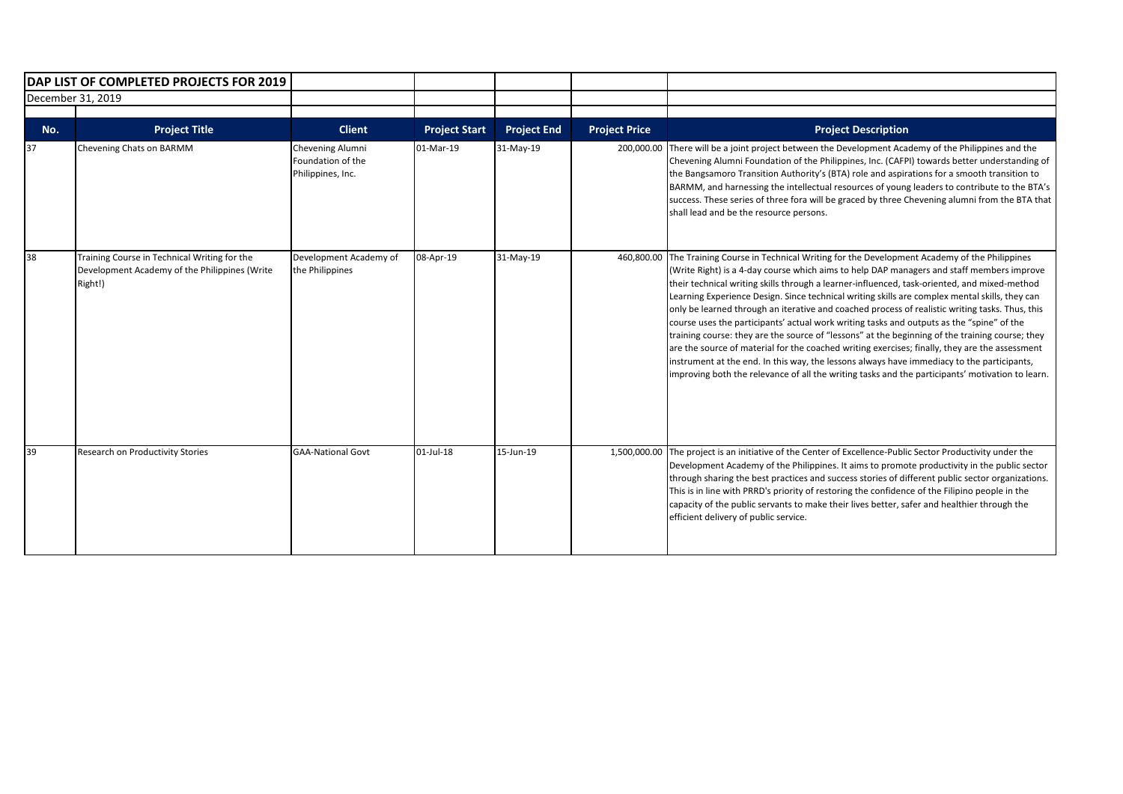|     | DAP LIST OF COMPLETED PROJECTS FOR 2019                                                                  |                                                            |                      |                    |                      |                                                                                                                                                                                                                                                                                                                                                                                                                                                                                                                                                                                                                                                                                                                                                                                                                                                                                                                                                                                                          |
|-----|----------------------------------------------------------------------------------------------------------|------------------------------------------------------------|----------------------|--------------------|----------------------|----------------------------------------------------------------------------------------------------------------------------------------------------------------------------------------------------------------------------------------------------------------------------------------------------------------------------------------------------------------------------------------------------------------------------------------------------------------------------------------------------------------------------------------------------------------------------------------------------------------------------------------------------------------------------------------------------------------------------------------------------------------------------------------------------------------------------------------------------------------------------------------------------------------------------------------------------------------------------------------------------------|
|     | December 31, 2019                                                                                        |                                                            |                      |                    |                      |                                                                                                                                                                                                                                                                                                                                                                                                                                                                                                                                                                                                                                                                                                                                                                                                                                                                                                                                                                                                          |
| No. | <b>Project Title</b>                                                                                     | <b>Client</b>                                              | <b>Project Start</b> | <b>Project End</b> | <b>Project Price</b> | <b>Project Description</b>                                                                                                                                                                                                                                                                                                                                                                                                                                                                                                                                                                                                                                                                                                                                                                                                                                                                                                                                                                               |
| 37  | Chevening Chats on BARMM                                                                                 | Chevening Alumni<br>Foundation of the<br>Philippines, Inc. | 01-Mar-19            | 31-May-19          | 200,000.00           | There will be a joint project between the Development Academy of the Philippines and the<br>Chevening Alumni Foundation of the Philippines, Inc. (CAFPI) towards better understanding of<br>the Bangsamoro Transition Authority's (BTA) role and aspirations for a smooth transition to<br>BARMM, and harnessing the intellectual resources of young leaders to contribute to the BTA's<br>success. These series of three fora will be graced by three Chevening alumni from the BTA that<br>shall lead and be the resource persons.                                                                                                                                                                                                                                                                                                                                                                                                                                                                     |
| 38  | Training Course in Technical Writing for the<br>Development Academy of the Philippines (Write<br>Right!) | Development Academy of<br>the Philippines                  | 08-Apr-19            | 31-May-19          |                      | 460,800.00 The Training Course in Technical Writing for the Development Academy of the Philippines<br>(Write Right) is a 4-day course which aims to help DAP managers and staff members improve<br>their technical writing skills through a learner-influenced, task-oriented, and mixed-method<br>Learning Experience Design. Since technical writing skills are complex mental skills, they can<br>only be learned through an iterative and coached process of realistic writing tasks. Thus, this<br>course uses the participants' actual work writing tasks and outputs as the "spine" of the<br>training course: they are the source of "lessons" at the beginning of the training course; they<br>are the source of material for the coached writing exercises; finally, they are the assessment<br>instrument at the end. In this way, the lessons always have immediacy to the participants,<br>improving both the relevance of all the writing tasks and the participants' motivation to learn. |
| 39  | Research on Productivity Stories                                                                         | <b>GAA-National Govt</b>                                   | 01-Jul-18            | 15-Jun-19          | 1,500,000.00         | The project is an initiative of the Center of Excellence-Public Sector Productivity under the<br>Development Academy of the Philippines. It aims to promote productivity in the public sector<br>through sharing the best practices and success stories of different public sector organizations.<br>This is in line with PRRD's priority of restoring the confidence of the Filipino people in the<br>capacity of the public servants to make their lives better, safer and healthier through the<br>efficient delivery of public service.                                                                                                                                                                                                                                                                                                                                                                                                                                                              |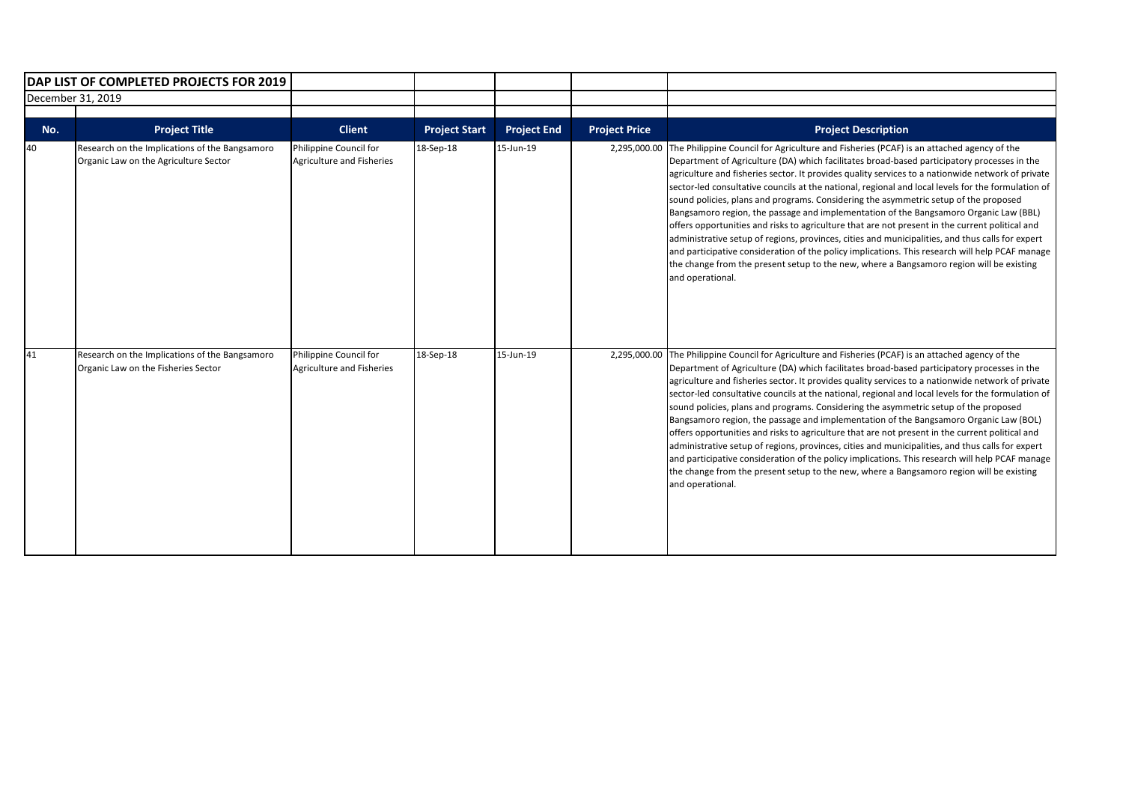|                   | <b>DAP LIST OF COMPLETED PROJECTS FOR 2019</b>                                          |                                                     |                      |                    |                      |                                                                                                                                                                                                                                                                                                                                                                                                                                                                                                                                                                                                                                                                                                                                                                                                                                                                                                                                                                                                                            |
|-------------------|-----------------------------------------------------------------------------------------|-----------------------------------------------------|----------------------|--------------------|----------------------|----------------------------------------------------------------------------------------------------------------------------------------------------------------------------------------------------------------------------------------------------------------------------------------------------------------------------------------------------------------------------------------------------------------------------------------------------------------------------------------------------------------------------------------------------------------------------------------------------------------------------------------------------------------------------------------------------------------------------------------------------------------------------------------------------------------------------------------------------------------------------------------------------------------------------------------------------------------------------------------------------------------------------|
| December 31, 2019 |                                                                                         |                                                     |                      |                    |                      |                                                                                                                                                                                                                                                                                                                                                                                                                                                                                                                                                                                                                                                                                                                                                                                                                                                                                                                                                                                                                            |
| No.               | <b>Project Title</b>                                                                    | <b>Client</b>                                       | <b>Project Start</b> | <b>Project End</b> | <b>Project Price</b> | <b>Project Description</b>                                                                                                                                                                                                                                                                                                                                                                                                                                                                                                                                                                                                                                                                                                                                                                                                                                                                                                                                                                                                 |
| 40                | Research on the Implications of the Bangsamoro<br>Organic Law on the Agriculture Sector | Philippine Council for<br>Agriculture and Fisheries | 18-Sep-18            | 15-Jun-19          | 2,295,000.00         | The Philippine Council for Agriculture and Fisheries (PCAF) is an attached agency of the<br>Department of Agriculture (DA) which facilitates broad-based participatory processes in the<br>agriculture and fisheries sector. It provides quality services to a nationwide network of private<br>sector-led consultative councils at the national, regional and local levels for the formulation of<br>sound policies, plans and programs. Considering the asymmetric setup of the proposed<br>Bangsamoro region, the passage and implementation of the Bangsamoro Organic Law (BBL)<br>offers opportunities and risks to agriculture that are not present in the current political and<br>administrative setup of regions, provinces, cities and municipalities, and thus calls for expert<br>and participative consideration of the policy implications. This research will help PCAF manage<br>the change from the present setup to the new, where a Bangsamoro region will be existing<br>and operational.              |
| 41                | Research on the Implications of the Bangsamoro<br>Organic Law on the Fisheries Sector   | Philippine Council for<br>Agriculture and Fisheries | 18-Sep-18            | 15-Jun-19          |                      | 2,295,000.00 The Philippine Council for Agriculture and Fisheries (PCAF) is an attached agency of the<br>Department of Agriculture (DA) which facilitates broad-based participatory processes in the<br>agriculture and fisheries sector. It provides quality services to a nationwide network of private<br>sector-led consultative councils at the national, regional and local levels for the formulation of<br>sound policies, plans and programs. Considering the asymmetric setup of the proposed<br>Bangsamoro region, the passage and implementation of the Bangsamoro Organic Law (BOL)<br>offers opportunities and risks to agriculture that are not present in the current political and<br>administrative setup of regions, provinces, cities and municipalities, and thus calls for expert<br>and participative consideration of the policy implications. This research will help PCAF manage<br>the change from the present setup to the new, where a Bangsamoro region will be existing<br>and operational. |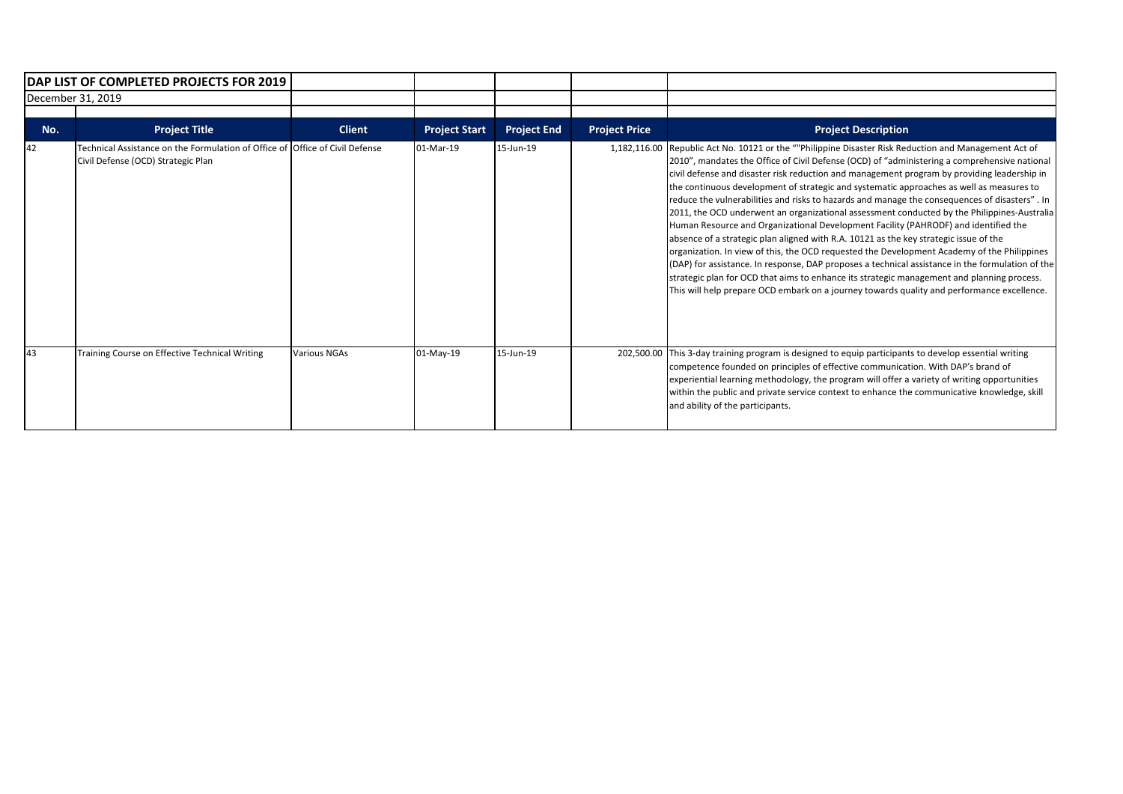|     | DAP LIST OF COMPLETED PROJECTS FOR 2019<br>December 31, 2019                                                       |                     |                      |                    |                      |                                                                                                                                                                                                                                                                                                                                                                                                                                                                                                                                                                                                                                                                                                                                                                                                                                                                                                                                                                                                                                                                                                                                                                                    |
|-----|--------------------------------------------------------------------------------------------------------------------|---------------------|----------------------|--------------------|----------------------|------------------------------------------------------------------------------------------------------------------------------------------------------------------------------------------------------------------------------------------------------------------------------------------------------------------------------------------------------------------------------------------------------------------------------------------------------------------------------------------------------------------------------------------------------------------------------------------------------------------------------------------------------------------------------------------------------------------------------------------------------------------------------------------------------------------------------------------------------------------------------------------------------------------------------------------------------------------------------------------------------------------------------------------------------------------------------------------------------------------------------------------------------------------------------------|
|     |                                                                                                                    |                     |                      |                    |                      |                                                                                                                                                                                                                                                                                                                                                                                                                                                                                                                                                                                                                                                                                                                                                                                                                                                                                                                                                                                                                                                                                                                                                                                    |
| No. | <b>Project Title</b>                                                                                               | <b>Client</b>       | <b>Project Start</b> | <b>Project End</b> | <b>Project Price</b> | <b>Project Description</b>                                                                                                                                                                                                                                                                                                                                                                                                                                                                                                                                                                                                                                                                                                                                                                                                                                                                                                                                                                                                                                                                                                                                                         |
| 42  | Technical Assistance on the Formulation of Office of Office of Civil Defense<br>Civil Defense (OCD) Strategic Plan |                     | 01-Mar-19            | 15-Jun-19          |                      | 1,182,116.00 Republic Act No. 10121 or the ""Philippine Disaster Risk Reduction and Management Act of<br>[2010", mandates the Office of Civil Defense (OCD) of "administering a comprehensive national<br>civil defense and disaster risk reduction and management program by providing leadership in<br>the continuous development of strategic and systematic approaches as well as measures to<br>reduce the vulnerabilities and risks to hazards and manage the consequences of disasters". In<br>[2011, the OCD underwent an organizational assessment conducted by the Philippines-Australia]<br>Human Resource and Organizational Development Facility (PAHRODF) and identified the<br>absence of a strategic plan aligned with R.A. 10121 as the key strategic issue of the<br>organization. In view of this, the OCD requested the Development Academy of the Philippines<br>(DAP) for assistance. In response, DAP proposes a technical assistance in the formulation of the<br>strategic plan for OCD that aims to enhance its strategic management and planning process.<br>This will help prepare OCD embark on a journey towards quality and performance excellence. |
| 43  | Training Course on Effective Technical Writing                                                                     | <b>Various NGAs</b> | 01-May-19            | 15-Jun-19          |                      | 202,500.00 This 3-day training program is designed to equip participants to develop essential writing<br>competence founded on principles of effective communication. With DAP's brand of<br>experiential learning methodology, the program will offer a variety of writing opportunities<br>within the public and private service context to enhance the communicative knowledge, skill<br>and ability of the participants.                                                                                                                                                                                                                                                                                                                                                                                                                                                                                                                                                                                                                                                                                                                                                       |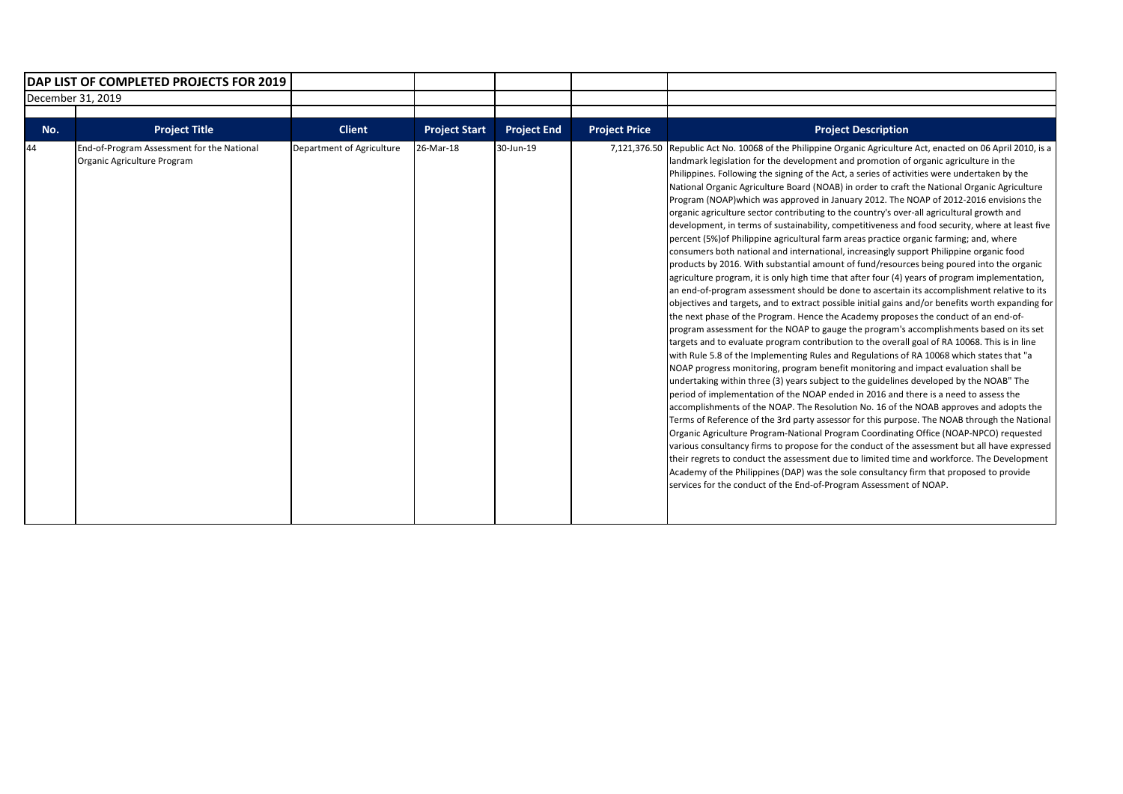| DAP LIST OF COMPLETED PROJECTS FOR 2019 |                                                                           |                           |                      |                    |                      |                                                                                                                                                                                                                                                                                                                                                                                                                                                                                                                                                                                                                                                                                                                                                                                                                                                                                                                                                                                                                                                                                                                                                                                                                                                                                                                                                                                                                                                                                                                                                                                                                                                                                                                                                                                                                                                                                                                                                                                                                                                                                                                                                                                                                                                                                                                                                                                                                                                                                                                                                                                          |
|-----------------------------------------|---------------------------------------------------------------------------|---------------------------|----------------------|--------------------|----------------------|------------------------------------------------------------------------------------------------------------------------------------------------------------------------------------------------------------------------------------------------------------------------------------------------------------------------------------------------------------------------------------------------------------------------------------------------------------------------------------------------------------------------------------------------------------------------------------------------------------------------------------------------------------------------------------------------------------------------------------------------------------------------------------------------------------------------------------------------------------------------------------------------------------------------------------------------------------------------------------------------------------------------------------------------------------------------------------------------------------------------------------------------------------------------------------------------------------------------------------------------------------------------------------------------------------------------------------------------------------------------------------------------------------------------------------------------------------------------------------------------------------------------------------------------------------------------------------------------------------------------------------------------------------------------------------------------------------------------------------------------------------------------------------------------------------------------------------------------------------------------------------------------------------------------------------------------------------------------------------------------------------------------------------------------------------------------------------------------------------------------------------------------------------------------------------------------------------------------------------------------------------------------------------------------------------------------------------------------------------------------------------------------------------------------------------------------------------------------------------------------------------------------------------------------------------------------------------------|
|                                         | December 31, 2019                                                         |                           |                      |                    |                      |                                                                                                                                                                                                                                                                                                                                                                                                                                                                                                                                                                                                                                                                                                                                                                                                                                                                                                                                                                                                                                                                                                                                                                                                                                                                                                                                                                                                                                                                                                                                                                                                                                                                                                                                                                                                                                                                                                                                                                                                                                                                                                                                                                                                                                                                                                                                                                                                                                                                                                                                                                                          |
|                                         |                                                                           |                           |                      |                    |                      |                                                                                                                                                                                                                                                                                                                                                                                                                                                                                                                                                                                                                                                                                                                                                                                                                                                                                                                                                                                                                                                                                                                                                                                                                                                                                                                                                                                                                                                                                                                                                                                                                                                                                                                                                                                                                                                                                                                                                                                                                                                                                                                                                                                                                                                                                                                                                                                                                                                                                                                                                                                          |
| No.                                     | <b>Project Title</b>                                                      | <b>Client</b>             | <b>Project Start</b> | <b>Project End</b> | <b>Project Price</b> | <b>Project Description</b>                                                                                                                                                                                                                                                                                                                                                                                                                                                                                                                                                                                                                                                                                                                                                                                                                                                                                                                                                                                                                                                                                                                                                                                                                                                                                                                                                                                                                                                                                                                                                                                                                                                                                                                                                                                                                                                                                                                                                                                                                                                                                                                                                                                                                                                                                                                                                                                                                                                                                                                                                               |
| 44                                      | End-of-Program Assessment for the National<br>Organic Agriculture Program | Department of Agriculture | 26-Mar-18            | 30-Jun-19          | 7,121,376.50         | Republic Act No. 10068 of the Philippine Organic Agriculture Act, enacted on 06 April 2010, is a<br>landmark legislation for the development and promotion of organic agriculture in the<br>Philippines. Following the signing of the Act, a series of activities were undertaken by the<br>National Organic Agriculture Board (NOAB) in order to craft the National Organic Agriculture<br>Program (NOAP) which was approved in January 2012. The NOAP of 2012-2016 envisions the<br>organic agriculture sector contributing to the country's over-all agricultural growth and<br>development, in terms of sustainability, competitiveness and food security, where at least five<br>percent (5%) of Philippine agricultural farm areas practice organic farming; and, where<br>consumers both national and international, increasingly support Philippine organic food<br>products by 2016. With substantial amount of fund/resources being poured into the organic<br>agriculture program, it is only high time that after four (4) years of program implementation,<br>an end-of-program assessment should be done to ascertain its accomplishment relative to its<br>objectives and targets, and to extract possible initial gains and/or benefits worth expanding for<br>the next phase of the Program. Hence the Academy proposes the conduct of an end-of-<br>program assessment for the NOAP to gauge the program's accomplishments based on its set<br>targets and to evaluate program contribution to the overall goal of RA 10068. This is in line<br>with Rule 5.8 of the Implementing Rules and Regulations of RA 10068 which states that "a<br>NOAP progress monitoring, program benefit monitoring and impact evaluation shall be<br>undertaking within three (3) years subject to the guidelines developed by the NOAB" The<br>period of implementation of the NOAP ended in 2016 and there is a need to assess the<br>accomplishments of the NOAP. The Resolution No. 16 of the NOAB approves and adopts the<br>Terms of Reference of the 3rd party assessor for this purpose. The NOAB through the National<br>Organic Agriculture Program-National Program Coordinating Office (NOAP-NPCO) requested<br>various consultancy firms to propose for the conduct of the assessment but all have expressed<br>their regrets to conduct the assessment due to limited time and workforce. The Development<br>Academy of the Philippines (DAP) was the sole consultancy firm that proposed to provide<br>services for the conduct of the End-of-Program Assessment of NOAP. |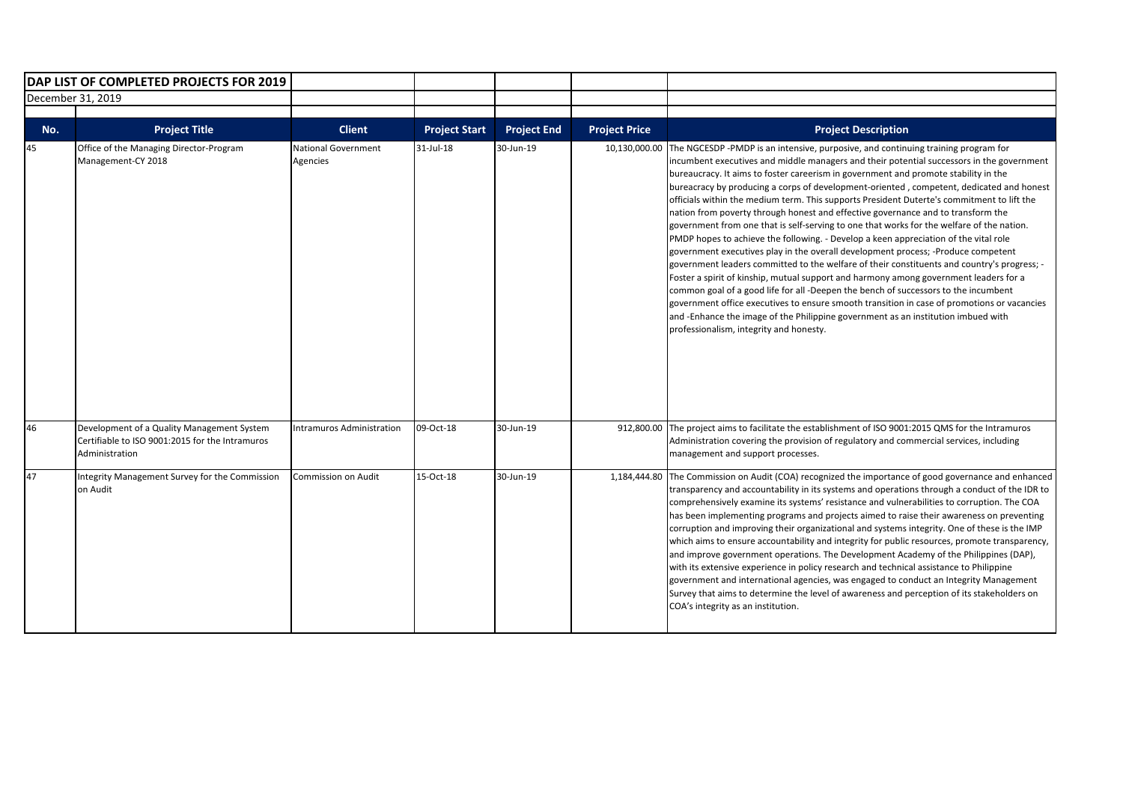| DAP LIST OF COMPLETED PROJECTS FOR 2019 |                                                                                                                 |                                 |                      |                    |                      |                                                                                                                                                                                                                                                                                                                                                                                                                                                                                                                                                                                                                                                                                                                                                                                                                                                                                                                                                                                                                                                                                                                                                                                                                                                                                                                                            |
|-----------------------------------------|-----------------------------------------------------------------------------------------------------------------|---------------------------------|----------------------|--------------------|----------------------|--------------------------------------------------------------------------------------------------------------------------------------------------------------------------------------------------------------------------------------------------------------------------------------------------------------------------------------------------------------------------------------------------------------------------------------------------------------------------------------------------------------------------------------------------------------------------------------------------------------------------------------------------------------------------------------------------------------------------------------------------------------------------------------------------------------------------------------------------------------------------------------------------------------------------------------------------------------------------------------------------------------------------------------------------------------------------------------------------------------------------------------------------------------------------------------------------------------------------------------------------------------------------------------------------------------------------------------------|
|                                         | December 31, 2019                                                                                               |                                 |                      |                    |                      |                                                                                                                                                                                                                                                                                                                                                                                                                                                                                                                                                                                                                                                                                                                                                                                                                                                                                                                                                                                                                                                                                                                                                                                                                                                                                                                                            |
| No.                                     | <b>Project Title</b>                                                                                            | <b>Client</b>                   | <b>Project Start</b> | <b>Project End</b> | <b>Project Price</b> | <b>Project Description</b>                                                                                                                                                                                                                                                                                                                                                                                                                                                                                                                                                                                                                                                                                                                                                                                                                                                                                                                                                                                                                                                                                                                                                                                                                                                                                                                 |
| 45                                      | Office of the Managing Director-Program<br>Management-CY 2018                                                   | National Government<br>Agencies | $31$ -Jul-18         | 30-Jun-19          | 10,130,000.00        | The NGCESDP-PMDP is an intensive, purposive, and continuing training program for<br>incumbent executives and middle managers and their potential successors in the government<br>bureaucracy. It aims to foster careerism in government and promote stability in the<br>bureacracy by producing a corps of development-oriented, competent, dedicated and honest<br>officials within the medium term. This supports President Duterte's commitment to lift the<br>nation from poverty through honest and effective governance and to transform the<br>government from one that is self-serving to one that works for the welfare of the nation.<br>PMDP hopes to achieve the following. - Develop a keen appreciation of the vital role<br>government executives play in the overall development process; -Produce competent<br>government leaders committed to the welfare of their constituents and country's progress; -<br>Foster a spirit of kinship, mutual support and harmony among government leaders for a<br>common goal of a good life for all -Deepen the bench of successors to the incumbent<br>government office executives to ensure smooth transition in case of promotions or vacancies<br>and -Enhance the image of the Philippine government as an institution imbued with<br>professionalism, integrity and honesty. |
| 46                                      | Development of a Quality Management System<br>Certifiable to ISO 9001:2015 for the Intramuros<br>Administration | Intramuros Administration       | 09-Oct-18            | 30-Jun-19          |                      | 912,800.00 The project aims to facilitate the establishment of ISO 9001:2015 QMS for the Intramuros<br>Administration covering the provision of regulatory and commercial services, including<br>management and support processes.                                                                                                                                                                                                                                                                                                                                                                                                                                                                                                                                                                                                                                                                                                                                                                                                                                                                                                                                                                                                                                                                                                         |
| 47                                      | Integrity Management Survey for the Commission<br>on Audit                                                      | Commission on Audit             | 15-Oct-18            | 30-Jun-19          | 1,184,444.80         | The Commission on Audit (COA) recognized the importance of good governance and enhanced<br>transparency and accountability in its systems and operations through a conduct of the IDR to<br>comprehensively examine its systems' resistance and vulnerabilities to corruption. The COA<br>has been implementing programs and projects aimed to raise their awareness on preventing<br>corruption and improving their organizational and systems integrity. One of these is the IMP<br>which aims to ensure accountability and integrity for public resources, promote transparency,<br>and improve government operations. The Development Academy of the Philippines (DAP),<br>with its extensive experience in policy research and technical assistance to Philippine<br>government and international agencies, was engaged to conduct an Integrity Management<br>Survey that aims to determine the level of awareness and perception of its stakeholders on<br>COA's integrity as an institution.                                                                                                                                                                                                                                                                                                                                        |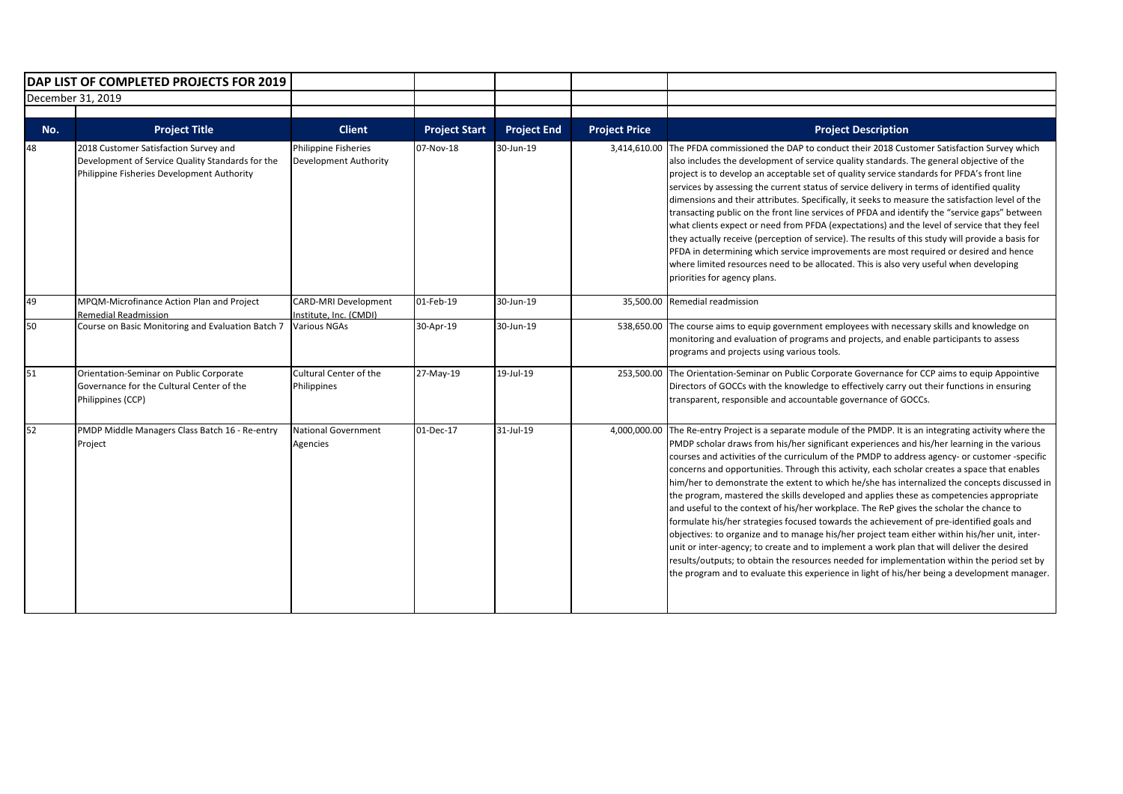| DAP LIST OF COMPLETED PROJECTS FOR 2019 |                                                                                                                                         |                                                       |                      |                    |                      |                                                                                                                                                                                                                                                                                                                                                                                                                                                                                                                                                                                                                                                                                                                                                                                                                                                                                                                                                                                                                                                                                                                                                                                 |
|-----------------------------------------|-----------------------------------------------------------------------------------------------------------------------------------------|-------------------------------------------------------|----------------------|--------------------|----------------------|---------------------------------------------------------------------------------------------------------------------------------------------------------------------------------------------------------------------------------------------------------------------------------------------------------------------------------------------------------------------------------------------------------------------------------------------------------------------------------------------------------------------------------------------------------------------------------------------------------------------------------------------------------------------------------------------------------------------------------------------------------------------------------------------------------------------------------------------------------------------------------------------------------------------------------------------------------------------------------------------------------------------------------------------------------------------------------------------------------------------------------------------------------------------------------|
|                                         | December 31, 2019                                                                                                                       |                                                       |                      |                    |                      |                                                                                                                                                                                                                                                                                                                                                                                                                                                                                                                                                                                                                                                                                                                                                                                                                                                                                                                                                                                                                                                                                                                                                                                 |
| No.                                     | <b>Project Title</b>                                                                                                                    | <b>Client</b>                                         | <b>Project Start</b> | <b>Project End</b> | <b>Project Price</b> | <b>Project Description</b>                                                                                                                                                                                                                                                                                                                                                                                                                                                                                                                                                                                                                                                                                                                                                                                                                                                                                                                                                                                                                                                                                                                                                      |
| 48                                      | 2018 Customer Satisfaction Survey and<br>Development of Service Quality Standards for the<br>Philippine Fisheries Development Authority | Philippine Fisheries<br><b>Development Authority</b>  | 07-Nov-18            | 30-Jun-19          | 3,414,610.00         | The PFDA commissioned the DAP to conduct their 2018 Customer Satisfaction Survey which<br>also includes the development of service quality standards. The general objective of the<br>project is to develop an acceptable set of quality service standards for PFDA's front line<br>services by assessing the current status of service delivery in terms of identified quality<br>dimensions and their attributes. Specifically, it seeks to measure the satisfaction level of the<br>transacting public on the front line services of PFDA and identify the "service gaps" between<br>what clients expect or need from PFDA (expectations) and the level of service that they feel<br>they actually receive (perception of service). The results of this study will provide a basis for<br>PFDA in determining which service improvements are most required or desired and hence<br>where limited resources need to be allocated. This is also very useful when developing<br>priorities for agency plans.                                                                                                                                                                    |
| 49                                      | MPQM-Microfinance Action Plan and Project<br>Remedial Readmission                                                                       | <b>CARD-MRI Development</b><br>Institute, Inc. (CMDI) | 01-Feb-19            | 30-Jun-19          | 35,500.00            | Remedial readmission                                                                                                                                                                                                                                                                                                                                                                                                                                                                                                                                                                                                                                                                                                                                                                                                                                                                                                                                                                                                                                                                                                                                                            |
| 50                                      | Course on Basic Monitoring and Evaluation Batch 7                                                                                       | <b>Various NGAs</b>                                   | 30-Apr-19            | 30-Jun-19          | 538,650.00           | The course aims to equip government employees with necessary skills and knowledge on<br>monitoring and evaluation of programs and projects, and enable participants to assess<br>programs and projects using various tools.                                                                                                                                                                                                                                                                                                                                                                                                                                                                                                                                                                                                                                                                                                                                                                                                                                                                                                                                                     |
| 51                                      | Orientation-Seminar on Public Corporate<br>Governance for the Cultural Center of the<br>Philippines (CCP)                               | <b>Cultural Center of the</b><br>Philippines          | 27-May-19            | 19-Jul-19          | 253,500.00           | The Orientation-Seminar on Public Corporate Governance for CCP aims to equip Appointive<br>Directors of GOCCs with the knowledge to effectively carry out their functions in ensuring<br>transparent, responsible and accountable governance of GOCCs.                                                                                                                                                                                                                                                                                                                                                                                                                                                                                                                                                                                                                                                                                                                                                                                                                                                                                                                          |
| 52                                      | PMDP Middle Managers Class Batch 16 - Re-entry<br>Project                                                                               | <b>National Government</b><br>Agencies                | 01-Dec-17            | 31-Jul-19          | 4,000,000.00         | The Re-entry Project is a separate module of the PMDP. It is an integrating activity where the<br>PMDP scholar draws from his/her significant experiences and his/her learning in the various<br>courses and activities of the curriculum of the PMDP to address agency- or customer -specific<br>concerns and opportunities. Through this activity, each scholar creates a space that enables<br>him/her to demonstrate the extent to which he/she has internalized the concepts discussed in<br>the program, mastered the skills developed and applies these as competencies appropriate<br>and useful to the context of his/her workplace. The ReP gives the scholar the chance to<br>formulate his/her strategies focused towards the achievement of pre-identified goals and<br>objectives: to organize and to manage his/her project team either within his/her unit, inter-<br>unit or inter-agency; to create and to implement a work plan that will deliver the desired<br>results/outputs; to obtain the resources needed for implementation within the period set by<br>the program and to evaluate this experience in light of his/her being a development manager. |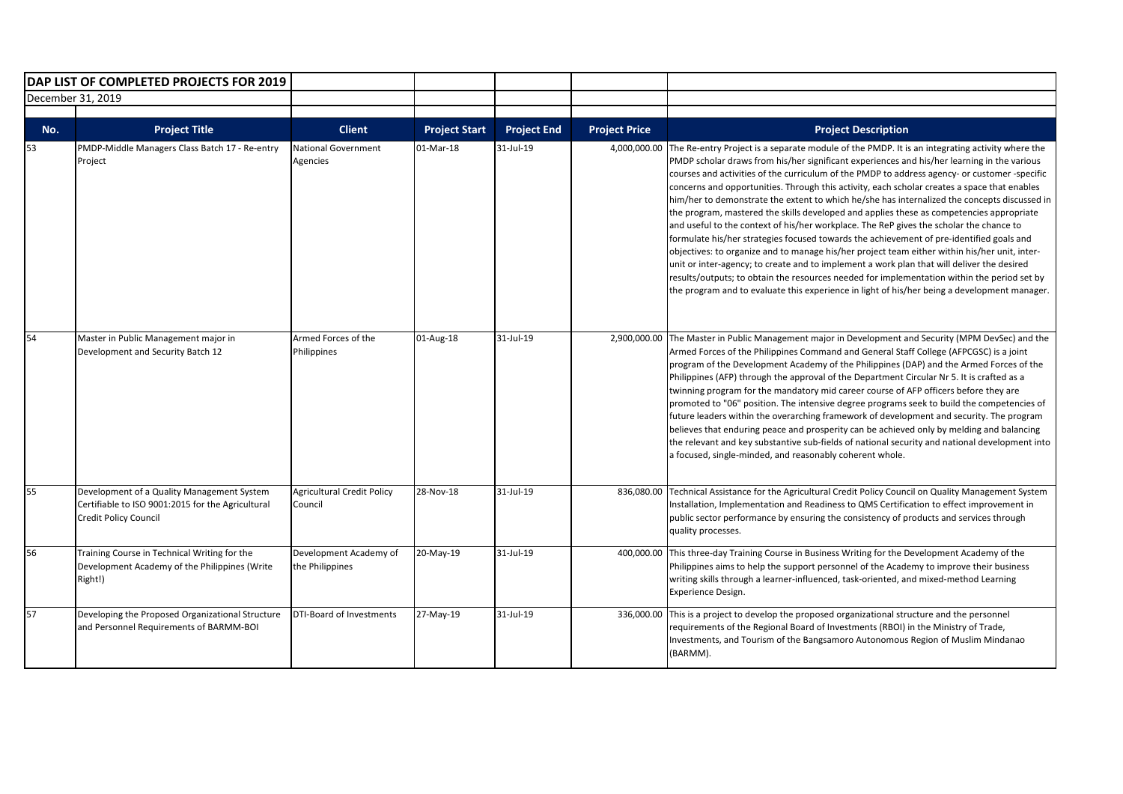| DAP LIST OF COMPLETED PROJECTS FOR 2019 |                                                                                                                                 |                                              |                      |                    |                      |                                                                                                                                                                                                                                                                                                                                                                                                                                                                                                                                                                                                                                                                                                                                                                                                                                                                                                                                                                                                                                                                                                                                                                                 |
|-----------------------------------------|---------------------------------------------------------------------------------------------------------------------------------|----------------------------------------------|----------------------|--------------------|----------------------|---------------------------------------------------------------------------------------------------------------------------------------------------------------------------------------------------------------------------------------------------------------------------------------------------------------------------------------------------------------------------------------------------------------------------------------------------------------------------------------------------------------------------------------------------------------------------------------------------------------------------------------------------------------------------------------------------------------------------------------------------------------------------------------------------------------------------------------------------------------------------------------------------------------------------------------------------------------------------------------------------------------------------------------------------------------------------------------------------------------------------------------------------------------------------------|
| December 31, 2019                       |                                                                                                                                 |                                              |                      |                    |                      |                                                                                                                                                                                                                                                                                                                                                                                                                                                                                                                                                                                                                                                                                                                                                                                                                                                                                                                                                                                                                                                                                                                                                                                 |
|                                         |                                                                                                                                 |                                              |                      |                    |                      |                                                                                                                                                                                                                                                                                                                                                                                                                                                                                                                                                                                                                                                                                                                                                                                                                                                                                                                                                                                                                                                                                                                                                                                 |
| No.                                     | <b>Project Title</b>                                                                                                            | <b>Client</b>                                | <b>Project Start</b> | <b>Project End</b> | <b>Project Price</b> | <b>Project Description</b>                                                                                                                                                                                                                                                                                                                                                                                                                                                                                                                                                                                                                                                                                                                                                                                                                                                                                                                                                                                                                                                                                                                                                      |
| 53                                      | PMDP-Middle Managers Class Batch 17 - Re-entry<br>Project                                                                       | <b>National Government</b><br>Agencies       | 01-Mar-18            | $31 -  u  - 19$    | 4,000,000.00         | The Re-entry Project is a separate module of the PMDP. It is an integrating activity where the<br>PMDP scholar draws from his/her significant experiences and his/her learning in the various<br>courses and activities of the curriculum of the PMDP to address agency- or customer -specific<br>concerns and opportunities. Through this activity, each scholar creates a space that enables<br>him/her to demonstrate the extent to which he/she has internalized the concepts discussed in<br>the program, mastered the skills developed and applies these as competencies appropriate<br>and useful to the context of his/her workplace. The ReP gives the scholar the chance to<br>formulate his/her strategies focused towards the achievement of pre-identified goals and<br>objectives: to organize and to manage his/her project team either within his/her unit, inter-<br>unit or inter-agency; to create and to implement a work plan that will deliver the desired<br>results/outputs; to obtain the resources needed for implementation within the period set by<br>the program and to evaluate this experience in light of his/her being a development manager. |
| 54                                      | Master in Public Management major in<br>Development and Security Batch 12                                                       | Armed Forces of the<br>Philippines           | 01-Aug-18            | 31-Jul-19          | 2,900,000.00         | The Master in Public Management major in Development and Security (MPM DevSec) and the<br>Armed Forces of the Philippines Command and General Staff College (AFPCGSC) is a joint<br>program of the Development Academy of the Philippines (DAP) and the Armed Forces of the<br>Philippines (AFP) through the approval of the Department Circular Nr 5. It is crafted as a<br>twinning program for the mandatory mid career course of AFP officers before they are<br>promoted to "06" position. The intensive degree programs seek to build the competencies of<br>future leaders within the overarching framework of development and security. The program<br>believes that enduring peace and prosperity can be achieved only by melding and balancing<br>the relevant and key substantive sub-fields of national security and national development into<br>a focused, single-minded, and reasonably coherent whole.                                                                                                                                                                                                                                                          |
| 55                                      | Development of a Quality Management System<br>Certifiable to ISO 9001:2015 for the Agricultural<br><b>Credit Policy Council</b> | <b>Agricultural Credit Policy</b><br>Council | 28-Nov-18            | 31-Jul-19          | 836,080.00           | Technical Assistance for the Agricultural Credit Policy Council on Quality Management System<br>Installation, Implementation and Readiness to QMS Certification to effect improvement in<br>public sector performance by ensuring the consistency of products and services through<br>quality processes.                                                                                                                                                                                                                                                                                                                                                                                                                                                                                                                                                                                                                                                                                                                                                                                                                                                                        |
| 56                                      | Training Course in Technical Writing for the<br>Development Academy of the Philippines (Write<br>Right!)                        | Development Academy of<br>the Philippines    | 20-May-19            | 31-Jul-19          | 400,000.00           | This three-day Training Course in Business Writing for the Development Academy of the<br>Philippines aims to help the support personnel of the Academy to improve their business<br>writing skills through a learner-influenced, task-oriented, and mixed-method Learning<br>Experience Design.                                                                                                                                                                                                                                                                                                                                                                                                                                                                                                                                                                                                                                                                                                                                                                                                                                                                                 |
| 57                                      | Developing the Proposed Organizational Structure<br>and Personnel Requirements of BARMM-BOI                                     | DTI-Board of Investments                     | 27-May-19            | 31-Jul-19          | 336,000.00           | This is a project to develop the proposed organizational structure and the personnel<br>requirements of the Regional Board of Investments (RBOI) in the Ministry of Trade,<br>Investments, and Tourism of the Bangsamoro Autonomous Region of Muslim Mindanao<br>(BARMM).                                                                                                                                                                                                                                                                                                                                                                                                                                                                                                                                                                                                                                                                                                                                                                                                                                                                                                       |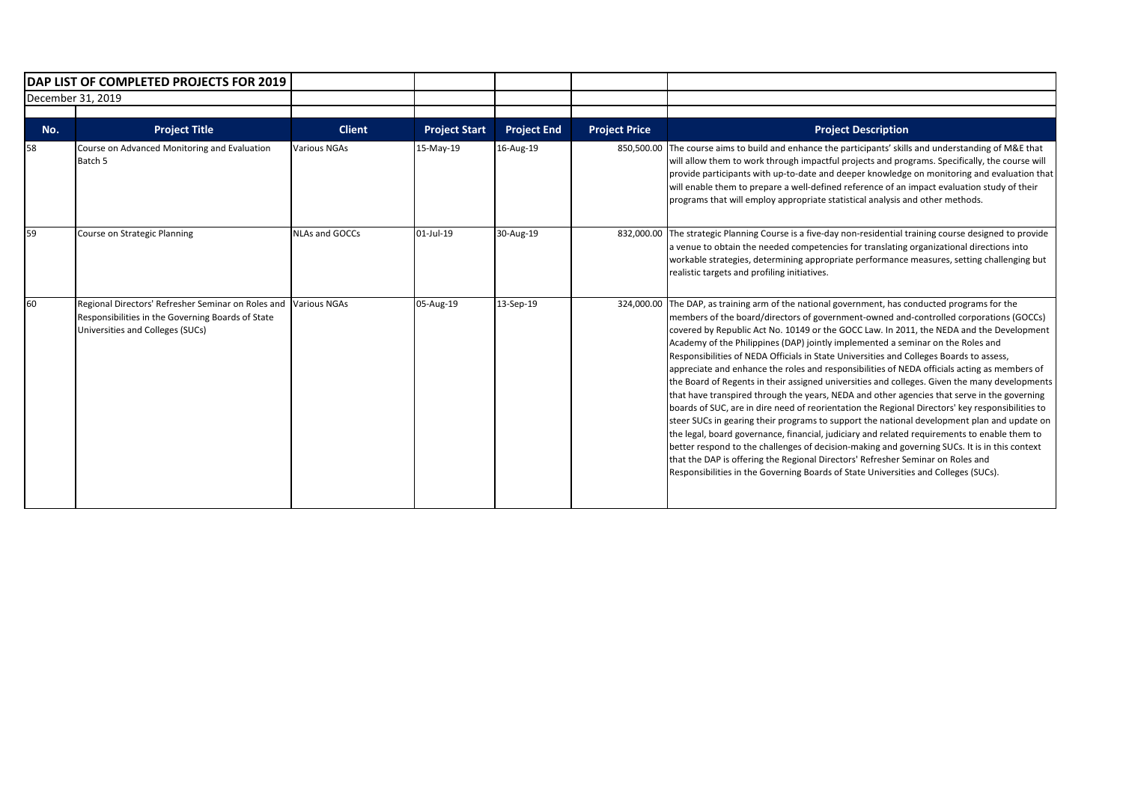|                   | DAP LIST OF COMPLETED PROJECTS FOR 2019                                                                                                     |                       |                      |                    |                      |                                                                                                                                                                                                                                                                                                                                                                                                                                                                                                                                                                                                                                                                                                                                                                                                                                                                                                                                                                                                                                                                                                                                                                                                                                                                                                                                                  |
|-------------------|---------------------------------------------------------------------------------------------------------------------------------------------|-----------------------|----------------------|--------------------|----------------------|--------------------------------------------------------------------------------------------------------------------------------------------------------------------------------------------------------------------------------------------------------------------------------------------------------------------------------------------------------------------------------------------------------------------------------------------------------------------------------------------------------------------------------------------------------------------------------------------------------------------------------------------------------------------------------------------------------------------------------------------------------------------------------------------------------------------------------------------------------------------------------------------------------------------------------------------------------------------------------------------------------------------------------------------------------------------------------------------------------------------------------------------------------------------------------------------------------------------------------------------------------------------------------------------------------------------------------------------------|
| December 31, 2019 |                                                                                                                                             |                       |                      |                    |                      |                                                                                                                                                                                                                                                                                                                                                                                                                                                                                                                                                                                                                                                                                                                                                                                                                                                                                                                                                                                                                                                                                                                                                                                                                                                                                                                                                  |
| No.               | <b>Project Title</b>                                                                                                                        | <b>Client</b>         | <b>Project Start</b> | <b>Project End</b> | <b>Project Price</b> | <b>Project Description</b>                                                                                                                                                                                                                                                                                                                                                                                                                                                                                                                                                                                                                                                                                                                                                                                                                                                                                                                                                                                                                                                                                                                                                                                                                                                                                                                       |
| 58                | Course on Advanced Monitoring and Evaluation<br>Batch 5                                                                                     | <b>Various NGAs</b>   | 15-May-19            | 16-Aug-19          | 850,500.00           | The course aims to build and enhance the participants' skills and understanding of M&E that<br>will allow them to work through impactful projects and programs. Specifically, the course will<br>provide participants with up-to-date and deeper knowledge on monitoring and evaluation that<br>will enable them to prepare a well-defined reference of an impact evaluation study of their<br>programs that will employ appropriate statistical analysis and other methods.                                                                                                                                                                                                                                                                                                                                                                                                                                                                                                                                                                                                                                                                                                                                                                                                                                                                     |
| 59                | Course on Strategic Planning                                                                                                                | <b>NLAs and GOCCs</b> | 01-Jul-19            | 30-Aug-19          |                      | 832,000.00 The strategic Planning Course is a five-day non-residential training course designed to provide<br>a venue to obtain the needed competencies for translating organizational directions into<br>workable strategies, determining appropriate performance measures, setting challenging but<br>realistic targets and profiling initiatives.                                                                                                                                                                                                                                                                                                                                                                                                                                                                                                                                                                                                                                                                                                                                                                                                                                                                                                                                                                                             |
| 60                | Regional Directors' Refresher Seminar on Roles and<br>Responsibilities in the Governing Boards of State<br>Universities and Colleges (SUCs) | <b>Various NGAs</b>   | 05-Aug-19            | 13-Sep-19          |                      | 324,000.00 The DAP, as training arm of the national government, has conducted programs for the<br>members of the board/directors of government-owned and-controlled corporations (GOCCs)<br>covered by Republic Act No. 10149 or the GOCC Law. In 2011, the NEDA and the Development<br>Academy of the Philippines (DAP) jointly implemented a seminar on the Roles and<br>Responsibilities of NEDA Officials in State Universities and Colleges Boards to assess,<br>appreciate and enhance the roles and responsibilities of NEDA officials acting as members of<br>the Board of Regents in their assigned universities and colleges. Given the many developments<br>that have transpired through the years, NEDA and other agencies that serve in the governing<br>boards of SUC, are in dire need of reorientation the Regional Directors' key responsibilities to<br>steer SUCs in gearing their programs to support the national development plan and update on<br>the legal, board governance, financial, judiciary and related requirements to enable them to<br>better respond to the challenges of decision-making and governing SUCs. It is in this context<br>that the DAP is offering the Regional Directors' Refresher Seminar on Roles and<br>Responsibilities in the Governing Boards of State Universities and Colleges (SUCs). |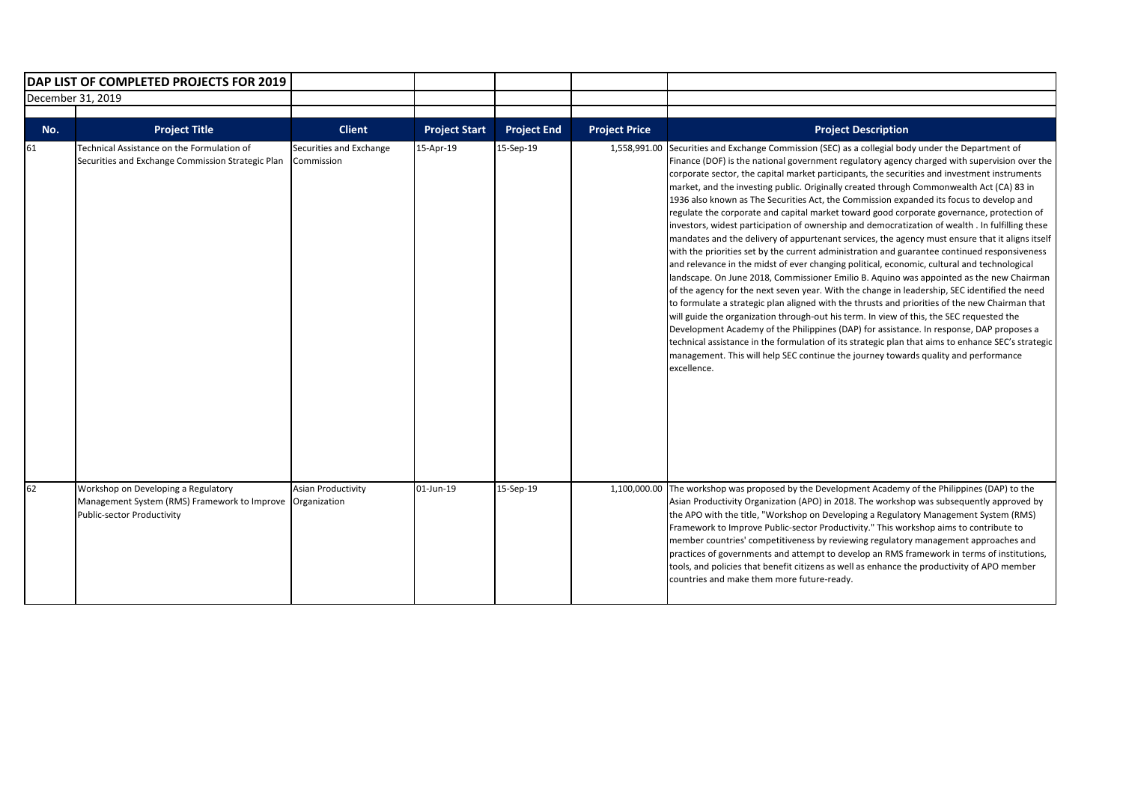| DAP LIST OF COMPLETED PROJECTS FOR 2019 |                                                                                                                   |                                           |                      |                    |                      |                                                                                                                                                                                                                                                                                                                                                                                                                                                                                                                                                                                                                                                                                                                                                                                                                                                                                                                                                                                                                                                                                                                                                                                                                                                                                                                                                                                                                                                                                                                                                                                                                                                                                   |
|-----------------------------------------|-------------------------------------------------------------------------------------------------------------------|-------------------------------------------|----------------------|--------------------|----------------------|-----------------------------------------------------------------------------------------------------------------------------------------------------------------------------------------------------------------------------------------------------------------------------------------------------------------------------------------------------------------------------------------------------------------------------------------------------------------------------------------------------------------------------------------------------------------------------------------------------------------------------------------------------------------------------------------------------------------------------------------------------------------------------------------------------------------------------------------------------------------------------------------------------------------------------------------------------------------------------------------------------------------------------------------------------------------------------------------------------------------------------------------------------------------------------------------------------------------------------------------------------------------------------------------------------------------------------------------------------------------------------------------------------------------------------------------------------------------------------------------------------------------------------------------------------------------------------------------------------------------------------------------------------------------------------------|
| December 31, 2019                       |                                                                                                                   |                                           |                      |                    |                      |                                                                                                                                                                                                                                                                                                                                                                                                                                                                                                                                                                                                                                                                                                                                                                                                                                                                                                                                                                                                                                                                                                                                                                                                                                                                                                                                                                                                                                                                                                                                                                                                                                                                                   |
| No.                                     | <b>Project Title</b>                                                                                              | <b>Client</b>                             | <b>Project Start</b> | <b>Project End</b> | <b>Project Price</b> | <b>Project Description</b>                                                                                                                                                                                                                                                                                                                                                                                                                                                                                                                                                                                                                                                                                                                                                                                                                                                                                                                                                                                                                                                                                                                                                                                                                                                                                                                                                                                                                                                                                                                                                                                                                                                        |
| 61                                      | Technical Assistance on the Formulation of<br>Securities and Exchange Commission Strategic Plan                   | Securities and Exchange<br>Commission     | 15-Apr-19            | 15-Sep-19          | 1,558,991.00         | Securities and Exchange Commission (SEC) as a collegial body under the Department of<br>Finance (DOF) is the national government regulatory agency charged with supervision over the<br>corporate sector, the capital market participants, the securities and investment instruments<br>market, and the investing public. Originally created through Commonwealth Act (CA) 83 in<br>1936 also known as The Securities Act, the Commission expanded its focus to develop and<br>regulate the corporate and capital market toward good corporate governance, protection of<br>investors, widest participation of ownership and democratization of wealth . In fulfilling these<br>mandates and the delivery of appurtenant services, the agency must ensure that it aligns itself<br>with the priorities set by the current administration and guarantee continued responsiveness<br>and relevance in the midst of ever changing political, economic, cultural and technological<br>landscape. On June 2018, Commissioner Emilio B. Aquino was appointed as the new Chairman<br>of the agency for the next seven year. With the change in leadership, SEC identified the need<br>to formulate a strategic plan aligned with the thrusts and priorities of the new Chairman that<br>will guide the organization through-out his term. In view of this, the SEC requested the<br>Development Academy of the Philippines (DAP) for assistance. In response, DAP proposes a<br>technical assistance in the formulation of its strategic plan that aims to enhance SEC's strategic<br>management. This will help SEC continue the journey towards quality and performance<br>excellence. |
| 62                                      | Workshop on Developing a Regulatory<br>Management System (RMS) Framework to Improve<br>Public-sector Productivity | <b>Asian Productivity</b><br>Organization | 01-Jun-19            | 15-Sep-19          | 1,100,000.00         | The workshop was proposed by the Development Academy of the Philippines (DAP) to the<br>Asian Productivity Organization (APO) in 2018. The workshop was subsequently approved by<br>the APO with the title, "Workshop on Developing a Regulatory Management System (RMS)<br>Framework to Improve Public-sector Productivity." This workshop aims to contribute to<br>member countries' competitiveness by reviewing regulatory management approaches and<br>practices of governments and attempt to develop an RMS framework in terms of institutions,<br>tools, and policies that benefit citizens as well as enhance the productivity of APO member<br>countries and make them more future-ready.                                                                                                                                                                                                                                                                                                                                                                                                                                                                                                                                                                                                                                                                                                                                                                                                                                                                                                                                                                               |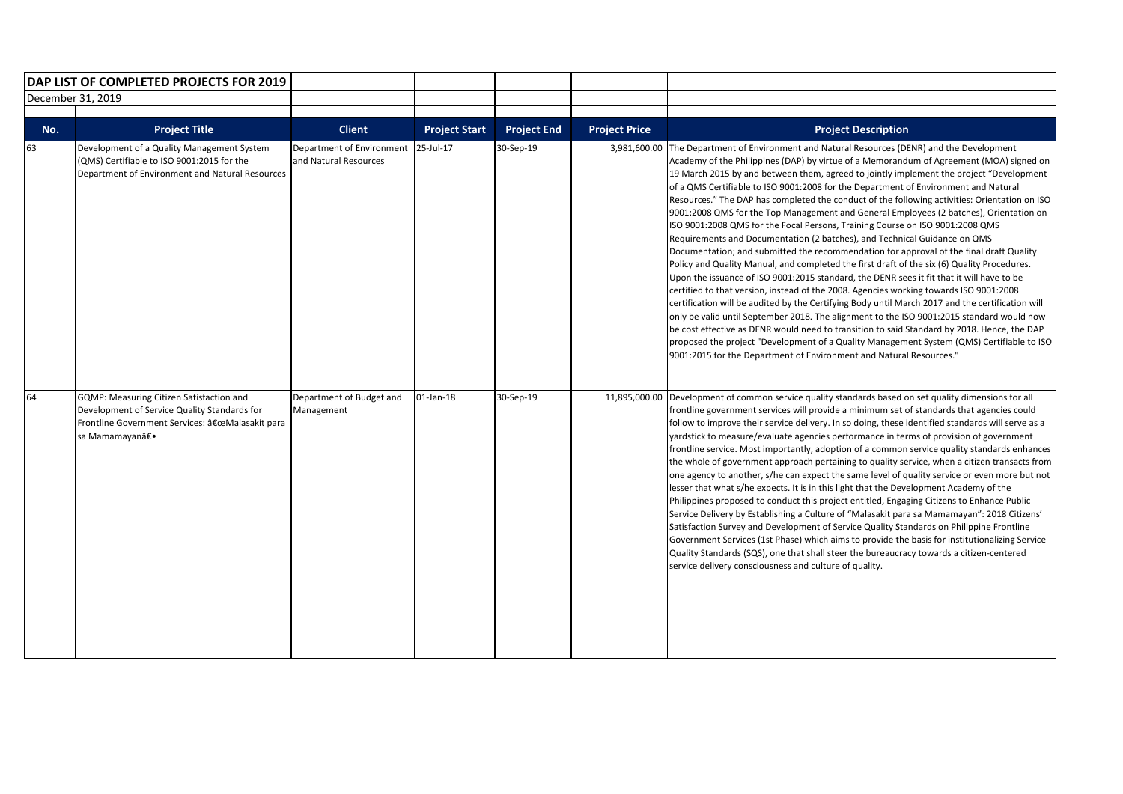|                   | DAP LIST OF COMPLETED PROJECTS FOR 2019                                                                                                                     |                                                    |                      |                    |                      |                                                                                                                                                                                                                                                                                                                                                                                                                                                                                                                                                                                                                                                                                                                                                                                                                                                                                                                                                                                                                                                                                                                                                                                                                                                                                                                                                                                                                                                                                                                                                                           |
|-------------------|-------------------------------------------------------------------------------------------------------------------------------------------------------------|----------------------------------------------------|----------------------|--------------------|----------------------|---------------------------------------------------------------------------------------------------------------------------------------------------------------------------------------------------------------------------------------------------------------------------------------------------------------------------------------------------------------------------------------------------------------------------------------------------------------------------------------------------------------------------------------------------------------------------------------------------------------------------------------------------------------------------------------------------------------------------------------------------------------------------------------------------------------------------------------------------------------------------------------------------------------------------------------------------------------------------------------------------------------------------------------------------------------------------------------------------------------------------------------------------------------------------------------------------------------------------------------------------------------------------------------------------------------------------------------------------------------------------------------------------------------------------------------------------------------------------------------------------------------------------------------------------------------------------|
| December 31, 2019 |                                                                                                                                                             |                                                    |                      |                    |                      |                                                                                                                                                                                                                                                                                                                                                                                                                                                                                                                                                                                                                                                                                                                                                                                                                                                                                                                                                                                                                                                                                                                                                                                                                                                                                                                                                                                                                                                                                                                                                                           |
|                   |                                                                                                                                                             |                                                    |                      |                    |                      |                                                                                                                                                                                                                                                                                                                                                                                                                                                                                                                                                                                                                                                                                                                                                                                                                                                                                                                                                                                                                                                                                                                                                                                                                                                                                                                                                                                                                                                                                                                                                                           |
| No.               | <b>Project Title</b>                                                                                                                                        | <b>Client</b>                                      | <b>Project Start</b> | <b>Project End</b> | <b>Project Price</b> | <b>Project Description</b>                                                                                                                                                                                                                                                                                                                                                                                                                                                                                                                                                                                                                                                                                                                                                                                                                                                                                                                                                                                                                                                                                                                                                                                                                                                                                                                                                                                                                                                                                                                                                |
| 63                | Development of a Quality Management System<br>(QMS) Certifiable to ISO 9001:2015 for the<br>Department of Environment and Natural Resources                 | Department of Environment<br>and Natural Resources | 25-Jul-17            | 30-Sep-19          | 3,981,600.00         | The Department of Environment and Natural Resources (DENR) and the Development<br>Academy of the Philippines (DAP) by virtue of a Memorandum of Agreement (MOA) signed on<br>19 March 2015 by and between them, agreed to jointly implement the project "Development<br>of a QMS Certifiable to ISO 9001:2008 for the Department of Environment and Natural<br>Resources." The DAP has completed the conduct of the following activities: Orientation on ISO<br>9001:2008 QMS for the Top Management and General Employees (2 batches), Orientation on<br>ISO 9001:2008 QMS for the Focal Persons, Training Course on ISO 9001:2008 QMS<br>Requirements and Documentation (2 batches), and Technical Guidance on QMS<br>Documentation; and submitted the recommendation for approval of the final draft Quality<br>Policy and Quality Manual, and completed the first draft of the six (6) Quality Procedures.<br>Upon the issuance of ISO 9001:2015 standard, the DENR sees it fit that it will have to be<br>certified to that version, instead of the 2008. Agencies working towards ISO 9001:2008<br>certification will be audited by the Certifying Body until March 2017 and the certification will<br>only be valid until September 2018. The alignment to the ISO 9001:2015 standard would now<br>be cost effective as DENR would need to transition to said Standard by 2018. Hence, the DAP<br>proposed the project "Development of a Quality Management System (QMS) Certifiable to ISO<br>9001:2015 for the Department of Environment and Natural Resources." |
| 64                | GQMP: Measuring Citizen Satisfaction and<br>Development of Service Quality Standards for<br>Frontline Government Services: "Malasakit para<br>sa Mamamayan― | Department of Budget and<br>Management             | 01-Jan-18            | 30-Sep-19          | 11,895,000.00        | Development of common service quality standards based on set quality dimensions for all<br>frontline government services will provide a minimum set of standards that agencies could<br>follow to improve their service delivery. In so doing, these identified standards will serve as a<br>yardstick to measure/evaluate agencies performance in terms of provision of government<br>frontline service. Most importantly, adoption of a common service quality standards enhances<br>the whole of government approach pertaining to quality service, when a citizen transacts from<br>one agency to another, s/he can expect the same level of quality service or even more but not<br>lesser that what s/he expects. It is in this light that the Development Academy of the<br>Philippines proposed to conduct this project entitled, Engaging Citizens to Enhance Public<br>Service Delivery by Establishing a Culture of "Malasakit para sa Mamamayan": 2018 Citizens'<br>Satisfaction Survey and Development of Service Quality Standards on Philippine Frontline<br>Government Services (1st Phase) which aims to provide the basis for institutionalizing Service<br>Quality Standards (SQS), one that shall steer the bureaucracy towards a citizen-centered<br>service delivery consciousness and culture of quality.                                                                                                                                                                                                                                          |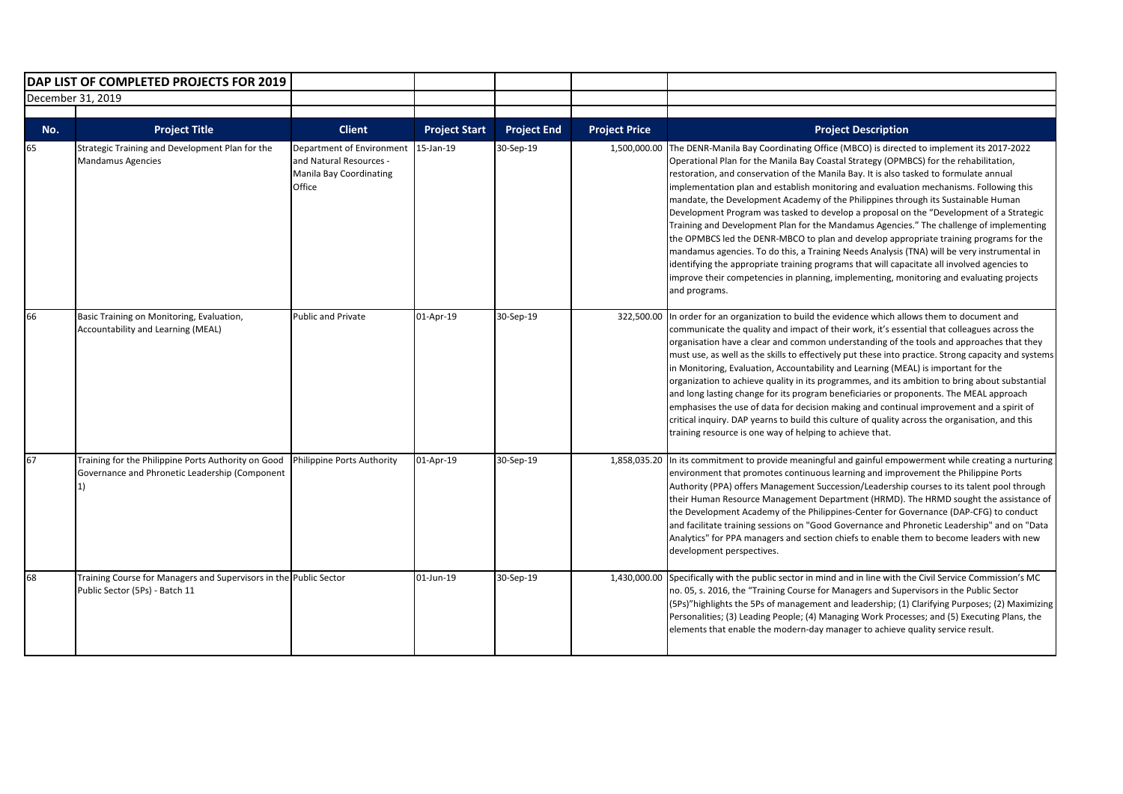| DAP LIST OF COMPLETED PROJECTS FOR 2019 |                                                                                                             |                                                                                           |                      |                    |                      |                                                                                                                                                                                                                                                                                                                                                                                                                                                                                                                                                                                                                                                                                                                                                                                                                                                                                                                                                                                                                                                    |
|-----------------------------------------|-------------------------------------------------------------------------------------------------------------|-------------------------------------------------------------------------------------------|----------------------|--------------------|----------------------|----------------------------------------------------------------------------------------------------------------------------------------------------------------------------------------------------------------------------------------------------------------------------------------------------------------------------------------------------------------------------------------------------------------------------------------------------------------------------------------------------------------------------------------------------------------------------------------------------------------------------------------------------------------------------------------------------------------------------------------------------------------------------------------------------------------------------------------------------------------------------------------------------------------------------------------------------------------------------------------------------------------------------------------------------|
| December 31, 2019                       |                                                                                                             |                                                                                           |                      |                    |                      |                                                                                                                                                                                                                                                                                                                                                                                                                                                                                                                                                                                                                                                                                                                                                                                                                                                                                                                                                                                                                                                    |
| No.                                     | <b>Project Title</b>                                                                                        | <b>Client</b>                                                                             | <b>Project Start</b> | <b>Project End</b> | <b>Project Price</b> | <b>Project Description</b>                                                                                                                                                                                                                                                                                                                                                                                                                                                                                                                                                                                                                                                                                                                                                                                                                                                                                                                                                                                                                         |
| 65                                      | Strategic Training and Development Plan for the<br><b>Mandamus Agencies</b>                                 | Department of Environment<br>and Natural Resources -<br>Manila Bay Coordinating<br>Office | 15-Jan-19            | 30-Sep-19          | 1,500,000.00         | The DENR-Manila Bay Coordinating Office (MBCO) is directed to implement its 2017-2022<br>Operational Plan for the Manila Bay Coastal Strategy (OPMBCS) for the rehabilitation,<br>restoration, and conservation of the Manila Bay. It is also tasked to formulate annual<br>implementation plan and establish monitoring and evaluation mechanisms. Following this<br>mandate, the Development Academy of the Philippines through its Sustainable Human<br>Development Program was tasked to develop a proposal on the "Development of a Strategic<br>Training and Development Plan for the Mandamus Agencies." The challenge of implementing<br>the OPMBCS led the DENR-MBCO to plan and develop appropriate training programs for the<br>mandamus agencies. To do this, a Training Needs Analysis (TNA) will be very instrumental in<br>identifying the appropriate training programs that will capacitate all involved agencies to<br>improve their competencies in planning, implementing, monitoring and evaluating projects<br>and programs. |
| 66                                      | Basic Training on Monitoring, Evaluation,<br>Accountability and Learning (MEAL)                             | Public and Private                                                                        | 01-Apr-19            | 30-Sep-19          | 322,500.00           | In order for an organization to build the evidence which allows them to document and<br>communicate the quality and impact of their work, it's essential that colleagues across the<br>organisation have a clear and common understanding of the tools and approaches that they<br>must use, as well as the skills to effectively put these into practice. Strong capacity and systems<br>in Monitoring, Evaluation, Accountability and Learning (MEAL) is important for the<br>organization to achieve quality in its programmes, and its ambition to bring about substantial<br>and long lasting change for its program beneficiaries or proponents. The MEAL approach<br>emphasises the use of data for decision making and continual improvement and a spirit of<br>critical inquiry. DAP yearns to build this culture of quality across the organisation, and this<br>training resource is one way of helping to achieve that.                                                                                                                |
| 67                                      | Training for the Philippine Ports Authority on Good<br>Governance and Phronetic Leadership (Component<br>1) | Philippine Ports Authority                                                                | 01-Apr-19            | 30-Sep-19          |                      | 1,858,035.20 In its commitment to provide meaningful and gainful empowerment while creating a nurturing<br>environment that promotes continuous learning and improvement the Philippine Ports<br>Authority (PPA) offers Management Succession/Leadership courses to its talent pool through<br>their Human Resource Management Department (HRMD). The HRMD sought the assistance of<br>the Development Academy of the Philippines-Center for Governance (DAP-CFG) to conduct<br>and facilitate training sessions on "Good Governance and Phronetic Leadership" and on "Data<br>Analytics" for PPA managers and section chiefs to enable them to become leaders with new<br>development perspectives.                                                                                                                                                                                                                                                                                                                                               |
| 68                                      | Training Course for Managers and Supervisors in the Public Sector<br>Public Sector (5Ps) - Batch 11         |                                                                                           | 01-Jun-19            | 30-Sep-19          | 1,430,000.00         | Specifically with the public sector in mind and in line with the Civil Service Commission's MC<br>no. 05, s. 2016, the "Training Course for Managers and Supervisors in the Public Sector<br>(5Ps)"highlights the 5Ps of management and leadership; (1) Clarifying Purposes; (2) Maximizing<br>Personalities; (3) Leading People; (4) Managing Work Processes; and (5) Executing Plans, the<br>elements that enable the modern-day manager to achieve quality service result.                                                                                                                                                                                                                                                                                                                                                                                                                                                                                                                                                                      |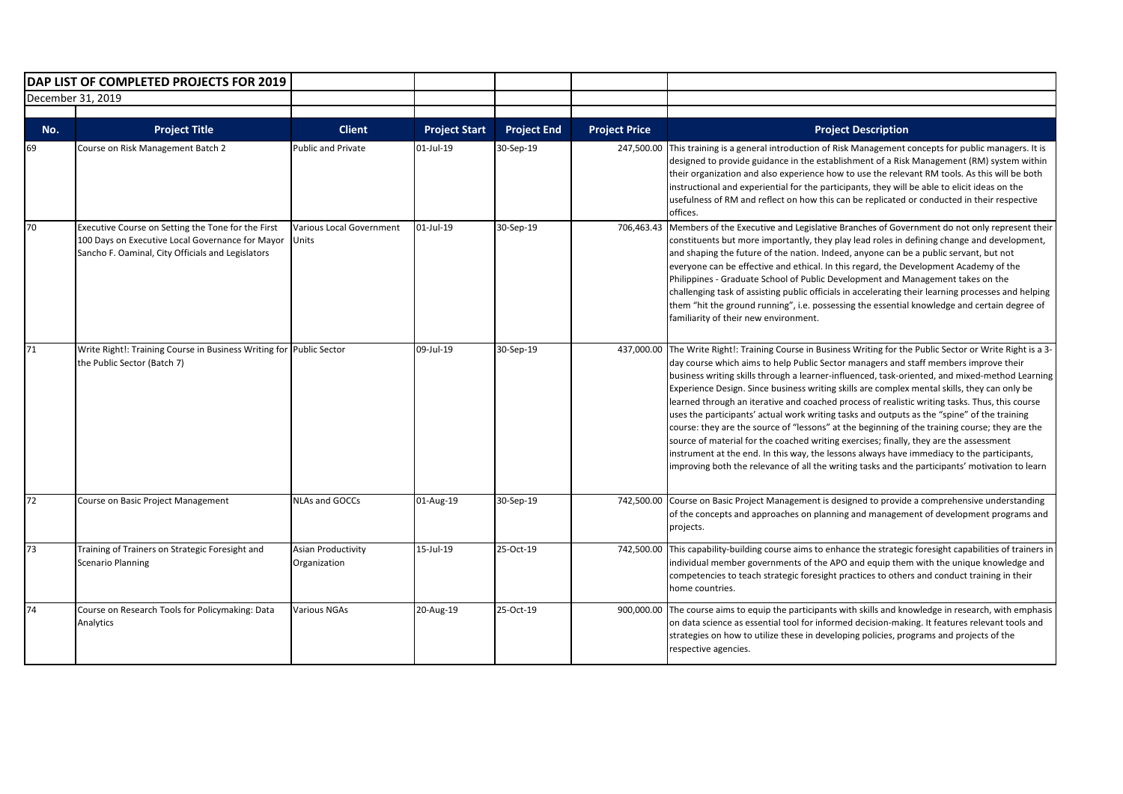|     | DAP LIST OF COMPLETED PROJECTS FOR 2019                                                                                                                     |                                    |                      |                    |                      |                                                                                                                                                                                                                                                                                                                                                                                                                                                                                                                                                                                                                                                                                                                                                                                                                                                                                                                                                                                            |
|-----|-------------------------------------------------------------------------------------------------------------------------------------------------------------|------------------------------------|----------------------|--------------------|----------------------|--------------------------------------------------------------------------------------------------------------------------------------------------------------------------------------------------------------------------------------------------------------------------------------------------------------------------------------------------------------------------------------------------------------------------------------------------------------------------------------------------------------------------------------------------------------------------------------------------------------------------------------------------------------------------------------------------------------------------------------------------------------------------------------------------------------------------------------------------------------------------------------------------------------------------------------------------------------------------------------------|
|     | December 31, 2019                                                                                                                                           |                                    |                      |                    |                      |                                                                                                                                                                                                                                                                                                                                                                                                                                                                                                                                                                                                                                                                                                                                                                                                                                                                                                                                                                                            |
| No. | <b>Project Title</b>                                                                                                                                        | <b>Client</b>                      | <b>Project Start</b> | <b>Project End</b> | <b>Project Price</b> | <b>Project Description</b>                                                                                                                                                                                                                                                                                                                                                                                                                                                                                                                                                                                                                                                                                                                                                                                                                                                                                                                                                                 |
| 69  | Course on Risk Management Batch 2                                                                                                                           | Public and Private                 | 01-Jul-19            | 30-Sep-19          | 247,500.00           | This training is a general introduction of Risk Management concepts for public managers. It is<br>designed to provide guidance in the establishment of a Risk Management (RM) system within<br>their organization and also experience how to use the relevant RM tools. As this will be both<br>instructional and experiential for the participants, they will be able to elicit ideas on the<br>usefulness of RM and reflect on how this can be replicated or conducted in their respective<br>offices.                                                                                                                                                                                                                                                                                                                                                                                                                                                                                   |
| 70  | Executive Course on Setting the Tone for the First<br>100 Days on Executive Local Governance for Mayor<br>Sancho F. Oaminal, City Officials and Legislators | Various Local Government<br>Units  | 01-Jul-19            | 30-Sep-19          | 706,463.43           | Members of the Executive and Legislative Branches of Government do not only represent their<br>constituents but more importantly, they play lead roles in defining change and development,<br>and shaping the future of the nation. Indeed, anyone can be a public servant, but not<br>everyone can be effective and ethical. In this regard, the Development Academy of the<br>Philippines - Graduate School of Public Development and Management takes on the<br>challenging task of assisting public officials in accelerating their learning processes and helping<br>them "hit the ground running", i.e. possessing the essential knowledge and certain degree of<br>familiarity of their new environment.                                                                                                                                                                                                                                                                            |
| 71  | Write Right!: Training Course in Business Writing for Public Sector<br>the Public Sector (Batch 7)                                                          |                                    | 09-Jul-19            | 30-Sep-19          | 437,000.00           | The Write Right!: Training Course in Business Writing for the Public Sector or Write Right is a 3-<br>day course which aims to help Public Sector managers and staff members improve their<br>business writing skills through a learner-influenced, task-oriented, and mixed-method Learning<br>Experience Design. Since business writing skills are complex mental skills, they can only be<br>learned through an iterative and coached process of realistic writing tasks. Thus, this course<br>uses the participants' actual work writing tasks and outputs as the "spine" of the training<br>course: they are the source of "lessons" at the beginning of the training course; they are the<br>source of material for the coached writing exercises; finally, they are the assessment<br>instrument at the end. In this way, the lessons always have immediacy to the participants,<br>improving both the relevance of all the writing tasks and the participants' motivation to learn |
| 72  | Course on Basic Project Management                                                                                                                          | <b>NLAs and GOCCs</b>              | 01-Aug-19            | 30-Sep-19          | 742,500.00           | Course on Basic Project Management is designed to provide a comprehensive understanding<br>of the concepts and approaches on planning and management of development programs and<br>projects.                                                                                                                                                                                                                                                                                                                                                                                                                                                                                                                                                                                                                                                                                                                                                                                              |
| 73  | Training of Trainers on Strategic Foresight and<br><b>Scenario Planning</b>                                                                                 | Asian Productivity<br>Organization | 15-Jul-19            | 25-Oct-19          | 742,500.00           | This capability-building course aims to enhance the strategic foresight capabilities of trainers in<br>individual member governments of the APO and equip them with the unique knowledge and<br>competencies to teach strategic foresight practices to others and conduct training in their<br>home countries.                                                                                                                                                                                                                                                                                                                                                                                                                                                                                                                                                                                                                                                                             |
| 74  | Course on Research Tools for Policymaking: Data<br>Analytics                                                                                                | <b>Various NGAs</b>                | 20-Aug-19            | 25-Oct-19          | 900,000.00           | The course aims to equip the participants with skills and knowledge in research, with emphasis<br>on data science as essential tool for informed decision-making. It features relevant tools and<br>strategies on how to utilize these in developing policies, programs and projects of the<br>respective agencies.                                                                                                                                                                                                                                                                                                                                                                                                                                                                                                                                                                                                                                                                        |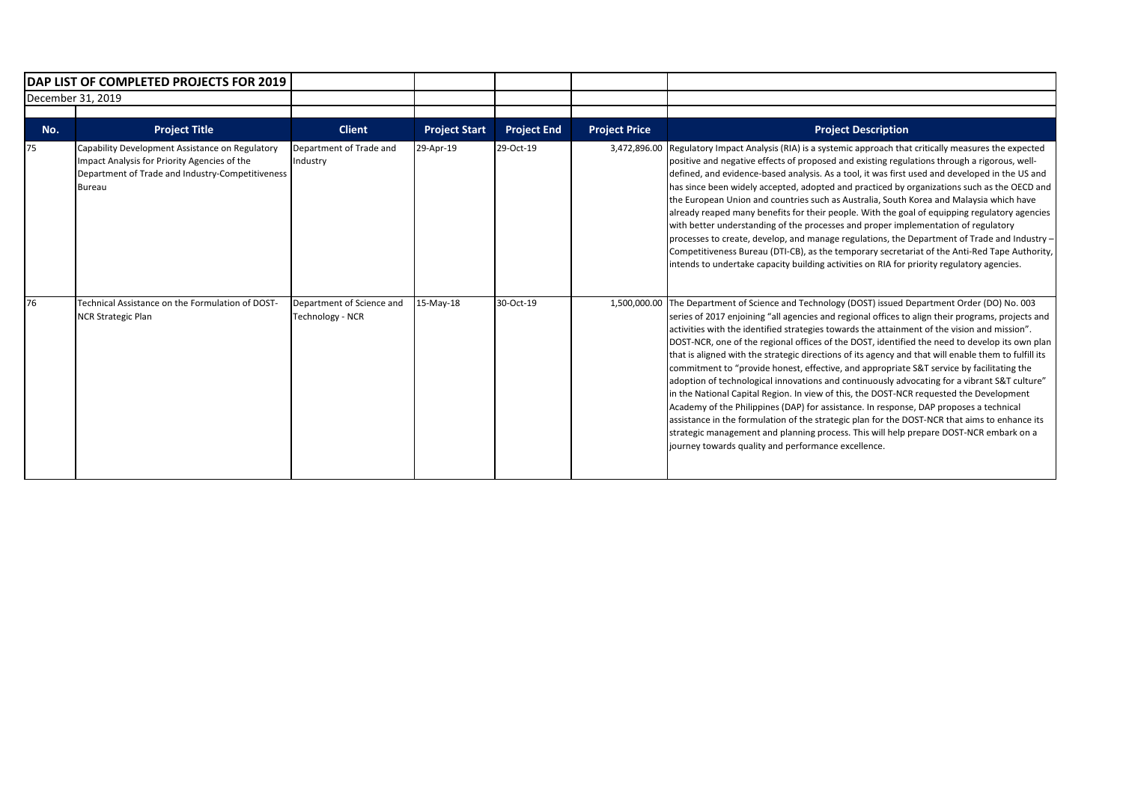|                   | DAP LIST OF COMPLETED PROJECTS FOR 2019                                                                                                                              |                                                      |                      |                    |                      |                                                                                                                                                                                                                                                                                                                                                                                                                                                                                                                                                                                                                                                                                                                                                                                                                                                                                                                                                                                                                                                                                                                                         |
|-------------------|----------------------------------------------------------------------------------------------------------------------------------------------------------------------|------------------------------------------------------|----------------------|--------------------|----------------------|-----------------------------------------------------------------------------------------------------------------------------------------------------------------------------------------------------------------------------------------------------------------------------------------------------------------------------------------------------------------------------------------------------------------------------------------------------------------------------------------------------------------------------------------------------------------------------------------------------------------------------------------------------------------------------------------------------------------------------------------------------------------------------------------------------------------------------------------------------------------------------------------------------------------------------------------------------------------------------------------------------------------------------------------------------------------------------------------------------------------------------------------|
| December 31, 2019 |                                                                                                                                                                      |                                                      |                      |                    |                      |                                                                                                                                                                                                                                                                                                                                                                                                                                                                                                                                                                                                                                                                                                                                                                                                                                                                                                                                                                                                                                                                                                                                         |
| No.               | <b>Project Title</b>                                                                                                                                                 | <b>Client</b>                                        | <b>Project Start</b> | <b>Project End</b> | <b>Project Price</b> | <b>Project Description</b>                                                                                                                                                                                                                                                                                                                                                                                                                                                                                                                                                                                                                                                                                                                                                                                                                                                                                                                                                                                                                                                                                                              |
| 75                | Capability Development Assistance on Regulatory<br>Impact Analysis for Priority Agencies of the<br>Department of Trade and Industry-Competitiveness<br><b>Bureau</b> | Department of Trade and<br>Industry                  | 29-Apr-19            | 29-Oct-19          | 3,472,896.00         | Regulatory Impact Analysis (RIA) is a systemic approach that critically measures the expected<br>positive and negative effects of proposed and existing regulations through a rigorous, well-<br>defined, and evidence-based analysis. As a tool, it was first used and developed in the US and<br>has since been widely accepted, adopted and practiced by organizations such as the OECD and<br>the European Union and countries such as Australia, South Korea and Malaysia which have<br>already reaped many benefits for their people. With the goal of equipping regulatory agencies<br>with better understanding of the processes and proper implementation of regulatory<br>processes to create, develop, and manage regulations, the Department of Trade and Industry -<br>Competitiveness Bureau (DTI-CB), as the temporary secretariat of the Anti-Red Tape Authority,<br>intends to undertake capacity building activities on RIA for priority regulatory agencies.                                                                                                                                                         |
| 76                | Technical Assistance on the Formulation of DOST-<br><b>NCR Strategic Plan</b>                                                                                        | Department of Science and<br><b>Technology - NCR</b> | 15-May-18            | 30-Oct-19          | 1,500,000.00         | The Department of Science and Technology (DOST) issued Department Order (DO) No. 003<br>series of 2017 enjoining "all agencies and regional offices to align their programs, projects and<br>activities with the identified strategies towards the attainment of the vision and mission".<br>DOST-NCR, one of the regional offices of the DOST, identified the need to develop its own plan<br>that is aligned with the strategic directions of its agency and that will enable them to fulfill its<br>commitment to "provide honest, effective, and appropriate S&T service by facilitating the<br>adoption of technological innovations and continuously advocating for a vibrant S&T culture"<br>in the National Capital Region. In view of this, the DOST-NCR requested the Development<br>Academy of the Philippines (DAP) for assistance. In response, DAP proposes a technical<br>assistance in the formulation of the strategic plan for the DOST-NCR that aims to enhance its<br>strategic management and planning process. This will help prepare DOST-NCR embark on a<br>journey towards quality and performance excellence. |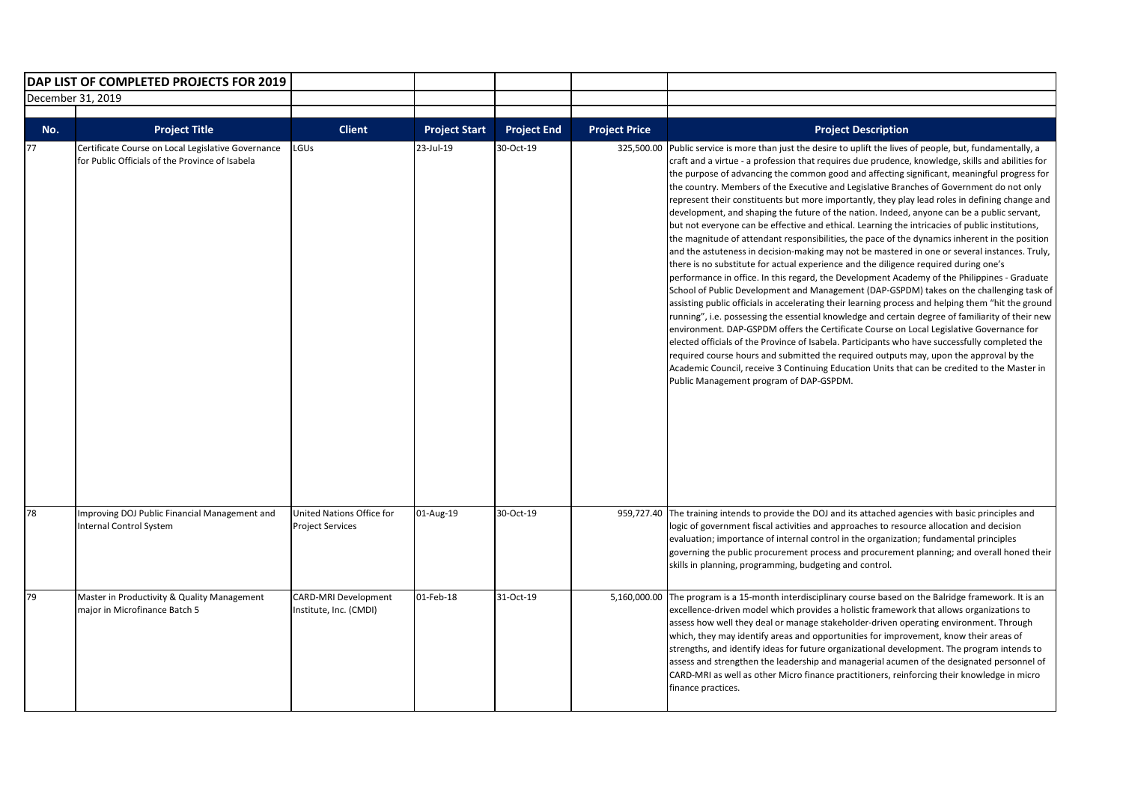|                   | DAP LIST OF COMPLETED PROJECTS FOR 2019                                                               |                                                       |                      |                    |                      |                                                                                                                                                                                                                                                                                                                                                                                                                                                                                                                                                                                                                                                                                                                                                                                                                                                                                                                                                                                                                                                                                                                                                                                                                                                                                                                                                                                                                                                                                                                                                                                                                                                                                                                                                                                                                                         |
|-------------------|-------------------------------------------------------------------------------------------------------|-------------------------------------------------------|----------------------|--------------------|----------------------|-----------------------------------------------------------------------------------------------------------------------------------------------------------------------------------------------------------------------------------------------------------------------------------------------------------------------------------------------------------------------------------------------------------------------------------------------------------------------------------------------------------------------------------------------------------------------------------------------------------------------------------------------------------------------------------------------------------------------------------------------------------------------------------------------------------------------------------------------------------------------------------------------------------------------------------------------------------------------------------------------------------------------------------------------------------------------------------------------------------------------------------------------------------------------------------------------------------------------------------------------------------------------------------------------------------------------------------------------------------------------------------------------------------------------------------------------------------------------------------------------------------------------------------------------------------------------------------------------------------------------------------------------------------------------------------------------------------------------------------------------------------------------------------------------------------------------------------------|
| December 31, 2019 |                                                                                                       |                                                       |                      |                    |                      |                                                                                                                                                                                                                                                                                                                                                                                                                                                                                                                                                                                                                                                                                                                                                                                                                                                                                                                                                                                                                                                                                                                                                                                                                                                                                                                                                                                                                                                                                                                                                                                                                                                                                                                                                                                                                                         |
|                   |                                                                                                       |                                                       |                      |                    |                      |                                                                                                                                                                                                                                                                                                                                                                                                                                                                                                                                                                                                                                                                                                                                                                                                                                                                                                                                                                                                                                                                                                                                                                                                                                                                                                                                                                                                                                                                                                                                                                                                                                                                                                                                                                                                                                         |
| No.               | <b>Project Title</b>                                                                                  | <b>Client</b>                                         | <b>Project Start</b> | <b>Project End</b> | <b>Project Price</b> | <b>Project Description</b>                                                                                                                                                                                                                                                                                                                                                                                                                                                                                                                                                                                                                                                                                                                                                                                                                                                                                                                                                                                                                                                                                                                                                                                                                                                                                                                                                                                                                                                                                                                                                                                                                                                                                                                                                                                                              |
| 77                | Certificate Course on Local Legislative Governance<br>for Public Officials of the Province of Isabela | LGUS                                                  | 23-Jul-19            | 30-Oct-19          | 325,500.00           | Public service is more than just the desire to uplift the lives of people, but, fundamentally, a<br>craft and a virtue - a profession that requires due prudence, knowledge, skills and abilities for<br>the purpose of advancing the common good and affecting significant, meaningful progress for<br>the country. Members of the Executive and Legislative Branches of Government do not only<br>represent their constituents but more importantly, they play lead roles in defining change and<br>development, and shaping the future of the nation. Indeed, anyone can be a public servant,<br>but not everyone can be effective and ethical. Learning the intricacies of public institutions,<br>the magnitude of attendant responsibilities, the pace of the dynamics inherent in the position<br>and the astuteness in decision-making may not be mastered in one or several instances. Truly,<br>there is no substitute for actual experience and the diligence required during one's<br>performance in office. In this regard, the Development Academy of the Philippines - Graduate<br>School of Public Development and Management (DAP-GSPDM) takes on the challenging task of<br>assisting public officials in accelerating their learning process and helping them "hit the ground<br>running", i.e. possessing the essential knowledge and certain degree of familiarity of their new<br>environment. DAP-GSPDM offers the Certificate Course on Local Legislative Governance for<br>elected officials of the Province of Isabela. Participants who have successfully completed the<br>required course hours and submitted the required outputs may, upon the approval by the<br>Academic Council, receive 3 Continuing Education Units that can be credited to the Master in<br>Public Management program of DAP-GSPDM. |
| 78                | Improving DOJ Public Financial Management and<br><b>Internal Control System</b>                       | United Nations Office for<br><b>Project Services</b>  | 01-Aug-19            | 30-Oct-19          | 959,727.40           | The training intends to provide the DOJ and its attached agencies with basic principles and<br>logic of government fiscal activities and approaches to resource allocation and decision<br>evaluation; importance of internal control in the organization; fundamental principles<br>governing the public procurement process and procurement planning; and overall honed their<br>skills in planning, programming, budgeting and control.                                                                                                                                                                                                                                                                                                                                                                                                                                                                                                                                                                                                                                                                                                                                                                                                                                                                                                                                                                                                                                                                                                                                                                                                                                                                                                                                                                                              |
| 79                | Master in Productivity & Quality Management<br>major in Microfinance Batch 5                          | <b>CARD-MRI Development</b><br>Institute, Inc. (CMDI) | 01-Feb-18            | 31-Oct-19          | 5,160,000.00         | The program is a 15-month interdisciplinary course based on the Balridge framework. It is an<br>excellence-driven model which provides a holistic framework that allows organizations to<br>assess how well they deal or manage stakeholder-driven operating environment. Through<br>which, they may identify areas and opportunities for improvement, know their areas of<br>strengths, and identify ideas for future organizational development. The program intends to<br>assess and strengthen the leadership and managerial acumen of the designated personnel of<br>CARD-MRI as well as other Micro finance practitioners, reinforcing their knowledge in micro<br>finance practices.                                                                                                                                                                                                                                                                                                                                                                                                                                                                                                                                                                                                                                                                                                                                                                                                                                                                                                                                                                                                                                                                                                                                             |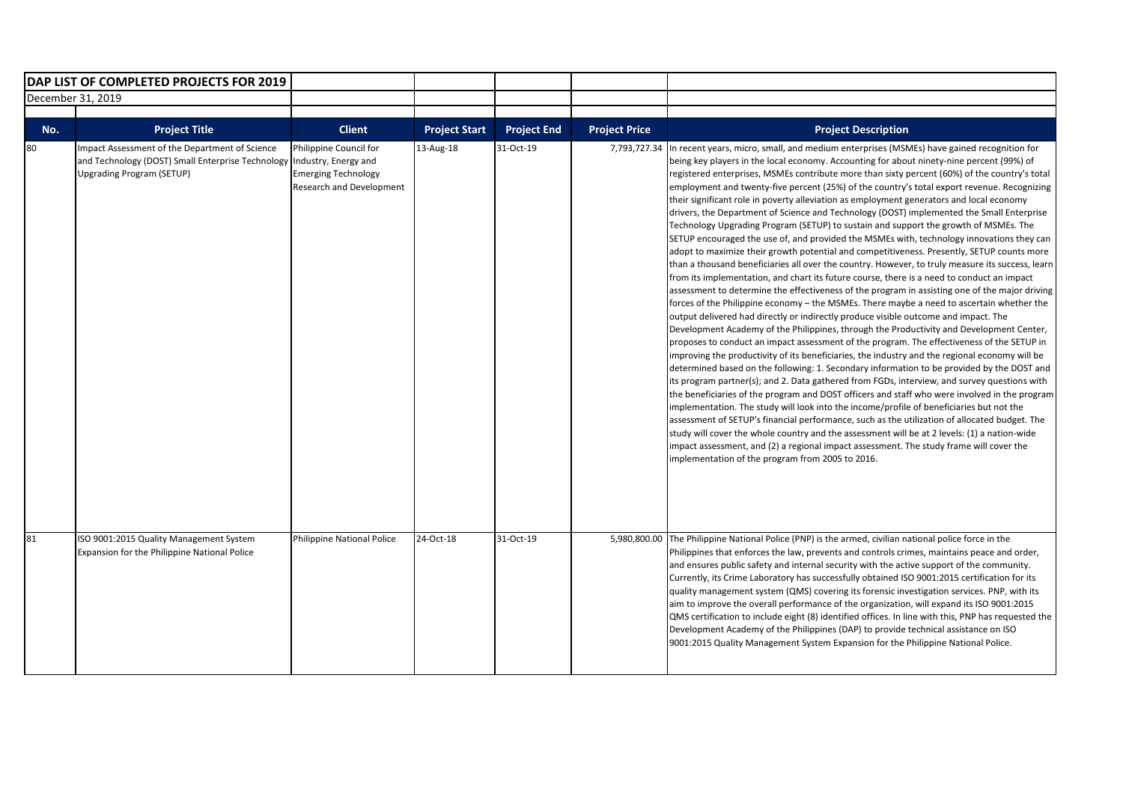|                   | DAP LIST OF COMPLETED PROJECTS FOR 2019                                                                                                 |                                                                                                          |                      |                    |                      |                                                                                                                                                                                                                                                                                                                                                                                                                                                                                                                                                                                                                                                                                                                                                                                                                                                                                                                                                                                                                                                                                                                                                                                                                                                                                                                                                                                                                                                                                                                                                                                                                                                                                                                                                                                                                                                                                                                                                                                                                                                                                                                                                                                                                                                                                                                                                                                                   |
|-------------------|-----------------------------------------------------------------------------------------------------------------------------------------|----------------------------------------------------------------------------------------------------------|----------------------|--------------------|----------------------|---------------------------------------------------------------------------------------------------------------------------------------------------------------------------------------------------------------------------------------------------------------------------------------------------------------------------------------------------------------------------------------------------------------------------------------------------------------------------------------------------------------------------------------------------------------------------------------------------------------------------------------------------------------------------------------------------------------------------------------------------------------------------------------------------------------------------------------------------------------------------------------------------------------------------------------------------------------------------------------------------------------------------------------------------------------------------------------------------------------------------------------------------------------------------------------------------------------------------------------------------------------------------------------------------------------------------------------------------------------------------------------------------------------------------------------------------------------------------------------------------------------------------------------------------------------------------------------------------------------------------------------------------------------------------------------------------------------------------------------------------------------------------------------------------------------------------------------------------------------------------------------------------------------------------------------------------------------------------------------------------------------------------------------------------------------------------------------------------------------------------------------------------------------------------------------------------------------------------------------------------------------------------------------------------------------------------------------------------------------------------------------------------|
| December 31, 2019 |                                                                                                                                         |                                                                                                          |                      |                    |                      |                                                                                                                                                                                                                                                                                                                                                                                                                                                                                                                                                                                                                                                                                                                                                                                                                                                                                                                                                                                                                                                                                                                                                                                                                                                                                                                                                                                                                                                                                                                                                                                                                                                                                                                                                                                                                                                                                                                                                                                                                                                                                                                                                                                                                                                                                                                                                                                                   |
|                   |                                                                                                                                         |                                                                                                          |                      |                    |                      |                                                                                                                                                                                                                                                                                                                                                                                                                                                                                                                                                                                                                                                                                                                                                                                                                                                                                                                                                                                                                                                                                                                                                                                                                                                                                                                                                                                                                                                                                                                                                                                                                                                                                                                                                                                                                                                                                                                                                                                                                                                                                                                                                                                                                                                                                                                                                                                                   |
| No.               | <b>Project Title</b>                                                                                                                    | <b>Client</b>                                                                                            | <b>Project Start</b> | <b>Project End</b> | <b>Project Price</b> | <b>Project Description</b>                                                                                                                                                                                                                                                                                                                                                                                                                                                                                                                                                                                                                                                                                                                                                                                                                                                                                                                                                                                                                                                                                                                                                                                                                                                                                                                                                                                                                                                                                                                                                                                                                                                                                                                                                                                                                                                                                                                                                                                                                                                                                                                                                                                                                                                                                                                                                                        |
| 80                | Impact Assessment of the Department of Science<br>and Technology (DOST) Small Enterprise Technology<br><b>Upgrading Program (SETUP)</b> | Philippine Council for<br>Industry, Energy and<br><b>Emerging Technology</b><br>Research and Development | 13-Aug-18            | 31-Oct-19          | 7,793,727.34         | In recent years, micro, small, and medium enterprises (MSMEs) have gained recognition for<br>being key players in the local economy. Accounting for about ninety-nine percent (99%) of<br>registered enterprises, MSMEs contribute more than sixty percent (60%) of the country's total<br>employment and twenty-five percent (25%) of the country's total export revenue. Recognizing<br>their significant role in poverty alleviation as employment generators and local economy<br>drivers, the Department of Science and Technology (DOST) implemented the Small Enterprise<br>Technology Upgrading Program (SETUP) to sustain and support the growth of MSMEs. The<br>SETUP encouraged the use of, and provided the MSMEs with, technology innovations they can<br>adopt to maximize their growth potential and competitiveness. Presently, SETUP counts more<br>than a thousand beneficiaries all over the country. However, to truly measure its success, learn<br>from its implementation, and chart its future course, there is a need to conduct an impact<br>assessment to determine the effectiveness of the program in assisting one of the major driving<br>forces of the Philippine economy - the MSMEs. There maybe a need to ascertain whether the<br>output delivered had directly or indirectly produce visible outcome and impact. The<br>Development Academy of the Philippines, through the Productivity and Development Center,<br>proposes to conduct an impact assessment of the program. The effectiveness of the SETUP in<br>improving the productivity of its beneficiaries, the industry and the regional economy will be<br>determined based on the following: 1. Secondary information to be provided by the DOST and<br>its program partner(s); and 2. Data gathered from FGDs, interview, and survey questions with<br>the beneficiaries of the program and DOST officers and staff who were involved in the program<br>implementation. The study will look into the income/profile of beneficiaries but not the<br>assessment of SETUP's financial performance, such as the utilization of allocated budget. The<br>study will cover the whole country and the assessment will be at 2 levels: (1) a nation-wide<br>impact assessment, and (2) a regional impact assessment. The study frame will cover the<br>implementation of the program from 2005 to 2016. |
| 81                | ISO 9001:2015 Quality Management System<br><b>Expansion for the Philippine National Police</b>                                          | <b>Philippine National Police</b>                                                                        | 24-Oct-18            | 31-Oct-19          |                      | 5,980,800.00 The Philippine National Police (PNP) is the armed, civilian national police force in the<br>Philippines that enforces the law, prevents and controls crimes, maintains peace and order,<br>and ensures public safety and internal security with the active support of the community.<br>Currently, its Crime Laboratory has successfully obtained ISO 9001:2015 certification for its<br>quality management system (QMS) covering its forensic investigation services. PNP, with its<br>aim to improve the overall performance of the organization, will expand its ISO 9001:2015<br>QMS certification to include eight (8) identified offices. In line with this, PNP has requested the<br>Development Academy of the Philippines (DAP) to provide technical assistance on ISO<br>9001:2015 Quality Management System Expansion for the Philippine National Police.                                                                                                                                                                                                                                                                                                                                                                                                                                                                                                                                                                                                                                                                                                                                                                                                                                                                                                                                                                                                                                                                                                                                                                                                                                                                                                                                                                                                                                                                                                                 |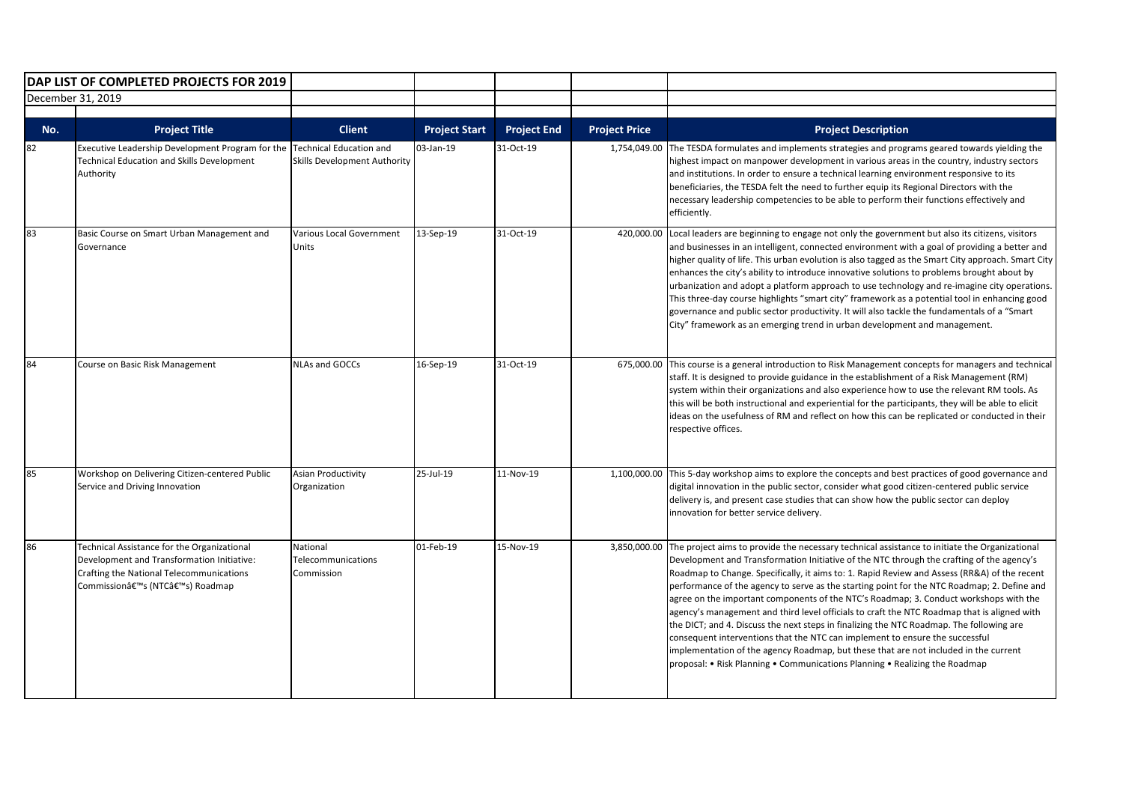|                   | DAP LIST OF COMPLETED PROJECTS FOR 2019                                                                                                                               |                                                                |                      |                    |                      |                                                                                                                                                                                                                                                                                                                                                                                                                                                                                                                                                                                                                                                                                                                                                                                                                                                                                                                                      |
|-------------------|-----------------------------------------------------------------------------------------------------------------------------------------------------------------------|----------------------------------------------------------------|----------------------|--------------------|----------------------|--------------------------------------------------------------------------------------------------------------------------------------------------------------------------------------------------------------------------------------------------------------------------------------------------------------------------------------------------------------------------------------------------------------------------------------------------------------------------------------------------------------------------------------------------------------------------------------------------------------------------------------------------------------------------------------------------------------------------------------------------------------------------------------------------------------------------------------------------------------------------------------------------------------------------------------|
| December 31, 2019 |                                                                                                                                                                       |                                                                |                      |                    |                      |                                                                                                                                                                                                                                                                                                                                                                                                                                                                                                                                                                                                                                                                                                                                                                                                                                                                                                                                      |
|                   |                                                                                                                                                                       |                                                                |                      |                    |                      |                                                                                                                                                                                                                                                                                                                                                                                                                                                                                                                                                                                                                                                                                                                                                                                                                                                                                                                                      |
| No.               | <b>Project Title</b>                                                                                                                                                  | <b>Client</b>                                                  | <b>Project Start</b> | <b>Project End</b> | <b>Project Price</b> | <b>Project Description</b>                                                                                                                                                                                                                                                                                                                                                                                                                                                                                                                                                                                                                                                                                                                                                                                                                                                                                                           |
| 82                | Executive Leadership Development Program for the<br><b>Technical Education and Skills Development</b><br>Authority                                                    | Technical Education and<br><b>Skills Development Authority</b> | 03-Jan-19            | 31-Oct-19          | 1,754,049.00         | The TESDA formulates and implements strategies and programs geared towards yielding the<br>highest impact on manpower development in various areas in the country, industry sectors<br>and institutions. In order to ensure a technical learning environment responsive to its<br>beneficiaries, the TESDA felt the need to further equip its Regional Directors with the<br>necessary leadership competencies to be able to perform their functions effectively and<br>efficiently.                                                                                                                                                                                                                                                                                                                                                                                                                                                 |
| 83                | Basic Course on Smart Urban Management and<br>Governance                                                                                                              | Various Local Government<br>Units                              | 13-Sep-19            | 31-Oct-19          | 420,000.00           | Local leaders are beginning to engage not only the government but also its citizens, visitors<br>and businesses in an intelligent, connected environment with a goal of providing a better and<br>higher quality of life. This urban evolution is also tagged as the Smart City approach. Smart City<br>enhances the city's ability to introduce innovative solutions to problems brought about by<br>urbanization and adopt a platform approach to use technology and re-imagine city operations.<br>This three-day course highlights "smart city" framework as a potential tool in enhancing good<br>governance and public sector productivity. It will also tackle the fundamentals of a "Smart<br>City" framework as an emerging trend in urban development and management.                                                                                                                                                      |
| 84                | Course on Basic Risk Management                                                                                                                                       | NLAs and GOCCs                                                 | 16-Sep-19            | 31-Oct-19          |                      | 675,000.00 This course is a general introduction to Risk Management concepts for managers and technical<br>staff. It is designed to provide guidance in the establishment of a Risk Management (RM)<br>system within their organizations and also experience how to use the relevant RM tools. As<br>this will be both instructional and experiential for the participants, they will be able to elicit<br>ideas on the usefulness of RM and reflect on how this can be replicated or conducted in their<br>respective offices.                                                                                                                                                                                                                                                                                                                                                                                                      |
| 85                | Workshop on Delivering Citizen-centered Public<br>Service and Driving Innovation                                                                                      | <b>Asian Productivity</b><br>Organization                      | 25-Jul-19            | 11-Nov-19          |                      | 1,100,000.00 This 5-day workshop aims to explore the concepts and best practices of good governance and<br>digital innovation in the public sector, consider what good citizen-centered public service<br>delivery is, and present case studies that can show how the public sector can deploy<br>innovation for better service delivery.                                                                                                                                                                                                                                                                                                                                                                                                                                                                                                                                                                                            |
| 86                | Technical Assistance for the Organizational<br>Development and Transformation Initiative:<br>Crafting the National Telecommunications<br>Commission's (NTC's) Roadmap | National<br>Telecommunications<br>Commission                   | 01-Feb-19            | 15-Nov-19          | 3,850,000.00         | The project aims to provide the necessary technical assistance to initiate the Organizational<br>Development and Transformation Initiative of the NTC through the crafting of the agency's<br>Roadmap to Change. Specifically, it aims to: 1. Rapid Review and Assess (RR&A) of the recent<br>performance of the agency to serve as the starting point for the NTC Roadmap; 2. Define and<br>agree on the important components of the NTC's Roadmap; 3. Conduct workshops with the<br>agency's management and third level officials to craft the NTC Roadmap that is aligned with<br>the DICT; and 4. Discuss the next steps in finalizing the NTC Roadmap. The following are<br>consequent interventions that the NTC can implement to ensure the successful<br>implementation of the agency Roadmap, but these that are not included in the current<br>proposal: • Risk Planning • Communications Planning • Realizing the Roadmap |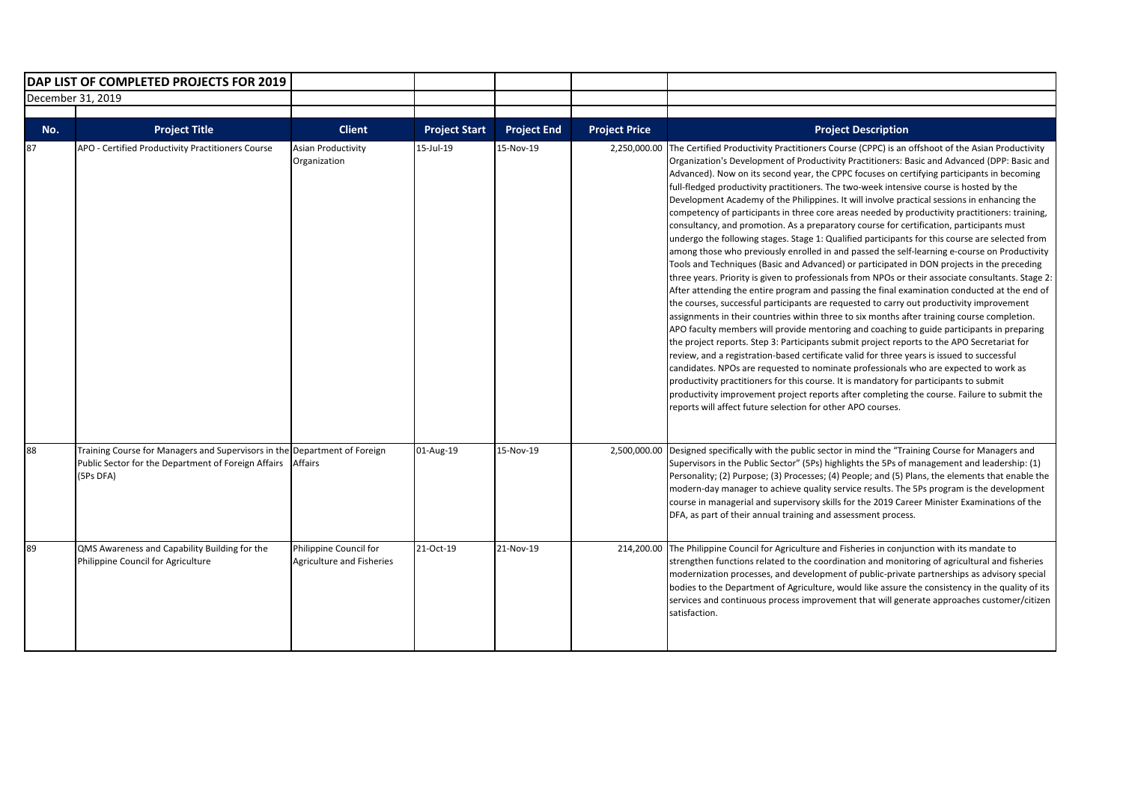| DAP LIST OF COMPLETED PROJECTS FOR 2019 |                                                                                                                                               |                                                     |                      |                    |                      |                                                                                                                                                                                                                                                                                                                                                                                                                                                                                                                                                                                                                                                                                                                                                                                                                                                                                                                                                                                                                                                                                                                                                                                                                                                                                                                                                                                                                                                                                                                                                                                                                                                                                                                                                                                                                                                                                                                                                                                                                                    |
|-----------------------------------------|-----------------------------------------------------------------------------------------------------------------------------------------------|-----------------------------------------------------|----------------------|--------------------|----------------------|------------------------------------------------------------------------------------------------------------------------------------------------------------------------------------------------------------------------------------------------------------------------------------------------------------------------------------------------------------------------------------------------------------------------------------------------------------------------------------------------------------------------------------------------------------------------------------------------------------------------------------------------------------------------------------------------------------------------------------------------------------------------------------------------------------------------------------------------------------------------------------------------------------------------------------------------------------------------------------------------------------------------------------------------------------------------------------------------------------------------------------------------------------------------------------------------------------------------------------------------------------------------------------------------------------------------------------------------------------------------------------------------------------------------------------------------------------------------------------------------------------------------------------------------------------------------------------------------------------------------------------------------------------------------------------------------------------------------------------------------------------------------------------------------------------------------------------------------------------------------------------------------------------------------------------------------------------------------------------------------------------------------------------|
| December 31, 2019                       |                                                                                                                                               |                                                     |                      |                    |                      |                                                                                                                                                                                                                                                                                                                                                                                                                                                                                                                                                                                                                                                                                                                                                                                                                                                                                                                                                                                                                                                                                                                                                                                                                                                                                                                                                                                                                                                                                                                                                                                                                                                                                                                                                                                                                                                                                                                                                                                                                                    |
| No.                                     | <b>Project Title</b>                                                                                                                          | <b>Client</b>                                       | <b>Project Start</b> | <b>Project End</b> | <b>Project Price</b> | <b>Project Description</b>                                                                                                                                                                                                                                                                                                                                                                                                                                                                                                                                                                                                                                                                                                                                                                                                                                                                                                                                                                                                                                                                                                                                                                                                                                                                                                                                                                                                                                                                                                                                                                                                                                                                                                                                                                                                                                                                                                                                                                                                         |
| 87                                      | APO - Certified Productivity Practitioners Course                                                                                             | <b>Asian Productivity</b><br>Organization           | 15-Jul-19            | 15-Nov-19          | 2,250,000.00         | The Certified Productivity Practitioners Course (CPPC) is an offshoot of the Asian Productivity<br>Organization's Development of Productivity Practitioners: Basic and Advanced (DPP: Basic and<br>Advanced). Now on its second year, the CPPC focuses on certifying participants in becoming<br>full-fledged productivity practitioners. The two-week intensive course is hosted by the<br>Development Academy of the Philippines. It will involve practical sessions in enhancing the<br>competency of participants in three core areas needed by productivity practitioners: training,<br>consultancy, and promotion. As a preparatory course for certification, participants must<br>undergo the following stages. Stage 1: Qualified participants for this course are selected from<br>among those who previously enrolled in and passed the self-learning e-course on Productivity<br>Tools and Techniques (Basic and Advanced) or participated in DON projects in the preceding<br>three years. Priority is given to professionals from NPOs or their associate consultants. Stage 2:<br>After attending the entire program and passing the final examination conducted at the end of<br>the courses, successful participants are requested to carry out productivity improvement<br>assignments in their countries within three to six months after training course completion.<br>APO faculty members will provide mentoring and coaching to guide participants in preparing<br>the project reports. Step 3: Participants submit project reports to the APO Secretariat for<br>review, and a registration-based certificate valid for three years is issued to successful<br>candidates. NPOs are requested to nominate professionals who are expected to work as<br>productivity practitioners for this course. It is mandatory for participants to submit<br>productivity improvement project reports after completing the course. Failure to submit the<br>reports will affect future selection for other APO courses. |
| 88                                      | Training Course for Managers and Supervisors in the Department of Foreign<br>Public Sector for the Department of Foreign Affairs<br>(5Ps DFA) | <b>Affairs</b>                                      | 01-Aug-19            | 15-Nov-19          |                      | 2,500,000.00 Designed specifically with the public sector in mind the "Training Course for Managers and<br>Supervisors in the Public Sector" (5Ps) highlights the 5Ps of management and leadership: (1)<br>Personality; (2) Purpose; (3) Processes; (4) People; and (5) Plans, the elements that enable the<br>modern-day manager to achieve quality service results. The 5Ps program is the development<br>course in managerial and supervisory skills for the 2019 Career Minister Examinations of the<br>DFA, as part of their annual training and assessment process.                                                                                                                                                                                                                                                                                                                                                                                                                                                                                                                                                                                                                                                                                                                                                                                                                                                                                                                                                                                                                                                                                                                                                                                                                                                                                                                                                                                                                                                          |
| 89                                      | QMS Awareness and Capability Building for the<br>Philippine Council for Agriculture                                                           | Philippine Council for<br>Agriculture and Fisheries | 21-Oct-19            | 21-Nov-19          | 214,200.00           | The Philippine Council for Agriculture and Fisheries in conjunction with its mandate to<br>strengthen functions related to the coordination and monitoring of agricultural and fisheries<br>modernization processes, and development of public-private partnerships as advisory special<br>bodies to the Department of Agriculture, would like assure the consistency in the quality of its<br>services and continuous process improvement that will generate approaches customer/citizen<br>satisfaction.                                                                                                                                                                                                                                                                                                                                                                                                                                                                                                                                                                                                                                                                                                                                                                                                                                                                                                                                                                                                                                                                                                                                                                                                                                                                                                                                                                                                                                                                                                                         |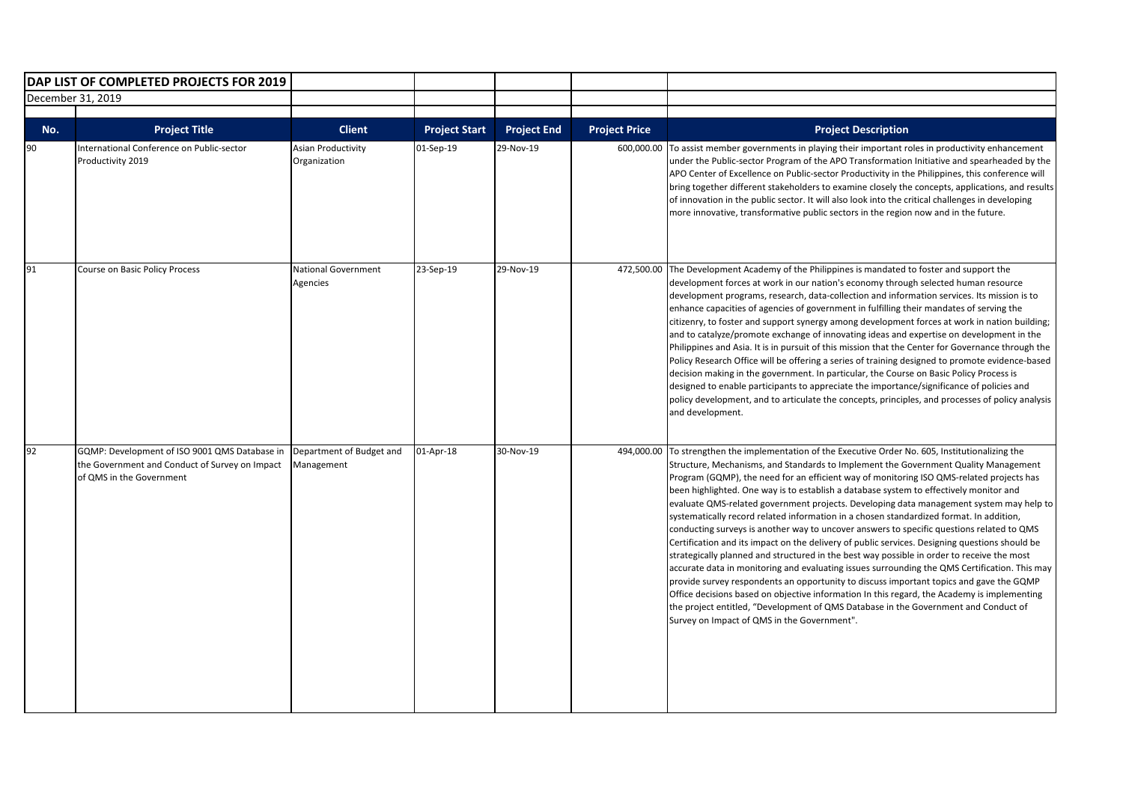| DAP LIST OF COMPLETED PROJECTS FOR 2019 |                                                                                                                             |                                                            |                                   |                                 |                                    |                                                                                                                                                                                                                                                                                                                                                                                                                                                                                                                                                                                                                                                                                                                                                                                                                                                                                                                                                                                                                                                                                                                                                                                                                                                                                          |
|-----------------------------------------|-----------------------------------------------------------------------------------------------------------------------------|------------------------------------------------------------|-----------------------------------|---------------------------------|------------------------------------|------------------------------------------------------------------------------------------------------------------------------------------------------------------------------------------------------------------------------------------------------------------------------------------------------------------------------------------------------------------------------------------------------------------------------------------------------------------------------------------------------------------------------------------------------------------------------------------------------------------------------------------------------------------------------------------------------------------------------------------------------------------------------------------------------------------------------------------------------------------------------------------------------------------------------------------------------------------------------------------------------------------------------------------------------------------------------------------------------------------------------------------------------------------------------------------------------------------------------------------------------------------------------------------|
| December 31, 2019                       |                                                                                                                             |                                                            |                                   |                                 |                                    |                                                                                                                                                                                                                                                                                                                                                                                                                                                                                                                                                                                                                                                                                                                                                                                                                                                                                                                                                                                                                                                                                                                                                                                                                                                                                          |
|                                         |                                                                                                                             |                                                            |                                   |                                 |                                    |                                                                                                                                                                                                                                                                                                                                                                                                                                                                                                                                                                                                                                                                                                                                                                                                                                                                                                                                                                                                                                                                                                                                                                                                                                                                                          |
| No.<br>90                               | <b>Project Title</b><br>International Conference on Public-sector<br>Productivity 2019                                      | <b>Client</b><br><b>Asian Productivity</b><br>Organization | <b>Project Start</b><br>01-Sep-19 | <b>Project End</b><br>29-Nov-19 | <b>Project Price</b><br>600,000.00 | <b>Project Description</b><br>To assist member governments in playing their important roles in productivity enhancement<br>under the Public-sector Program of the APO Transformation Initiative and spearheaded by the<br>APO Center of Excellence on Public-sector Productivity in the Philippines, this conference will<br>bring together different stakeholders to examine closely the concepts, applications, and results<br>of innovation in the public sector. It will also look into the critical challenges in developing<br>more innovative, transformative public sectors in the region now and in the future.                                                                                                                                                                                                                                                                                                                                                                                                                                                                                                                                                                                                                                                                 |
| 91                                      | Course on Basic Policy Process                                                                                              | National Government<br>Agencies                            | 23-Sep-19                         | 29-Nov-19                       |                                    | 472,500.00 The Development Academy of the Philippines is mandated to foster and support the<br>development forces at work in our nation's economy through selected human resource<br>development programs, research, data-collection and information services. Its mission is to<br>enhance capacities of agencies of government in fulfilling their mandates of serving the<br>citizenry, to foster and support synergy among development forces at work in nation building;<br>and to catalyze/promote exchange of innovating ideas and expertise on development in the<br>Philippines and Asia. It is in pursuit of this mission that the Center for Governance through the<br>Policy Research Office will be offering a series of training designed to promote evidence-based<br>decision making in the government. In particular, the Course on Basic Policy Process is<br>designed to enable participants to appreciate the importance/significance of policies and<br>policy development, and to articulate the concepts, principles, and processes of policy analysis<br>and development.                                                                                                                                                                                        |
| 92                                      | GQMP: Development of ISO 9001 QMS Database in<br>the Government and Conduct of Survey on Impact<br>of QMS in the Government | Department of Budget and<br>Management                     | 01-Apr-18                         | 30-Nov-19                       | 494,000.00                         | To strengthen the implementation of the Executive Order No. 605, Institutionalizing the<br>Structure, Mechanisms, and Standards to Implement the Government Quality Management<br>Program (GQMP), the need for an efficient way of monitoring ISO QMS-related projects has<br>been highlighted. One way is to establish a database system to effectively monitor and<br>evaluate QMS-related government projects. Developing data management system may help to<br>systematically record related information in a chosen standardized format. In addition,<br>conducting surveys is another way to uncover answers to specific questions related to QMS<br>Certification and its impact on the delivery of public services. Designing questions should be<br>strategically planned and structured in the best way possible in order to receive the most<br>accurate data in monitoring and evaluating issues surrounding the QMS Certification. This may<br>provide survey respondents an opportunity to discuss important topics and gave the GQMP<br>Office decisions based on objective information In this regard, the Academy is implementing<br>the project entitled, "Development of QMS Database in the Government and Conduct of<br>Survey on Impact of QMS in the Government". |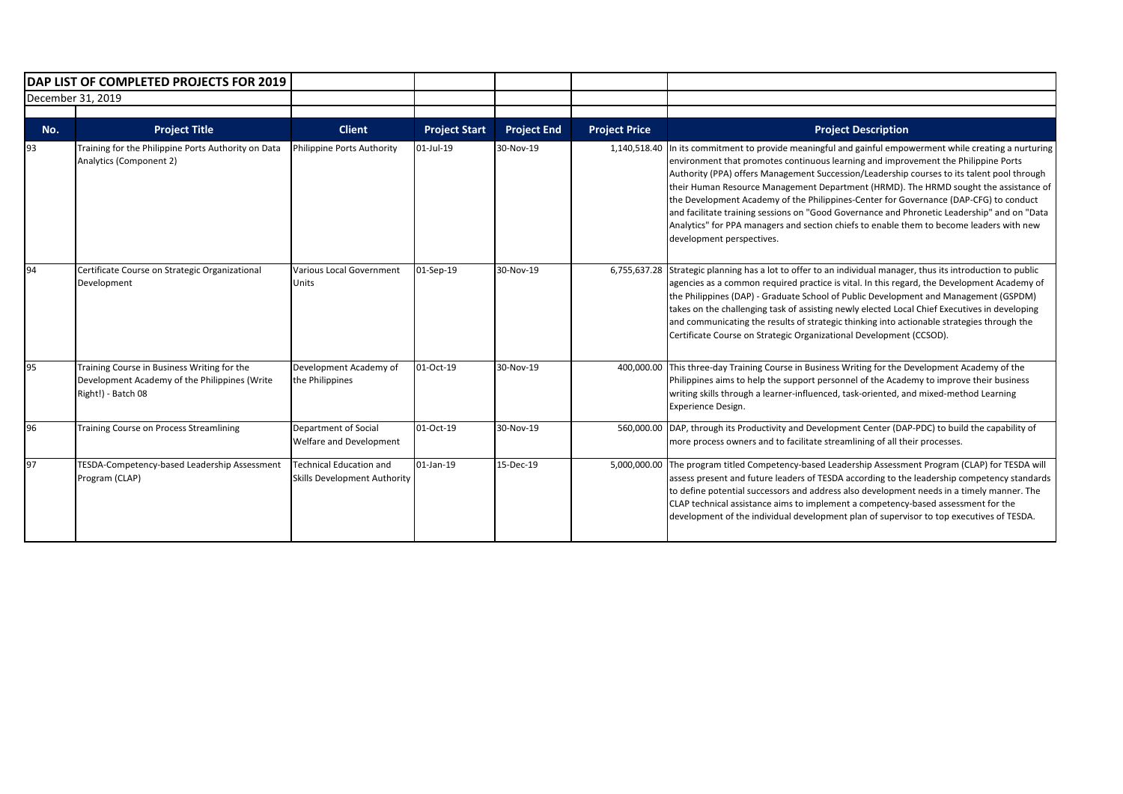| DAP LIST OF COMPLETED PROJECTS FOR 2019 |                                                                                                                    |                                                                |                      |                    |                      |                                                                                                                                                                                                                                                                                                                                                                                                                                                                                                                                                                                                                                                                                         |
|-----------------------------------------|--------------------------------------------------------------------------------------------------------------------|----------------------------------------------------------------|----------------------|--------------------|----------------------|-----------------------------------------------------------------------------------------------------------------------------------------------------------------------------------------------------------------------------------------------------------------------------------------------------------------------------------------------------------------------------------------------------------------------------------------------------------------------------------------------------------------------------------------------------------------------------------------------------------------------------------------------------------------------------------------|
| December 31, 2019                       |                                                                                                                    |                                                                |                      |                    |                      |                                                                                                                                                                                                                                                                                                                                                                                                                                                                                                                                                                                                                                                                                         |
|                                         |                                                                                                                    |                                                                |                      |                    |                      |                                                                                                                                                                                                                                                                                                                                                                                                                                                                                                                                                                                                                                                                                         |
| No.                                     | <b>Project Title</b>                                                                                               | <b>Client</b>                                                  | <b>Project Start</b> | <b>Project End</b> | <b>Project Price</b> | <b>Project Description</b>                                                                                                                                                                                                                                                                                                                                                                                                                                                                                                                                                                                                                                                              |
| 93                                      | Training for the Philippine Ports Authority on Data<br>Analytics (Component 2)                                     | Philippine Ports Authority                                     | 01-Jul-19            | 30-Nov-19          | 1,140,518.40         | In its commitment to provide meaningful and gainful empowerment while creating a nurturing<br>environment that promotes continuous learning and improvement the Philippine Ports<br>Authority (PPA) offers Management Succession/Leadership courses to its talent pool through<br>their Human Resource Management Department (HRMD). The HRMD sought the assistance of<br>the Development Academy of the Philippines-Center for Governance (DAP-CFG) to conduct<br>and facilitate training sessions on "Good Governance and Phronetic Leadership" and on "Data<br>Analytics" for PPA managers and section chiefs to enable them to become leaders with new<br>development perspectives. |
| 94                                      | Certificate Course on Strategic Organizational<br>Development                                                      | Various Local Government<br>Units                              | 01-Sep-19            | 30-Nov-19          | 6,755,637.28         | Strategic planning has a lot to offer to an individual manager, thus its introduction to public<br>agencies as a common required practice is vital. In this regard, the Development Academy of<br>the Philippines (DAP) - Graduate School of Public Development and Management (GSPDM)<br>takes on the challenging task of assisting newly elected Local Chief Executives in developing<br>and communicating the results of strategic thinking into actionable strategies through the<br>Certificate Course on Strategic Organizational Development (CCSOD).                                                                                                                            |
| 95                                      | Training Course in Business Writing for the<br>Development Academy of the Philippines (Write<br>Right!) - Batch 08 | Development Academy of<br>the Philippines                      | 01-Oct-19            | 30-Nov-19          | 400,000.00           | This three-day Training Course in Business Writing for the Development Academy of the<br>Philippines aims to help the support personnel of the Academy to improve their business<br>writing skills through a learner-influenced, task-oriented, and mixed-method Learning<br>Experience Design.                                                                                                                                                                                                                                                                                                                                                                                         |
| 96                                      | <b>Training Course on Process Streamlining</b>                                                                     | Department of Social<br>Welfare and Development                | 01-Oct-19            | 30-Nov-19          | 560.000.00           | DAP, through its Productivity and Development Center (DAP-PDC) to build the capability of<br>more process owners and to facilitate streamlining of all their processes.                                                                                                                                                                                                                                                                                                                                                                                                                                                                                                                 |
| 97                                      | TESDA-Competency-based Leadership Assessment<br>Program (CLAP)                                                     | <b>Technical Education and</b><br>Skills Development Authority | 01-Jan-19            | 15-Dec-19          | 5,000,000.00         | The program titled Competency-based Leadership Assessment Program (CLAP) for TESDA will<br>assess present and future leaders of TESDA according to the leadership competency standards<br>to define potential successors and address also development needs in a timely manner. The<br>CLAP technical assistance aims to implement a competency-based assessment for the<br>development of the individual development plan of supervisor to top executives of TESDA.                                                                                                                                                                                                                    |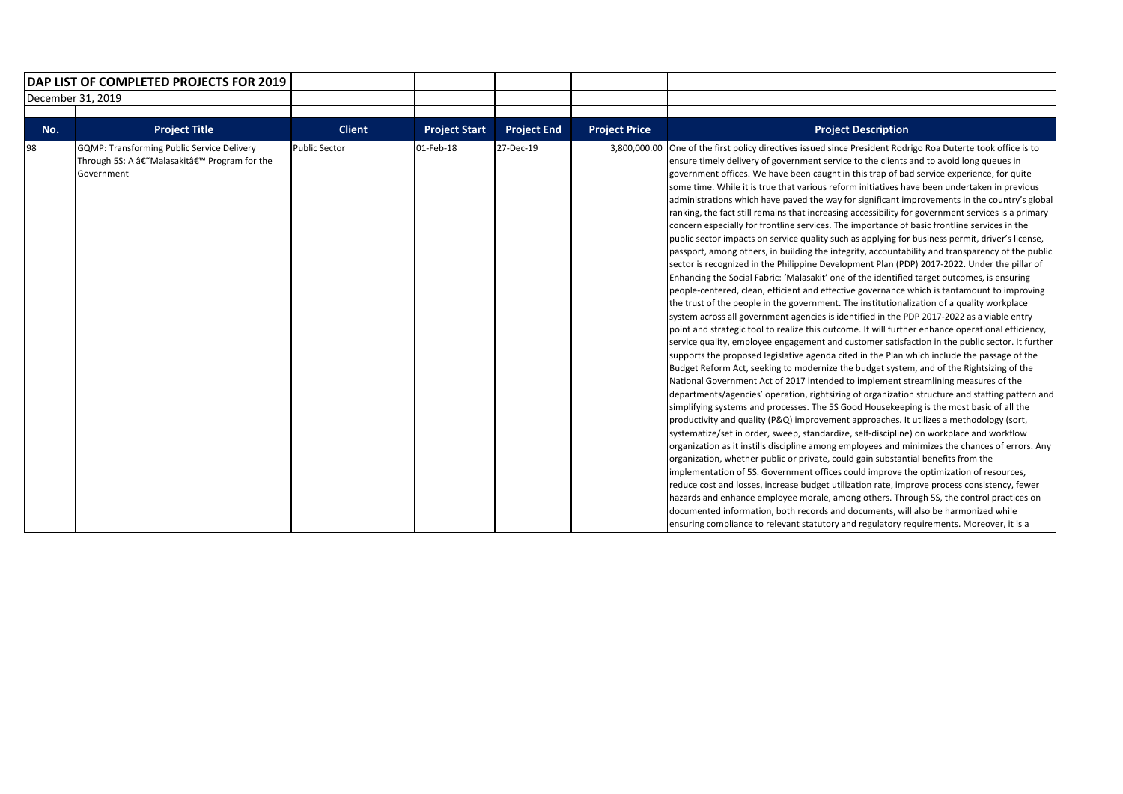| DAP LIST OF COMPLETED PROJECTS FOR 2019 |                                                                                                                            |                      |                      |                    |                      |                                                                                                                                                                                                                                                                                                                                                                                                                                                                                                                                                                                                                                                                                                                                                                                                                                                                                                                                                                                                                                                                                                                                                                                                                                                                                                                                                                                                                                                                                                                                                                                                                                                                                                                                                                                                                                                                                                                                                                                                                                                                                                                                                                                                                                                                                                                                                                                                                                                                                                                                                                                                                                                                                                                                                                                                                                                                                                                                              |
|-----------------------------------------|----------------------------------------------------------------------------------------------------------------------------|----------------------|----------------------|--------------------|----------------------|----------------------------------------------------------------------------------------------------------------------------------------------------------------------------------------------------------------------------------------------------------------------------------------------------------------------------------------------------------------------------------------------------------------------------------------------------------------------------------------------------------------------------------------------------------------------------------------------------------------------------------------------------------------------------------------------------------------------------------------------------------------------------------------------------------------------------------------------------------------------------------------------------------------------------------------------------------------------------------------------------------------------------------------------------------------------------------------------------------------------------------------------------------------------------------------------------------------------------------------------------------------------------------------------------------------------------------------------------------------------------------------------------------------------------------------------------------------------------------------------------------------------------------------------------------------------------------------------------------------------------------------------------------------------------------------------------------------------------------------------------------------------------------------------------------------------------------------------------------------------------------------------------------------------------------------------------------------------------------------------------------------------------------------------------------------------------------------------------------------------------------------------------------------------------------------------------------------------------------------------------------------------------------------------------------------------------------------------------------------------------------------------------------------------------------------------------------------------------------------------------------------------------------------------------------------------------------------------------------------------------------------------------------------------------------------------------------------------------------------------------------------------------------------------------------------------------------------------------------------------------------------------------------------------------------------------|
|                                         | December 31, 2019                                                                                                          |                      |                      |                    |                      |                                                                                                                                                                                                                                                                                                                                                                                                                                                                                                                                                                                                                                                                                                                                                                                                                                                                                                                                                                                                                                                                                                                                                                                                                                                                                                                                                                                                                                                                                                                                                                                                                                                                                                                                                                                                                                                                                                                                                                                                                                                                                                                                                                                                                                                                                                                                                                                                                                                                                                                                                                                                                                                                                                                                                                                                                                                                                                                                              |
|                                         |                                                                                                                            |                      |                      |                    |                      |                                                                                                                                                                                                                                                                                                                                                                                                                                                                                                                                                                                                                                                                                                                                                                                                                                                                                                                                                                                                                                                                                                                                                                                                                                                                                                                                                                                                                                                                                                                                                                                                                                                                                                                                                                                                                                                                                                                                                                                                                                                                                                                                                                                                                                                                                                                                                                                                                                                                                                                                                                                                                                                                                                                                                                                                                                                                                                                                              |
| No.                                     | <b>Project Title</b>                                                                                                       | <b>Client</b>        | <b>Project Start</b> | <b>Project End</b> | <b>Project Price</b> | <b>Project Description</b>                                                                                                                                                                                                                                                                                                                                                                                                                                                                                                                                                                                                                                                                                                                                                                                                                                                                                                                                                                                                                                                                                                                                                                                                                                                                                                                                                                                                                                                                                                                                                                                                                                                                                                                                                                                                                                                                                                                                                                                                                                                                                                                                                                                                                                                                                                                                                                                                                                                                                                                                                                                                                                                                                                                                                                                                                                                                                                                   |
| 98                                      | <b>GQMP: Transforming Public Service Delivery</b><br>Through 5S: A †Malasakitâ€ <sup>™</sup> Program for the<br>Government | <b>Public Sector</b> | 01-Feb-18            | 27-Dec-19          | 3,800,000.00         | One of the first policy directives issued since President Rodrigo Roa Duterte took office is to<br>ensure timely delivery of government service to the clients and to avoid long queues in<br>government offices. We have been caught in this trap of bad service experience, for quite<br>some time. While it is true that various reform initiatives have been undertaken in previous<br>administrations which have paved the way for significant improvements in the country's global<br>ranking, the fact still remains that increasing accessibility for government services is a primary<br>concern especially for frontline services. The importance of basic frontline services in the<br>public sector impacts on service quality such as applying for business permit, driver's license,<br>passport, among others, in building the integrity, accountability and transparency of the public<br>sector is recognized in the Philippine Development Plan (PDP) 2017-2022. Under the pillar of<br>Enhancing the Social Fabric: 'Malasakit' one of the identified target outcomes, is ensuring<br>people-centered, clean, efficient and effective governance which is tantamount to improving<br>the trust of the people in the government. The institutionalization of a quality workplace<br>system across all government agencies is identified in the PDP 2017-2022 as a viable entry<br>point and strategic tool to realize this outcome. It will further enhance operational efficiency,<br>service quality, employee engagement and customer satisfaction in the public sector. It further<br>supports the proposed legislative agenda cited in the Plan which include the passage of the<br>Budget Reform Act, seeking to modernize the budget system, and of the Rightsizing of the<br>National Government Act of 2017 intended to implement streamlining measures of the<br>departments/agencies' operation, rightsizing of organization structure and staffing pattern and<br>simplifying systems and processes. The 5S Good Housekeeping is the most basic of all the<br>productivity and quality (P&Q) improvement approaches. It utilizes a methodology (sort,<br>systematize/set in order, sweep, standardize, self-discipline) on workplace and workflow<br>organization as it instills discipline among employees and minimizes the chances of errors. Any<br>organization, whether public or private, could gain substantial benefits from the<br>implementation of 5S. Government offices could improve the optimization of resources,<br>reduce cost and losses, increase budget utilization rate, improve process consistency, fewer<br>hazards and enhance employee morale, among others. Through 5S, the control practices on<br>documented information, both records and documents, will also be harmonized while<br>ensuring compliance to relevant statutory and regulatory requirements. Moreover, it is a |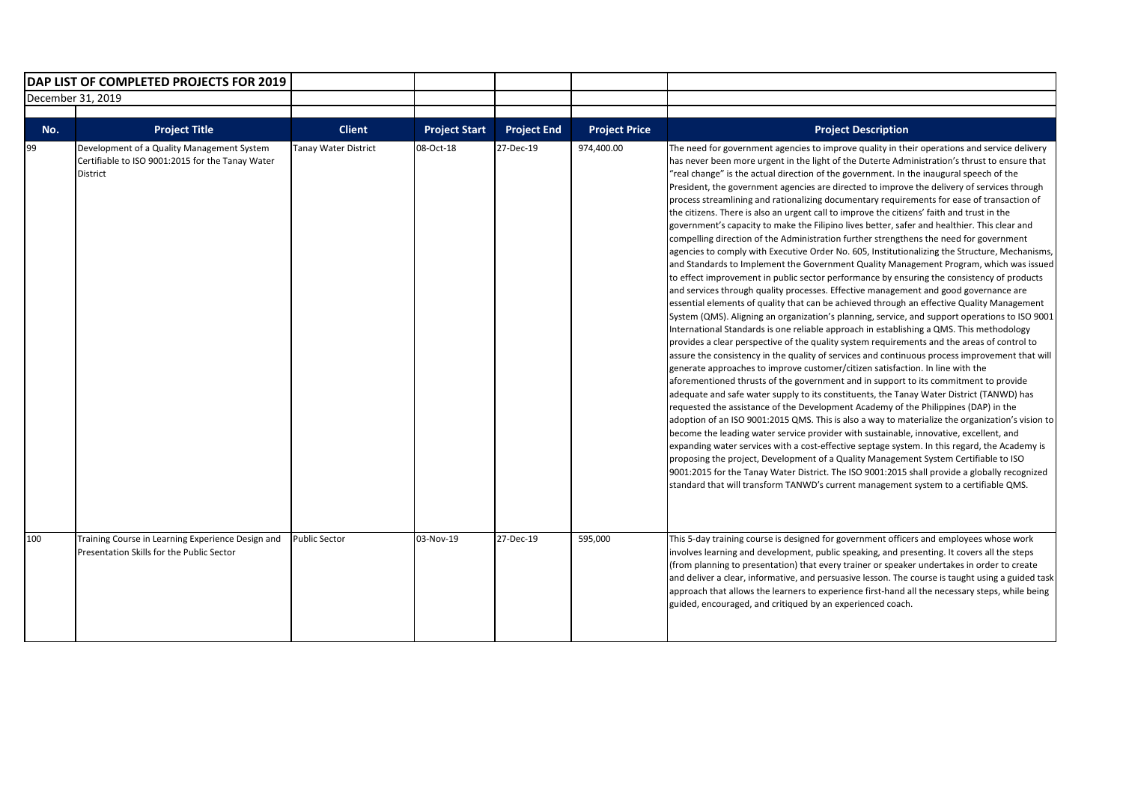| DAP LIST OF COMPLETED PROJECTS FOR 2019 |                                                                                                                   |                             |                      |                    |                      |                                                                                                                                                                                                                                                                                                                                                                                                                                                                                                                                                                                                                                                                                                                                                                                                                                                                                                                                                                                                                                                                                                                                                                                                                                                                                                                                                                                                                                                                                                                                                                                                                                                                                                                                                                                                                                                                                                                                                                                                                                                                                                                                                                                                                                                                                                                                                                                                                                                                                                                                                                                                           |
|-----------------------------------------|-------------------------------------------------------------------------------------------------------------------|-----------------------------|----------------------|--------------------|----------------------|-----------------------------------------------------------------------------------------------------------------------------------------------------------------------------------------------------------------------------------------------------------------------------------------------------------------------------------------------------------------------------------------------------------------------------------------------------------------------------------------------------------------------------------------------------------------------------------------------------------------------------------------------------------------------------------------------------------------------------------------------------------------------------------------------------------------------------------------------------------------------------------------------------------------------------------------------------------------------------------------------------------------------------------------------------------------------------------------------------------------------------------------------------------------------------------------------------------------------------------------------------------------------------------------------------------------------------------------------------------------------------------------------------------------------------------------------------------------------------------------------------------------------------------------------------------------------------------------------------------------------------------------------------------------------------------------------------------------------------------------------------------------------------------------------------------------------------------------------------------------------------------------------------------------------------------------------------------------------------------------------------------------------------------------------------------------------------------------------------------------------------------------------------------------------------------------------------------------------------------------------------------------------------------------------------------------------------------------------------------------------------------------------------------------------------------------------------------------------------------------------------------------------------------------------------------------------------------------------------------|
| December 31, 2019                       |                                                                                                                   |                             |                      |                    |                      |                                                                                                                                                                                                                                                                                                                                                                                                                                                                                                                                                                                                                                                                                                                                                                                                                                                                                                                                                                                                                                                                                                                                                                                                                                                                                                                                                                                                                                                                                                                                                                                                                                                                                                                                                                                                                                                                                                                                                                                                                                                                                                                                                                                                                                                                                                                                                                                                                                                                                                                                                                                                           |
|                                         |                                                                                                                   |                             |                      |                    |                      |                                                                                                                                                                                                                                                                                                                                                                                                                                                                                                                                                                                                                                                                                                                                                                                                                                                                                                                                                                                                                                                                                                                                                                                                                                                                                                                                                                                                                                                                                                                                                                                                                                                                                                                                                                                                                                                                                                                                                                                                                                                                                                                                                                                                                                                                                                                                                                                                                                                                                                                                                                                                           |
| No.                                     | <b>Project Title</b>                                                                                              | <b>Client</b>               | <b>Project Start</b> | <b>Project End</b> | <b>Project Price</b> | <b>Project Description</b>                                                                                                                                                                                                                                                                                                                                                                                                                                                                                                                                                                                                                                                                                                                                                                                                                                                                                                                                                                                                                                                                                                                                                                                                                                                                                                                                                                                                                                                                                                                                                                                                                                                                                                                                                                                                                                                                                                                                                                                                                                                                                                                                                                                                                                                                                                                                                                                                                                                                                                                                                                                |
| 99                                      | Development of a Quality Management System<br>Certifiable to ISO 9001:2015 for the Tanay Water<br><b>District</b> | <b>Tanay Water District</b> | 08-Oct-18            | 27-Dec-19          | 974,400.00           | The need for government agencies to improve quality in their operations and service delivery<br>has never been more urgent in the light of the Duterte Administration's thrust to ensure that<br>"real change" is the actual direction of the government. In the inaugural speech of the<br>President, the government agencies are directed to improve the delivery of services through<br>process streamlining and rationalizing documentary requirements for ease of transaction of<br>the citizens. There is also an urgent call to improve the citizens' faith and trust in the<br>government's capacity to make the Filipino lives better, safer and healthier. This clear and<br>compelling direction of the Administration further strengthens the need for government<br>agencies to comply with Executive Order No. 605, Institutionalizing the Structure, Mechanisms,<br>and Standards to Implement the Government Quality Management Program, which was issued<br>to effect improvement in public sector performance by ensuring the consistency of products<br>and services through quality processes. Effective management and good governance are<br>essential elements of quality that can be achieved through an effective Quality Management<br>System (QMS). Aligning an organization's planning, service, and support operations to ISO 9001<br>International Standards is one reliable approach in establishing a QMS. This methodology<br>provides a clear perspective of the quality system requirements and the areas of control to<br>assure the consistency in the quality of services and continuous process improvement that will<br>generate approaches to improve customer/citizen satisfaction. In line with the<br>aforementioned thrusts of the government and in support to its commitment to provide<br>adequate and safe water supply to its constituents, the Tanay Water District (TANWD) has<br>requested the assistance of the Development Academy of the Philippines (DAP) in the<br>adoption of an ISO 9001:2015 QMS. This is also a way to materialize the organization's vision to<br>become the leading water service provider with sustainable, innovative, excellent, and<br>expanding water services with a cost-effective septage system. In this regard, the Academy is<br>proposing the project, Development of a Quality Management System Certifiable to ISO<br>9001:2015 for the Tanay Water District. The ISO 9001:2015 shall provide a globally recognized<br>standard that will transform TANWD's current management system to a certifiable QMS. |
| 100                                     | Training Course in Learning Experience Design and<br>Presentation Skills for the Public Sector                    | <b>Public Sector</b>        | 03-Nov-19            | 27-Dec-19          | 595,000              | This 5-day training course is designed for government officers and employees whose work<br>involves learning and development, public speaking, and presenting. It covers all the steps<br>(from planning to presentation) that every trainer or speaker undertakes in order to create<br>and deliver a clear, informative, and persuasive lesson. The course is taught using a guided task<br>approach that allows the learners to experience first-hand all the necessary steps, while being<br>guided, encouraged, and critiqued by an experienced coach.                                                                                                                                                                                                                                                                                                                                                                                                                                                                                                                                                                                                                                                                                                                                                                                                                                                                                                                                                                                                                                                                                                                                                                                                                                                                                                                                                                                                                                                                                                                                                                                                                                                                                                                                                                                                                                                                                                                                                                                                                                               |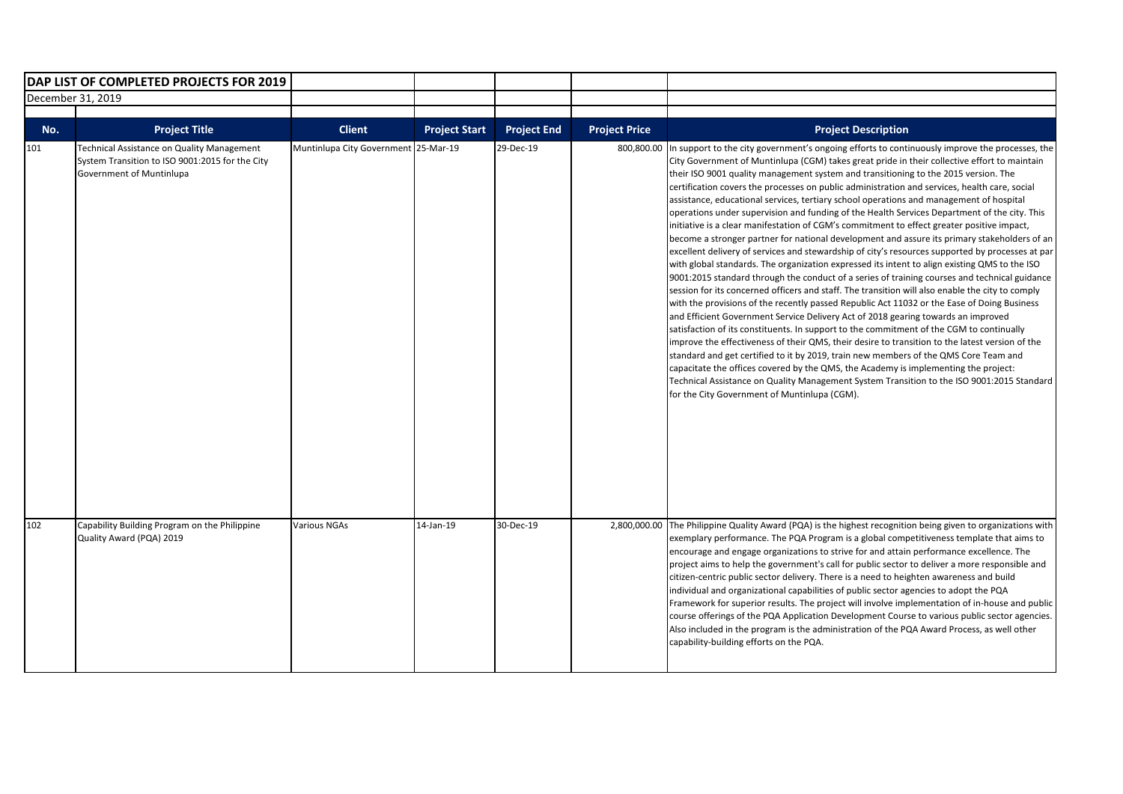| DAP LIST OF COMPLETED PROJECTS FOR 2019 |                                                                                                                           |                                      |                      |                    |                      |                                                                                                                                                                                                                                                                                                                                                                                                                                                                                                                                                                                                                                                                                                                                                                                                                                                                                                                                                                                                                                                                                                                                                                                                                                                                                                                                                                                                                                                                                                                                                                                                                                                                                                                                                                                                                                                                                                           |
|-----------------------------------------|---------------------------------------------------------------------------------------------------------------------------|--------------------------------------|----------------------|--------------------|----------------------|-----------------------------------------------------------------------------------------------------------------------------------------------------------------------------------------------------------------------------------------------------------------------------------------------------------------------------------------------------------------------------------------------------------------------------------------------------------------------------------------------------------------------------------------------------------------------------------------------------------------------------------------------------------------------------------------------------------------------------------------------------------------------------------------------------------------------------------------------------------------------------------------------------------------------------------------------------------------------------------------------------------------------------------------------------------------------------------------------------------------------------------------------------------------------------------------------------------------------------------------------------------------------------------------------------------------------------------------------------------------------------------------------------------------------------------------------------------------------------------------------------------------------------------------------------------------------------------------------------------------------------------------------------------------------------------------------------------------------------------------------------------------------------------------------------------------------------------------------------------------------------------------------------------|
| December 31, 2019                       |                                                                                                                           |                                      |                      |                    |                      |                                                                                                                                                                                                                                                                                                                                                                                                                                                                                                                                                                                                                                                                                                                                                                                                                                                                                                                                                                                                                                                                                                                                                                                                                                                                                                                                                                                                                                                                                                                                                                                                                                                                                                                                                                                                                                                                                                           |
|                                         |                                                                                                                           |                                      |                      |                    |                      |                                                                                                                                                                                                                                                                                                                                                                                                                                                                                                                                                                                                                                                                                                                                                                                                                                                                                                                                                                                                                                                                                                                                                                                                                                                                                                                                                                                                                                                                                                                                                                                                                                                                                                                                                                                                                                                                                                           |
| No.                                     | <b>Project Title</b>                                                                                                      | <b>Client</b>                        | <b>Project Start</b> | <b>Project End</b> | <b>Project Price</b> | <b>Project Description</b>                                                                                                                                                                                                                                                                                                                                                                                                                                                                                                                                                                                                                                                                                                                                                                                                                                                                                                                                                                                                                                                                                                                                                                                                                                                                                                                                                                                                                                                                                                                                                                                                                                                                                                                                                                                                                                                                                |
| 101                                     | Technical Assistance on Quality Management<br>System Transition to ISO 9001:2015 for the City<br>Government of Muntinlupa | Muntinlupa City Government 25-Mar-19 |                      | 29-Dec-19          | 800,800.00           | In support to the city government's ongoing efforts to continuously improve the processes, the<br>City Government of Muntinlupa (CGM) takes great pride in their collective effort to maintain<br>their ISO 9001 quality management system and transitioning to the 2015 version. The<br>certification covers the processes on public administration and services, health care, social<br>assistance, educational services, tertiary school operations and management of hospital<br>operations under supervision and funding of the Health Services Department of the city. This<br>initiative is a clear manifestation of CGM's commitment to effect greater positive impact,<br>become a stronger partner for national development and assure its primary stakeholders of an<br>excellent delivery of services and stewardship of city's resources supported by processes at par<br>with global standards. The organization expressed its intent to align existing QMS to the ISO<br>9001:2015 standard through the conduct of a series of training courses and technical guidance<br>session for its concerned officers and staff. The transition will also enable the city to comply<br>with the provisions of the recently passed Republic Act 11032 or the Ease of Doing Business<br>and Efficient Government Service Delivery Act of 2018 gearing towards an improved<br>satisfaction of its constituents. In support to the commitment of the CGM to continually<br>improve the effectiveness of their QMS, their desire to transition to the latest version of the<br>standard and get certified to it by 2019, train new members of the QMS Core Team and<br>capacitate the offices covered by the QMS, the Academy is implementing the project:<br>Technical Assistance on Quality Management System Transition to the ISO 9001:2015 Standard<br>for the City Government of Muntinlupa (CGM). |
| 102                                     | Capability Building Program on the Philippine<br>Quality Award (PQA) 2019                                                 | <b>Various NGAs</b>                  | 14-Jan-19            | 30-Dec-19          |                      | 2,800,000.00 The Philippine Quality Award (PQA) is the highest recognition being given to organizations with<br>exemplary performance. The PQA Program is a global competitiveness template that aims to<br>encourage and engage organizations to strive for and attain performance excellence. The<br>project aims to help the government's call for public sector to deliver a more responsible and<br>citizen-centric public sector delivery. There is a need to heighten awareness and build<br>individual and organizational capabilities of public sector agencies to adopt the PQA<br>Framework for superior results. The project will involve implementation of in-house and public<br>course offerings of the PQA Application Development Course to various public sector agencies.<br>Also included in the program is the administration of the PQA Award Process, as well other<br>capability-building efforts on the PQA.                                                                                                                                                                                                                                                                                                                                                                                                                                                                                                                                                                                                                                                                                                                                                                                                                                                                                                                                                                     |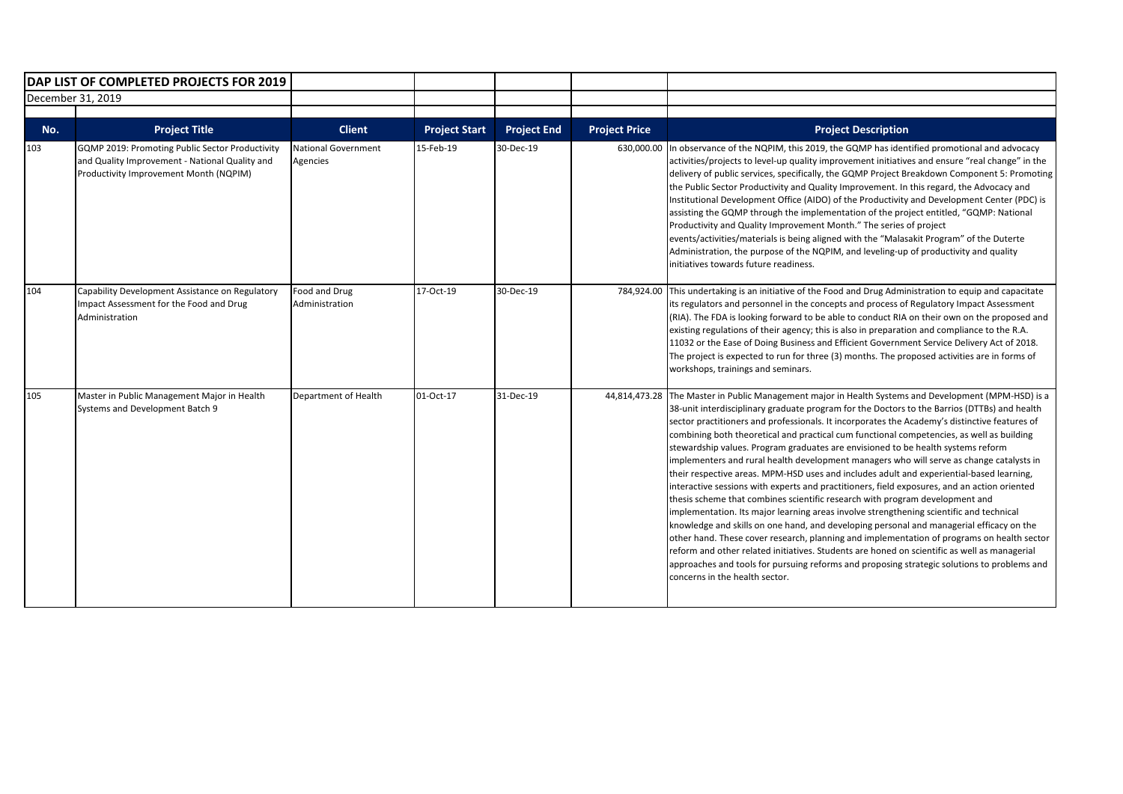|     | DAP LIST OF COMPLETED PROJECTS FOR 2019                                                                                                     |                                        |                      |                    |                      |                                                                                                                                                                                                                                                                                                                                                                                                                                                                                                                                                                                                                                                                                                                                                                                                                                                                                                                                                                                                                                                                                                                                                                                                                                                                                                                                                                        |
|-----|---------------------------------------------------------------------------------------------------------------------------------------------|----------------------------------------|----------------------|--------------------|----------------------|------------------------------------------------------------------------------------------------------------------------------------------------------------------------------------------------------------------------------------------------------------------------------------------------------------------------------------------------------------------------------------------------------------------------------------------------------------------------------------------------------------------------------------------------------------------------------------------------------------------------------------------------------------------------------------------------------------------------------------------------------------------------------------------------------------------------------------------------------------------------------------------------------------------------------------------------------------------------------------------------------------------------------------------------------------------------------------------------------------------------------------------------------------------------------------------------------------------------------------------------------------------------------------------------------------------------------------------------------------------------|
|     | December 31, 2019                                                                                                                           |                                        |                      |                    |                      |                                                                                                                                                                                                                                                                                                                                                                                                                                                                                                                                                                                                                                                                                                                                                                                                                                                                                                                                                                                                                                                                                                                                                                                                                                                                                                                                                                        |
| No. | <b>Project Title</b>                                                                                                                        | <b>Client</b>                          | <b>Project Start</b> | <b>Project End</b> | <b>Project Price</b> | <b>Project Description</b>                                                                                                                                                                                                                                                                                                                                                                                                                                                                                                                                                                                                                                                                                                                                                                                                                                                                                                                                                                                                                                                                                                                                                                                                                                                                                                                                             |
| 103 | GQMP 2019: Promoting Public Sector Productivity<br>and Quality Improvement - National Quality and<br>Productivity Improvement Month (NQPIM) | <b>National Government</b><br>Agencies | 15-Feb-19            | 30-Dec-19          | 630,000.00           | In observance of the NQPIM, this 2019, the GQMP has identified promotional and advocacy<br>activities/projects to level-up quality improvement initiatives and ensure "real change" in the<br>delivery of public services, specifically, the GQMP Project Breakdown Component 5: Promoting<br>the Public Sector Productivity and Quality Improvement. In this regard, the Advocacy and<br>Institutional Development Office (AIDO) of the Productivity and Development Center (PDC) is<br>assisting the GQMP through the implementation of the project entitled, "GQMP: National<br>Productivity and Quality Improvement Month." The series of project<br>events/activities/materials is being aligned with the "Malasakit Program" of the Duterte<br>Administration, the purpose of the NQPIM, and leveling-up of productivity and quality<br>initiatives towards future readiness.                                                                                                                                                                                                                                                                                                                                                                                                                                                                                    |
| 104 | Capability Development Assistance on Regulatory<br>Impact Assessment for the Food and Drug<br>Administration                                | Food and Drug<br>Administration        | 17-Oct-19            | 30-Dec-19          | 784,924.00           | This undertaking is an initiative of the Food and Drug Administration to equip and capacitate<br>its regulators and personnel in the concepts and process of Regulatory Impact Assessment<br>(RIA). The FDA is looking forward to be able to conduct RIA on their own on the proposed and<br>existing regulations of their agency; this is also in preparation and compliance to the R.A.<br>11032 or the Ease of Doing Business and Efficient Government Service Delivery Act of 2018.<br>The project is expected to run for three (3) months. The proposed activities are in forms of<br>workshops, trainings and seminars.                                                                                                                                                                                                                                                                                                                                                                                                                                                                                                                                                                                                                                                                                                                                          |
| 105 | Master in Public Management Major in Health<br>Systems and Development Batch 9                                                              | Department of Health                   | 01-Oct-17            | 31-Dec-19          | 44,814,473.28        | The Master in Public Management major in Health Systems and Development (MPM-HSD) is a<br>38-unit interdisciplinary graduate program for the Doctors to the Barrios (DTTBs) and health<br>sector practitioners and professionals. It incorporates the Academy's distinctive features of<br>combining both theoretical and practical cum functional competencies, as well as building<br>stewardship values. Program graduates are envisioned to be health systems reform<br>implementers and rural health development managers who will serve as change catalysts in<br>their respective areas. MPM-HSD uses and includes adult and experiential-based learning,<br>interactive sessions with experts and practitioners, field exposures, and an action oriented<br>thesis scheme that combines scientific research with program development and<br>implementation. Its major learning areas involve strengthening scientific and technical<br>knowledge and skills on one hand, and developing personal and managerial efficacy on the<br>other hand. These cover research, planning and implementation of programs on health sector<br>reform and other related initiatives. Students are honed on scientific as well as managerial<br>approaches and tools for pursuing reforms and proposing strategic solutions to problems and<br>concerns in the health sector. |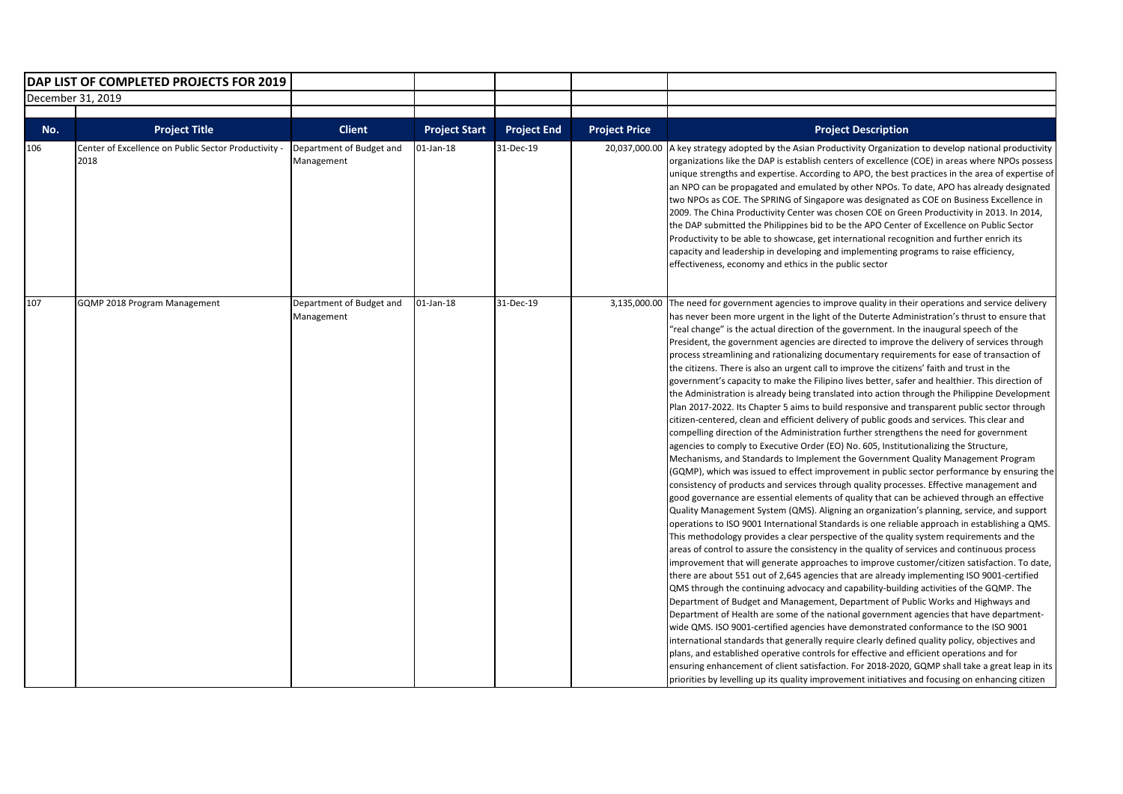|     | DAP LIST OF COMPLETED PROJECTS FOR 2019                      |                                        |                      |                    |                      |                                                                                                                                                                                                                                                                                                                                                                                                                                                                                                                                                                                                                                                                                                                                                                                                                                                                                                                                                                                                                                                                                                                                                                                                                                                                                                                                                                                                                                                                                                                                                                                                                                                                                                                                                                                                                                                                                                                                                                                                                                                                                                                                                                                                                                                                                                                                                                                                                                                                                                                                                                                                                                                                                                                                                                                                                                                                                                                        |
|-----|--------------------------------------------------------------|----------------------------------------|----------------------|--------------------|----------------------|------------------------------------------------------------------------------------------------------------------------------------------------------------------------------------------------------------------------------------------------------------------------------------------------------------------------------------------------------------------------------------------------------------------------------------------------------------------------------------------------------------------------------------------------------------------------------------------------------------------------------------------------------------------------------------------------------------------------------------------------------------------------------------------------------------------------------------------------------------------------------------------------------------------------------------------------------------------------------------------------------------------------------------------------------------------------------------------------------------------------------------------------------------------------------------------------------------------------------------------------------------------------------------------------------------------------------------------------------------------------------------------------------------------------------------------------------------------------------------------------------------------------------------------------------------------------------------------------------------------------------------------------------------------------------------------------------------------------------------------------------------------------------------------------------------------------------------------------------------------------------------------------------------------------------------------------------------------------------------------------------------------------------------------------------------------------------------------------------------------------------------------------------------------------------------------------------------------------------------------------------------------------------------------------------------------------------------------------------------------------------------------------------------------------------------------------------------------------------------------------------------------------------------------------------------------------------------------------------------------------------------------------------------------------------------------------------------------------------------------------------------------------------------------------------------------------------------------------------------------------------------------------------------------------|
|     | December 31, 2019                                            |                                        |                      |                    |                      |                                                                                                                                                                                                                                                                                                                                                                                                                                                                                                                                                                                                                                                                                                                                                                                                                                                                                                                                                                                                                                                                                                                                                                                                                                                                                                                                                                                                                                                                                                                                                                                                                                                                                                                                                                                                                                                                                                                                                                                                                                                                                                                                                                                                                                                                                                                                                                                                                                                                                                                                                                                                                                                                                                                                                                                                                                                                                                                        |
|     |                                                              |                                        |                      |                    |                      |                                                                                                                                                                                                                                                                                                                                                                                                                                                                                                                                                                                                                                                                                                                                                                                                                                                                                                                                                                                                                                                                                                                                                                                                                                                                                                                                                                                                                                                                                                                                                                                                                                                                                                                                                                                                                                                                                                                                                                                                                                                                                                                                                                                                                                                                                                                                                                                                                                                                                                                                                                                                                                                                                                                                                                                                                                                                                                                        |
| No. | <b>Project Title</b>                                         | <b>Client</b>                          | <b>Project Start</b> | <b>Project End</b> | <b>Project Price</b> | <b>Project Description</b>                                                                                                                                                                                                                                                                                                                                                                                                                                                                                                                                                                                                                                                                                                                                                                                                                                                                                                                                                                                                                                                                                                                                                                                                                                                                                                                                                                                                                                                                                                                                                                                                                                                                                                                                                                                                                                                                                                                                                                                                                                                                                                                                                                                                                                                                                                                                                                                                                                                                                                                                                                                                                                                                                                                                                                                                                                                                                             |
| 106 | Center of Excellence on Public Sector Productivity -<br>2018 | Department of Budget and<br>Management | $01$ -Jan-18         | 31-Dec-19          | 20,037,000.00        | A key strategy adopted by the Asian Productivity Organization to develop national productivity<br>organizations like the DAP is establish centers of excellence (COE) in areas where NPOs possess<br>unique strengths and expertise. According to APO, the best practices in the area of expertise of<br>an NPO can be propagated and emulated by other NPOs. To date, APO has already designated<br>two NPOs as COE. The SPRING of Singapore was designated as COE on Business Excellence in<br>2009. The China Productivity Center was chosen COE on Green Productivity in 2013. In 2014,<br>the DAP submitted the Philippines bid to be the APO Center of Excellence on Public Sector<br>Productivity to be able to showcase, get international recognition and further enrich its<br>capacity and leadership in developing and implementing programs to raise efficiency,<br>effectiveness, economy and ethics in the public sector                                                                                                                                                                                                                                                                                                                                                                                                                                                                                                                                                                                                                                                                                                                                                                                                                                                                                                                                                                                                                                                                                                                                                                                                                                                                                                                                                                                                                                                                                                                                                                                                                                                                                                                                                                                                                                                                                                                                                                                |
| 107 | GQMP 2018 Program Management                                 | Department of Budget and<br>Management | $01$ -Jan-18         | 31-Dec-19          | 3.135.000.00         | The need for government agencies to improve quality in their operations and service delivery<br>has never been more urgent in the light of the Duterte Administration's thrust to ensure that<br>'real change" is the actual direction of the government. In the inaugural speech of the<br>President, the government agencies are directed to improve the delivery of services through<br>process streamlining and rationalizing documentary requirements for ease of transaction of<br>the citizens. There is also an urgent call to improve the citizens' faith and trust in the<br>government's capacity to make the Filipino lives better, safer and healthier. This direction of<br>the Administration is already being translated into action through the Philippine Development<br>Plan 2017-2022. Its Chapter 5 aims to build responsive and transparent public sector through<br>citizen-centered, clean and efficient delivery of public goods and services. This clear and<br>compelling direction of the Administration further strengthens the need for government<br>agencies to comply to Executive Order (EO) No. 605, Institutionalizing the Structure,<br>Mechanisms, and Standards to Implement the Government Quality Management Program<br>(GQMP), which was issued to effect improvement in public sector performance by ensuring the<br>consistency of products and services through quality processes. Effective management and<br>good governance are essential elements of quality that can be achieved through an effective<br>Quality Management System (QMS). Aligning an organization's planning, service, and support<br>operations to ISO 9001 International Standards is one reliable approach in establishing a QMS.<br>This methodology provides a clear perspective of the quality system requirements and the<br>areas of control to assure the consistency in the quality of services and continuous process<br>improvement that will generate approaches to improve customer/citizen satisfaction. To date,<br>there are about 551 out of 2,645 agencies that are already implementing ISO 9001-certified<br>QMS through the continuing advocacy and capability-building activities of the GQMP. The<br>Department of Budget and Management, Department of Public Works and Highways and<br>Department of Health are some of the national government agencies that have department-<br>wide QMS. ISO 9001-certified agencies have demonstrated conformance to the ISO 9001<br>international standards that generally require clearly defined quality policy, objectives and<br>plans, and established operative controls for effective and efficient operations and for<br>ensuring enhancement of client satisfaction. For 2018-2020, GQMP shall take a great leap in its<br>priorities by levelling up its quality improvement initiatives and focusing on enhancing citizen |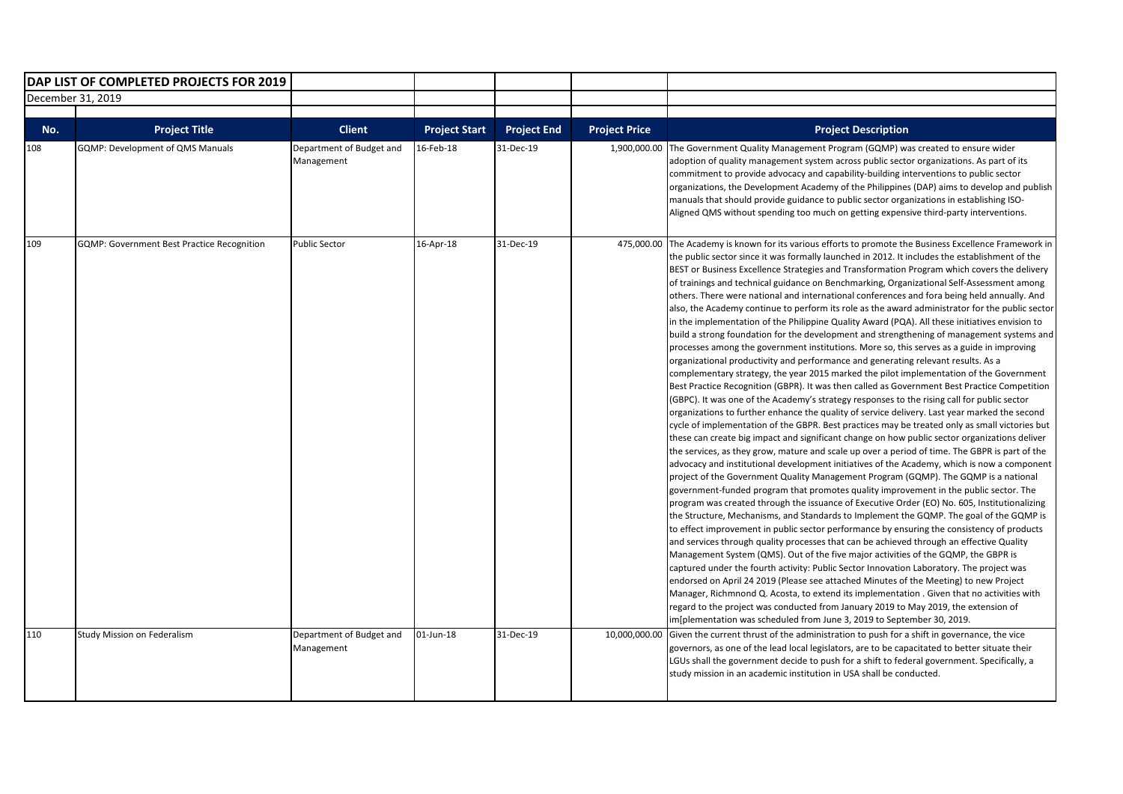|            | DAP LIST OF COMPLETED PROJECTS FOR 2019                  |                                                         |                                   |                                 |                                      |                                                                                                                                                                                                                                                                                                                                                                                                                                                                                                                                                                                                                                                                                                                                                                                                                                                                                                                                                                                                                                                                                                                                                                                                                                                                                                                                                                                                                                                                                                                                                                                                                                                                                                                                                                                                                                                                                                                                                                                                                                                                                                                                                                                                                                                                                                                                                                                                                                                                                                                                                                                                                                                                                                                                                                                                                                                                                             |
|------------|----------------------------------------------------------|---------------------------------------------------------|-----------------------------------|---------------------------------|--------------------------------------|---------------------------------------------------------------------------------------------------------------------------------------------------------------------------------------------------------------------------------------------------------------------------------------------------------------------------------------------------------------------------------------------------------------------------------------------------------------------------------------------------------------------------------------------------------------------------------------------------------------------------------------------------------------------------------------------------------------------------------------------------------------------------------------------------------------------------------------------------------------------------------------------------------------------------------------------------------------------------------------------------------------------------------------------------------------------------------------------------------------------------------------------------------------------------------------------------------------------------------------------------------------------------------------------------------------------------------------------------------------------------------------------------------------------------------------------------------------------------------------------------------------------------------------------------------------------------------------------------------------------------------------------------------------------------------------------------------------------------------------------------------------------------------------------------------------------------------------------------------------------------------------------------------------------------------------------------------------------------------------------------------------------------------------------------------------------------------------------------------------------------------------------------------------------------------------------------------------------------------------------------------------------------------------------------------------------------------------------------------------------------------------------------------------------------------------------------------------------------------------------------------------------------------------------------------------------------------------------------------------------------------------------------------------------------------------------------------------------------------------------------------------------------------------------------------------------------------------------------------------------------------------------|
|            | December 31, 2019                                        |                                                         |                                   |                                 |                                      |                                                                                                                                                                                                                                                                                                                                                                                                                                                                                                                                                                                                                                                                                                                                                                                                                                                                                                                                                                                                                                                                                                                                                                                                                                                                                                                                                                                                                                                                                                                                                                                                                                                                                                                                                                                                                                                                                                                                                                                                                                                                                                                                                                                                                                                                                                                                                                                                                                                                                                                                                                                                                                                                                                                                                                                                                                                                                             |
|            |                                                          |                                                         |                                   |                                 |                                      |                                                                                                                                                                                                                                                                                                                                                                                                                                                                                                                                                                                                                                                                                                                                                                                                                                                                                                                                                                                                                                                                                                                                                                                                                                                                                                                                                                                                                                                                                                                                                                                                                                                                                                                                                                                                                                                                                                                                                                                                                                                                                                                                                                                                                                                                                                                                                                                                                                                                                                                                                                                                                                                                                                                                                                                                                                                                                             |
| No.<br>108 | <b>Project Title</b><br>GQMP: Development of QMS Manuals | <b>Client</b><br>Department of Budget and<br>Management | <b>Project Start</b><br>16-Feb-18 | <b>Project End</b><br>31-Dec-19 | <b>Project Price</b><br>1,900,000.00 | <b>Project Description</b><br>The Government Quality Management Program (GQMP) was created to ensure wider<br>adoption of quality management system across public sector organizations. As part of its<br>commitment to provide advocacy and capability-building interventions to public sector<br>organizations, the Development Academy of the Philippines (DAP) aims to develop and publish<br>manuals that should provide guidance to public sector organizations in establishing ISO-<br>Aligned QMS without spending too much on getting expensive third-party interventions.                                                                                                                                                                                                                                                                                                                                                                                                                                                                                                                                                                                                                                                                                                                                                                                                                                                                                                                                                                                                                                                                                                                                                                                                                                                                                                                                                                                                                                                                                                                                                                                                                                                                                                                                                                                                                                                                                                                                                                                                                                                                                                                                                                                                                                                                                                         |
| 109        | <b>GQMP: Government Best Practice Recognition</b>        | <b>Public Sector</b>                                    | 16-Apr-18                         | 31-Dec-19                       | 475.000.00                           | The Academy is known for its various efforts to promote the Business Excellence Framework in<br>the public sector since it was formally launched in 2012. It includes the establishment of the<br>BEST or Business Excellence Strategies and Transformation Program which covers the delivery<br>of trainings and technical guidance on Benchmarking, Organizational Self-Assessment among<br>others. There were national and international conferences and fora being held annually. And<br>also, the Academy continue to perform its role as the award administrator for the public sector<br>in the implementation of the Philippine Quality Award (PQA). All these initiatives envision to<br>build a strong foundation for the development and strengthening of management systems and<br>processes among the government institutions. More so, this serves as a guide in improving<br>organizational productivity and performance and generating relevant results. As a<br>complementary strategy, the year 2015 marked the pilot implementation of the Government<br>Best Practice Recognition (GBPR). It was then called as Government Best Practice Competition<br>(GBPC). It was one of the Academy's strategy responses to the rising call for public sector<br>organizations to further enhance the quality of service delivery. Last year marked the second<br>cycle of implementation of the GBPR. Best practices may be treated only as small victories but<br>these can create big impact and significant change on how public sector organizations deliver<br>the services, as they grow, mature and scale up over a period of time. The GBPR is part of the<br>advocacy and institutional development initiatives of the Academy, which is now a component<br>project of the Government Quality Management Program (GQMP). The GQMP is a national<br>government-funded program that promotes quality improvement in the public sector. The<br>program was created through the issuance of Executive Order (EO) No. 605, Institutionalizing<br>the Structure, Mechanisms, and Standards to Implement the GQMP. The goal of the GQMP is<br>to effect improvement in public sector performance by ensuring the consistency of products<br>and services through quality processes that can be achieved through an effective Quality<br>Management System (QMS). Out of the five major activities of the GQMP, the GBPR is<br>captured under the fourth activity: Public Sector Innovation Laboratory. The project was<br>endorsed on April 24 2019 (Please see attached Minutes of the Meeting) to new Project<br>Manager, Richmnond Q. Acosta, to extend its implementation . Given that no activities with<br>regard to the project was conducted from January 2019 to May 2019, the extension of<br>im[plementation was scheduled from June 3, 2019 to September 30, 2019. |
| 110        | Study Mission on Federalism                              | Department of Budget and<br>Management                  | 01-Jun-18                         | 31-Dec-19                       | 10,000,000.00                        | Given the current thrust of the administration to push for a shift in governance, the vice<br>governors, as one of the lead local legislators, are to be capacitated to better situate their<br>LGUs shall the government decide to push for a shift to federal government. Specifically, a<br>study mission in an academic institution in USA shall be conducted.                                                                                                                                                                                                                                                                                                                                                                                                                                                                                                                                                                                                                                                                                                                                                                                                                                                                                                                                                                                                                                                                                                                                                                                                                                                                                                                                                                                                                                                                                                                                                                                                                                                                                                                                                                                                                                                                                                                                                                                                                                                                                                                                                                                                                                                                                                                                                                                                                                                                                                                          |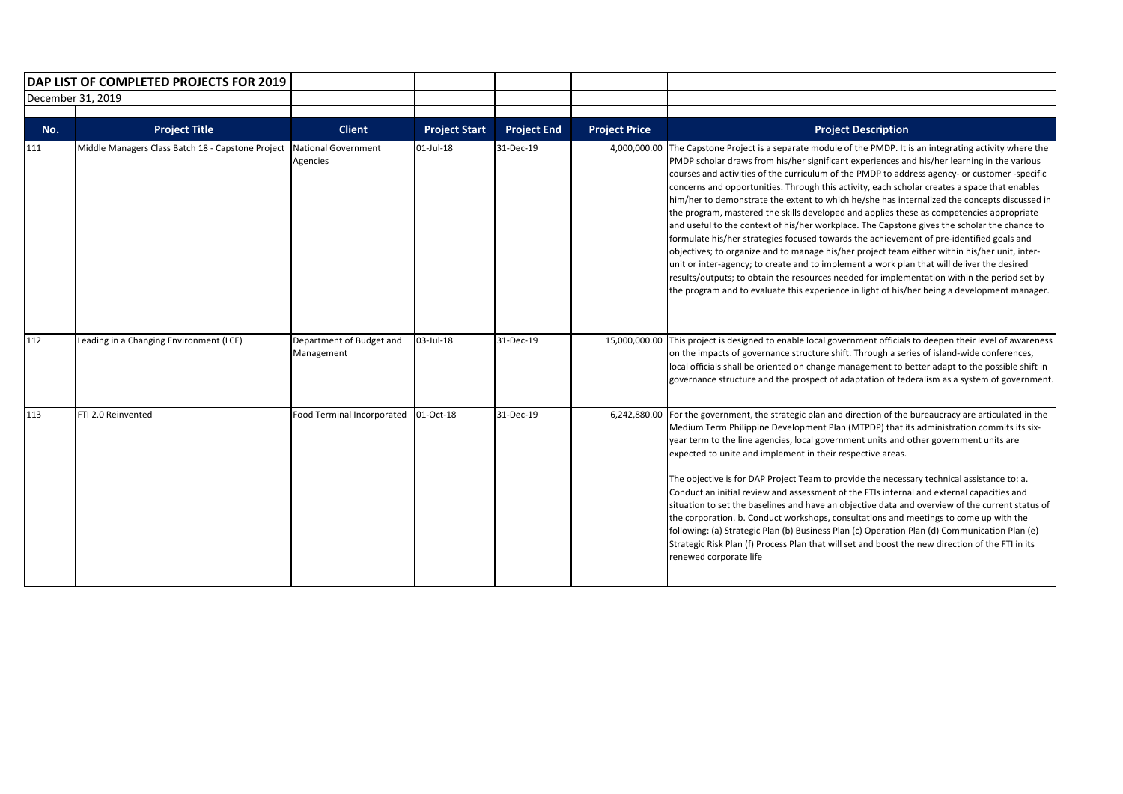|     | DAP LIST OF COMPLETED PROJECTS FOR 2019           |                                        |                      |                    |                      |                                                                                                                                                                                                                                                                                                                                                                                                                                                                                                                                                                                                                                                                                                                                                                                                                                                                                                                                                                                                                                                                                                                                                                                      |
|-----|---------------------------------------------------|----------------------------------------|----------------------|--------------------|----------------------|--------------------------------------------------------------------------------------------------------------------------------------------------------------------------------------------------------------------------------------------------------------------------------------------------------------------------------------------------------------------------------------------------------------------------------------------------------------------------------------------------------------------------------------------------------------------------------------------------------------------------------------------------------------------------------------------------------------------------------------------------------------------------------------------------------------------------------------------------------------------------------------------------------------------------------------------------------------------------------------------------------------------------------------------------------------------------------------------------------------------------------------------------------------------------------------|
|     | December 31, 2019                                 |                                        |                      |                    |                      |                                                                                                                                                                                                                                                                                                                                                                                                                                                                                                                                                                                                                                                                                                                                                                                                                                                                                                                                                                                                                                                                                                                                                                                      |
| No. | <b>Project Title</b>                              | <b>Client</b>                          | <b>Project Start</b> | <b>Project End</b> | <b>Project Price</b> | <b>Project Description</b>                                                                                                                                                                                                                                                                                                                                                                                                                                                                                                                                                                                                                                                                                                                                                                                                                                                                                                                                                                                                                                                                                                                                                           |
| 111 | Middle Managers Class Batch 18 - Capstone Project | <b>National Government</b><br>Agencies | $01$ -Jul-18         | 31-Dec-19          | 4,000,000.00         | The Capstone Project is a separate module of the PMDP. It is an integrating activity where the<br>PMDP scholar draws from his/her significant experiences and his/her learning in the various<br>courses and activities of the curriculum of the PMDP to address agency- or customer -specific<br>concerns and opportunities. Through this activity, each scholar creates a space that enables<br>him/her to demonstrate the extent to which he/she has internalized the concepts discussed in<br>the program, mastered the skills developed and applies these as competencies appropriate<br>and useful to the context of his/her workplace. The Capstone gives the scholar the chance to<br>formulate his/her strategies focused towards the achievement of pre-identified goals and<br>objectives; to organize and to manage his/her project team either within his/her unit, inter-<br>unit or inter-agency; to create and to implement a work plan that will deliver the desired<br>results/outputs; to obtain the resources needed for implementation within the period set by<br>the program and to evaluate this experience in light of his/her being a development manager. |
| 112 | Leading in a Changing Environment (LCE)           | Department of Budget and<br>Management | 03-Jul-18            | 31-Dec-19          | 15,000,000.00        | This project is designed to enable local government officials to deepen their level of awareness<br>on the impacts of governance structure shift. Through a series of island-wide conferences,<br>local officials shall be oriented on change management to better adapt to the possible shift in<br>governance structure and the prospect of adaptation of federalism as a system of government.                                                                                                                                                                                                                                                                                                                                                                                                                                                                                                                                                                                                                                                                                                                                                                                    |
| 113 | FTI 2.0 Reinvented                                | Food Terminal Incorporated             | 01-Oct-18            | 31-Dec-19          | 6,242,880.00         | For the government, the strategic plan and direction of the bureaucracy are articulated in the<br>Medium Term Philippine Development Plan (MTPDP) that its administration commits its six-<br>year term to the line agencies, local government units and other government units are<br>expected to unite and implement in their respective areas.<br>The objective is for DAP Project Team to provide the necessary technical assistance to: a.<br>Conduct an initial review and assessment of the FTIs internal and external capacities and<br>situation to set the baselines and have an objective data and overview of the current status of<br>the corporation. b. Conduct workshops, consultations and meetings to come up with the<br>following: (a) Strategic Plan (b) Business Plan (c) Operation Plan (d) Communication Plan (e)<br>Strategic Risk Plan (f) Process Plan that will set and boost the new direction of the FTI in its<br>renewed corporate life                                                                                                                                                                                                              |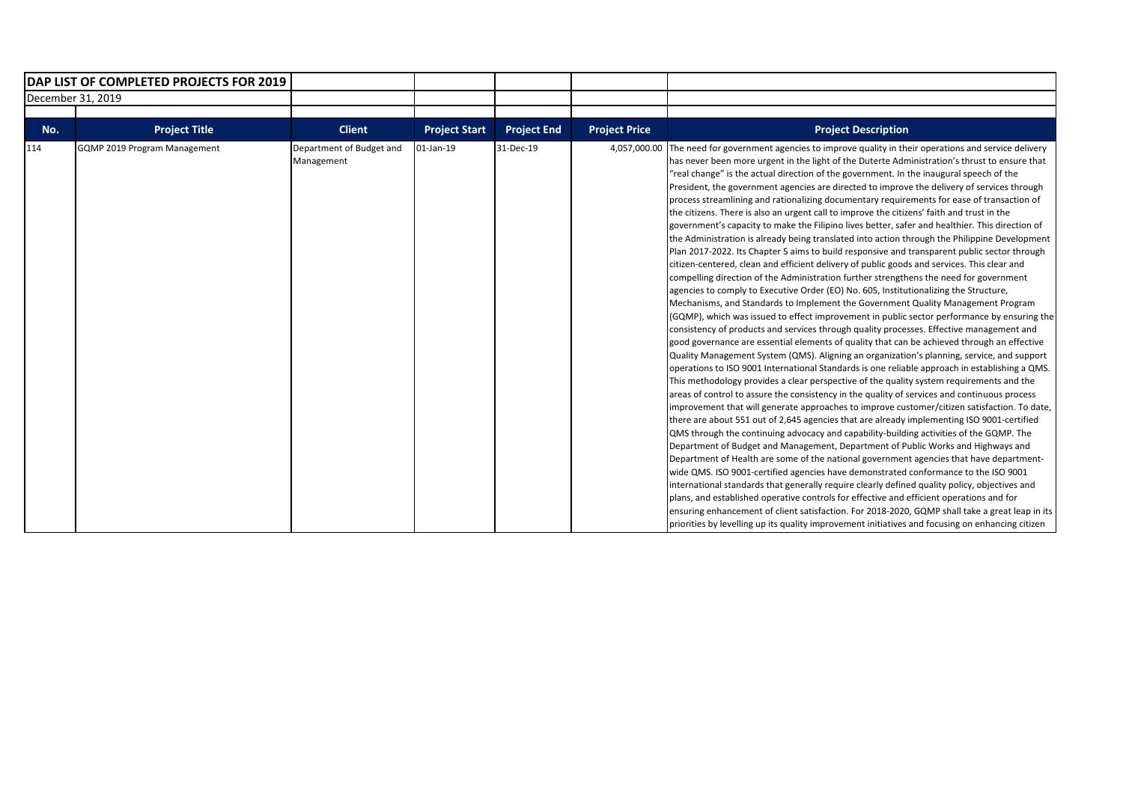| DAP LIST OF COMPLETED PROJECTS FOR 2019 |                              |                                        |                      |                    |                      |                                                                                                                                                                                                                                                                                                                                                                                                                                                                                                                                                                                                                                                                                                                                                                                                                                                                                                                                                                                                                                                                                                                                                                                                                                                                                                                                                                                                                                                                                                                                                                                                                                                                                                                                                                                                                                                                                                                                                                                                                                                                                                                                                                                                                                                                                                                                                                                                                                                                                                                                                                                                                                                                                                                                                                                                                                                                                                                        |
|-----------------------------------------|------------------------------|----------------------------------------|----------------------|--------------------|----------------------|------------------------------------------------------------------------------------------------------------------------------------------------------------------------------------------------------------------------------------------------------------------------------------------------------------------------------------------------------------------------------------------------------------------------------------------------------------------------------------------------------------------------------------------------------------------------------------------------------------------------------------------------------------------------------------------------------------------------------------------------------------------------------------------------------------------------------------------------------------------------------------------------------------------------------------------------------------------------------------------------------------------------------------------------------------------------------------------------------------------------------------------------------------------------------------------------------------------------------------------------------------------------------------------------------------------------------------------------------------------------------------------------------------------------------------------------------------------------------------------------------------------------------------------------------------------------------------------------------------------------------------------------------------------------------------------------------------------------------------------------------------------------------------------------------------------------------------------------------------------------------------------------------------------------------------------------------------------------------------------------------------------------------------------------------------------------------------------------------------------------------------------------------------------------------------------------------------------------------------------------------------------------------------------------------------------------------------------------------------------------------------------------------------------------------------------------------------------------------------------------------------------------------------------------------------------------------------------------------------------------------------------------------------------------------------------------------------------------------------------------------------------------------------------------------------------------------------------------------------------------------------------------------------------------|
|                                         | December 31, 2019            |                                        |                      |                    |                      |                                                                                                                                                                                                                                                                                                                                                                                                                                                                                                                                                                                                                                                                                                                                                                                                                                                                                                                                                                                                                                                                                                                                                                                                                                                                                                                                                                                                                                                                                                                                                                                                                                                                                                                                                                                                                                                                                                                                                                                                                                                                                                                                                                                                                                                                                                                                                                                                                                                                                                                                                                                                                                                                                                                                                                                                                                                                                                                        |
|                                         |                              |                                        |                      |                    |                      |                                                                                                                                                                                                                                                                                                                                                                                                                                                                                                                                                                                                                                                                                                                                                                                                                                                                                                                                                                                                                                                                                                                                                                                                                                                                                                                                                                                                                                                                                                                                                                                                                                                                                                                                                                                                                                                                                                                                                                                                                                                                                                                                                                                                                                                                                                                                                                                                                                                                                                                                                                                                                                                                                                                                                                                                                                                                                                                        |
| No.                                     | <b>Project Title</b>         | <b>Client</b>                          | <b>Project Start</b> | <b>Project End</b> | <b>Project Price</b> | <b>Project Description</b>                                                                                                                                                                                                                                                                                                                                                                                                                                                                                                                                                                                                                                                                                                                                                                                                                                                                                                                                                                                                                                                                                                                                                                                                                                                                                                                                                                                                                                                                                                                                                                                                                                                                                                                                                                                                                                                                                                                                                                                                                                                                                                                                                                                                                                                                                                                                                                                                                                                                                                                                                                                                                                                                                                                                                                                                                                                                                             |
| 114                                     | GQMP 2019 Program Management | Department of Budget and<br>Management | 01-Jan-19            | 31-Dec-19          | 4,057,000.00         | The need for government agencies to improve quality in their operations and service delivery<br>has never been more urgent in the light of the Duterte Administration's thrust to ensure that<br>"real change" is the actual direction of the government. In the inaugural speech of the<br>President, the government agencies are directed to improve the delivery of services through<br>process streamlining and rationalizing documentary requirements for ease of transaction of<br>the citizens. There is also an urgent call to improve the citizens' faith and trust in the<br>government's capacity to make the Filipino lives better, safer and healthier. This direction of<br>the Administration is already being translated into action through the Philippine Development<br>Plan 2017-2022. Its Chapter 5 aims to build responsive and transparent public sector through<br>citizen-centered, clean and efficient delivery of public goods and services. This clear and<br>compelling direction of the Administration further strengthens the need for government<br>agencies to comply to Executive Order (EO) No. 605, Institutionalizing the Structure,<br>Mechanisms, and Standards to Implement the Government Quality Management Program<br>(GQMP), which was issued to effect improvement in public sector performance by ensuring the<br>consistency of products and services through quality processes. Effective management and<br>good governance are essential elements of quality that can be achieved through an effective<br>Quality Management System (QMS). Aligning an organization's planning, service, and support<br>operations to ISO 9001 International Standards is one reliable approach in establishing a QMS.<br>This methodology provides a clear perspective of the quality system requirements and the<br>areas of control to assure the consistency in the quality of services and continuous process<br>improvement that will generate approaches to improve customer/citizen satisfaction. To date,<br>there are about 551 out of 2,645 agencies that are already implementing ISO 9001-certified<br>QMS through the continuing advocacy and capability-building activities of the GQMP. The<br>Department of Budget and Management, Department of Public Works and Highways and<br>Department of Health are some of the national government agencies that have department-<br>wide QMS. ISO 9001-certified agencies have demonstrated conformance to the ISO 9001<br>international standards that generally require clearly defined quality policy, objectives and<br>plans, and established operative controls for effective and efficient operations and for<br>ensuring enhancement of client satisfaction. For 2018-2020, GQMP shall take a great leap in its<br>priorities by levelling up its quality improvement initiatives and focusing on enhancing citizen |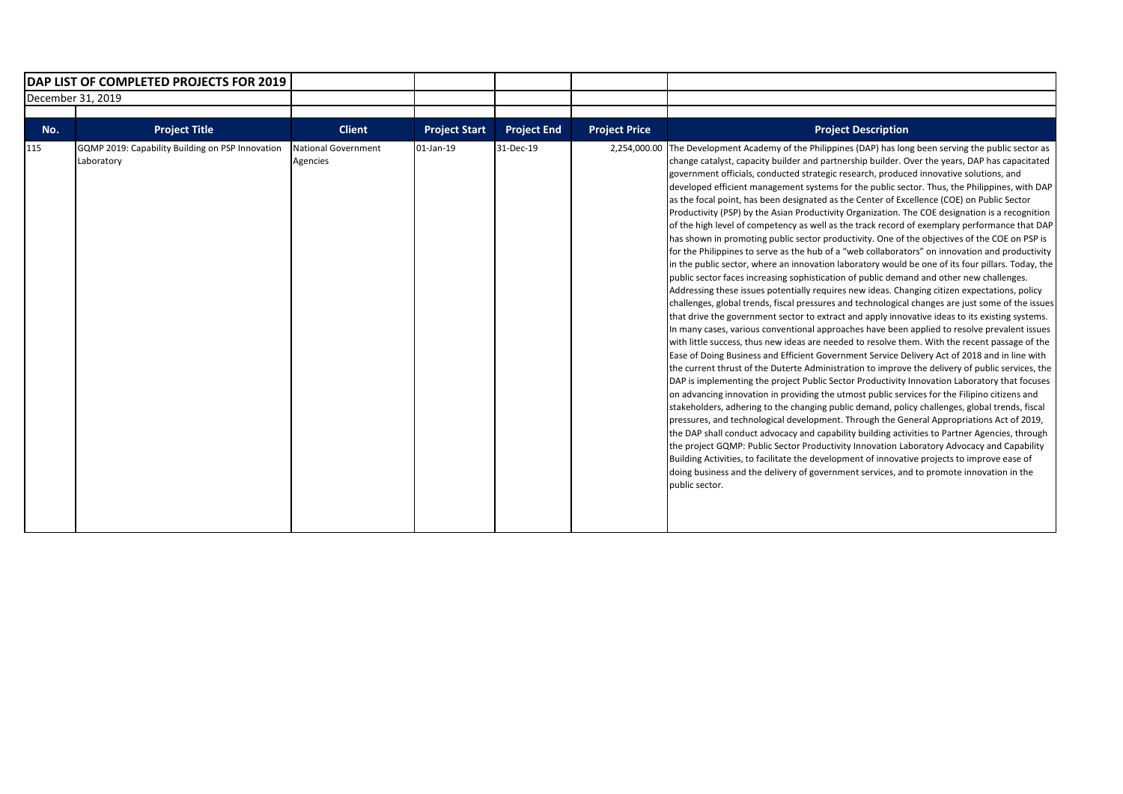| <b>IDAP LIST OF COMPLETED PROJECTS FOR 2019</b> |                                                                |                                        |                      |                    |                      |                                                                                                                                                                                                                                                                                                                                                                                                                                                                                                                                                                                                                                                                                                                                                                                                                                                                                                                                                                                                                                                                                                                                                                                                                                                                                                                                                                                                                                                                                                                                                                                                                                                                                                                                                                                                                                                                                                                                                                                                                                                                                                                                                                                                                                                                                                                                                                                                                                                                                                                                                                                                                                |
|-------------------------------------------------|----------------------------------------------------------------|----------------------------------------|----------------------|--------------------|----------------------|--------------------------------------------------------------------------------------------------------------------------------------------------------------------------------------------------------------------------------------------------------------------------------------------------------------------------------------------------------------------------------------------------------------------------------------------------------------------------------------------------------------------------------------------------------------------------------------------------------------------------------------------------------------------------------------------------------------------------------------------------------------------------------------------------------------------------------------------------------------------------------------------------------------------------------------------------------------------------------------------------------------------------------------------------------------------------------------------------------------------------------------------------------------------------------------------------------------------------------------------------------------------------------------------------------------------------------------------------------------------------------------------------------------------------------------------------------------------------------------------------------------------------------------------------------------------------------------------------------------------------------------------------------------------------------------------------------------------------------------------------------------------------------------------------------------------------------------------------------------------------------------------------------------------------------------------------------------------------------------------------------------------------------------------------------------------------------------------------------------------------------------------------------------------------------------------------------------------------------------------------------------------------------------------------------------------------------------------------------------------------------------------------------------------------------------------------------------------------------------------------------------------------------------------------------------------------------------------------------------------------------|
|                                                 | December 31, 2019                                              |                                        |                      |                    |                      |                                                                                                                                                                                                                                                                                                                                                                                                                                                                                                                                                                                                                                                                                                                                                                                                                                                                                                                                                                                                                                                                                                                                                                                                                                                                                                                                                                                                                                                                                                                                                                                                                                                                                                                                                                                                                                                                                                                                                                                                                                                                                                                                                                                                                                                                                                                                                                                                                                                                                                                                                                                                                                |
| No.                                             | <b>Project Title</b>                                           | <b>Client</b>                          | <b>Project Start</b> | <b>Project End</b> | <b>Project Price</b> | <b>Project Description</b>                                                                                                                                                                                                                                                                                                                                                                                                                                                                                                                                                                                                                                                                                                                                                                                                                                                                                                                                                                                                                                                                                                                                                                                                                                                                                                                                                                                                                                                                                                                                                                                                                                                                                                                                                                                                                                                                                                                                                                                                                                                                                                                                                                                                                                                                                                                                                                                                                                                                                                                                                                                                     |
| 115                                             | GQMP 2019: Capability Building on PSP Innovation<br>Laboratory | <b>National Government</b><br>Agencies | 01-Jan-19            | 31-Dec-19          | 2,254,000.00         | The Development Academy of the Philippines (DAP) has long been serving the public sector as<br>change catalyst, capacity builder and partnership builder. Over the years, DAP has capacitated<br>government officials, conducted strategic research, produced innovative solutions, and<br>developed efficient management systems for the public sector. Thus, the Philippines, with DAP<br>as the focal point, has been designated as the Center of Excellence (COE) on Public Sector<br>Productivity (PSP) by the Asian Productivity Organization. The COE designation is a recognition<br>of the high level of competency as well as the track record of exemplary performance that DAP<br>has shown in promoting public sector productivity. One of the objectives of the COE on PSP is<br>for the Philippines to serve as the hub of a "web collaborators" on innovation and productivity<br>in the public sector, where an innovation laboratory would be one of its four pillars. Today, the<br>public sector faces increasing sophistication of public demand and other new challenges.<br>Addressing these issues potentially requires new ideas. Changing citizen expectations, policy<br>challenges, global trends, fiscal pressures and technological changes are just some of the issues<br>that drive the government sector to extract and apply innovative ideas to its existing systems.<br>In many cases, various conventional approaches have been applied to resolve prevalent issues<br>with little success, thus new ideas are needed to resolve them. With the recent passage of the<br>Ease of Doing Business and Efficient Government Service Delivery Act of 2018 and in line with<br>the current thrust of the Duterte Administration to improve the delivery of public services, the<br>DAP is implementing the project Public Sector Productivity Innovation Laboratory that focuses<br>on advancing innovation in providing the utmost public services for the Filipino citizens and<br>stakeholders, adhering to the changing public demand, policy challenges, global trends, fiscal<br>pressures, and technological development. Through the General Appropriations Act of 2019,<br>the DAP shall conduct advocacy and capability building activities to Partner Agencies, through<br>the project GQMP: Public Sector Productivity Innovation Laboratory Advocacy and Capability<br>Building Activities, to facilitate the development of innovative projects to improve ease of<br>doing business and the delivery of government services, and to promote innovation in the<br>public sector. |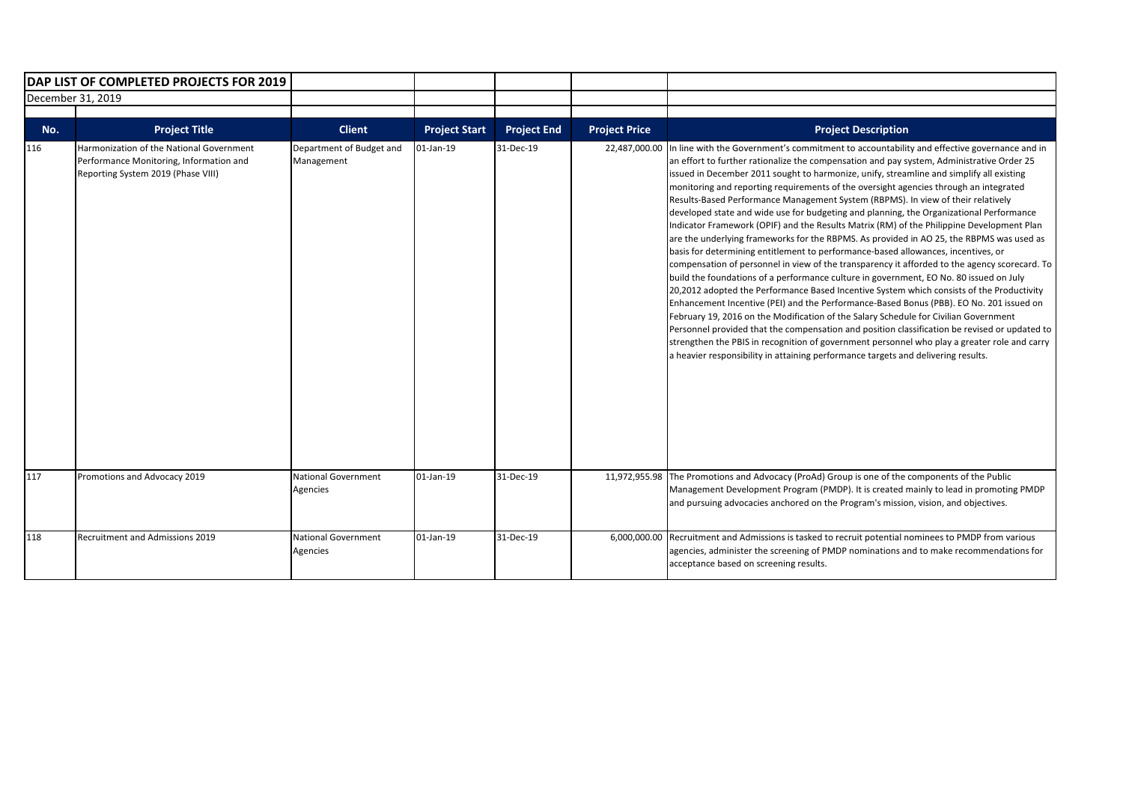|                   | DAP LIST OF COMPLETED PROJECTS FOR 2019                                                                                   |                                        |                      |                    |                      |                                                                                                                                                                                                                                                                                                                                                                                                                                                                                                                                                                                                                                                                                                                                                                                                                                                                                                                                                                                                                                                                                                                                                                                                                                                                                                                                                                                                                                                                                                                                                                                                            |
|-------------------|---------------------------------------------------------------------------------------------------------------------------|----------------------------------------|----------------------|--------------------|----------------------|------------------------------------------------------------------------------------------------------------------------------------------------------------------------------------------------------------------------------------------------------------------------------------------------------------------------------------------------------------------------------------------------------------------------------------------------------------------------------------------------------------------------------------------------------------------------------------------------------------------------------------------------------------------------------------------------------------------------------------------------------------------------------------------------------------------------------------------------------------------------------------------------------------------------------------------------------------------------------------------------------------------------------------------------------------------------------------------------------------------------------------------------------------------------------------------------------------------------------------------------------------------------------------------------------------------------------------------------------------------------------------------------------------------------------------------------------------------------------------------------------------------------------------------------------------------------------------------------------------|
| December 31, 2019 |                                                                                                                           |                                        |                      |                    |                      |                                                                                                                                                                                                                                                                                                                                                                                                                                                                                                                                                                                                                                                                                                                                                                                                                                                                                                                                                                                                                                                                                                                                                                                                                                                                                                                                                                                                                                                                                                                                                                                                            |
| No.               | <b>Project Title</b>                                                                                                      | <b>Client</b>                          | <b>Project Start</b> | <b>Project End</b> | <b>Project Price</b> | <b>Project Description</b>                                                                                                                                                                                                                                                                                                                                                                                                                                                                                                                                                                                                                                                                                                                                                                                                                                                                                                                                                                                                                                                                                                                                                                                                                                                                                                                                                                                                                                                                                                                                                                                 |
| 116               | Harmonization of the National Government<br>Performance Monitoring, Information and<br>Reporting System 2019 (Phase VIII) | Department of Budget and<br>Management | $01$ -Jan-19         | 31-Dec-19          | 22,487,000.00        | In line with the Government's commitment to accountability and effective governance and in<br>an effort to further rationalize the compensation and pay system, Administrative Order 25<br>issued in December 2011 sought to harmonize, unify, streamline and simplify all existing<br>monitoring and reporting requirements of the oversight agencies through an integrated<br>Results-Based Performance Management System (RBPMS). In view of their relatively<br>developed state and wide use for budgeting and planning, the Organizational Performance<br>Indicator Framework (OPIF) and the Results Matrix (RM) of the Philippine Development Plan<br>are the underlying frameworks for the RBPMS. As provided in AO 25, the RBPMS was used as<br>basis for determining entitlement to performance-based allowances, incentives, or<br>compensation of personnel in view of the transparency it afforded to the agency scorecard. To<br>build the foundations of a performance culture in government, EO No. 80 issued on July<br>20,2012 adopted the Performance Based Incentive System which consists of the Productivity<br>Enhancement Incentive (PEI) and the Performance-Based Bonus (PBB). EO No. 201 issued on<br>February 19, 2016 on the Modification of the Salary Schedule for Civilian Government<br>Personnel provided that the compensation and position classification be revised or updated to<br>strengthen the PBIS in recognition of government personnel who play a greater role and carry<br>a heavier responsibility in attaining performance targets and delivering results. |
| 117               | Promotions and Advocacy 2019                                                                                              | <b>National Government</b><br>Agencies | 01-Jan-19            | 31-Dec-19          |                      | 11,972,955.98 The Promotions and Advocacy (ProAd) Group is one of the components of the Public<br>Management Development Program (PMDP). It is created mainly to lead in promoting PMDP<br>and pursuing advocacies anchored on the Program's mission, vision, and objectives.                                                                                                                                                                                                                                                                                                                                                                                                                                                                                                                                                                                                                                                                                                                                                                                                                                                                                                                                                                                                                                                                                                                                                                                                                                                                                                                              |
| 118               | <b>Recruitment and Admissions 2019</b>                                                                                    | <b>National Government</b><br>Agencies | $01$ -Jan-19         | 31-Dec-19          | 6,000,000.00         | Recruitment and Admissions is tasked to recruit potential nominees to PMDP from various<br>agencies, administer the screening of PMDP nominations and to make recommendations for<br>acceptance based on screening results.                                                                                                                                                                                                                                                                                                                                                                                                                                                                                                                                                                                                                                                                                                                                                                                                                                                                                                                                                                                                                                                                                                                                                                                                                                                                                                                                                                                |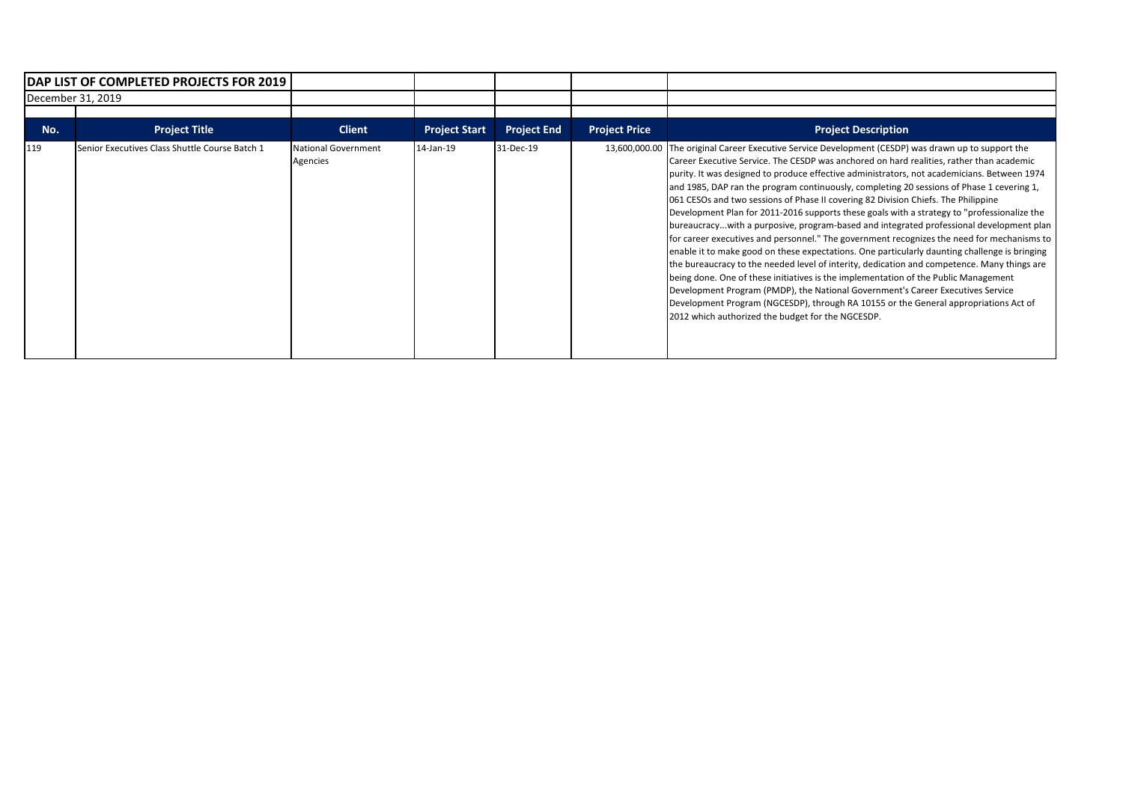| <b>DAP LIST OF COMPLETED PROJECTS FOR 2019</b> |                                                |                                        |                      |                    |                      |                                                                                                                                                                                                                                                                                                                                                                                                                                                                                                                                                                                                                                                                                                                                                                                                                                                                                                                                                                                                                                                                                                                                                                                                                                                                                                  |
|------------------------------------------------|------------------------------------------------|----------------------------------------|----------------------|--------------------|----------------------|--------------------------------------------------------------------------------------------------------------------------------------------------------------------------------------------------------------------------------------------------------------------------------------------------------------------------------------------------------------------------------------------------------------------------------------------------------------------------------------------------------------------------------------------------------------------------------------------------------------------------------------------------------------------------------------------------------------------------------------------------------------------------------------------------------------------------------------------------------------------------------------------------------------------------------------------------------------------------------------------------------------------------------------------------------------------------------------------------------------------------------------------------------------------------------------------------------------------------------------------------------------------------------------------------|
|                                                | December 31, 2019                              |                                        |                      |                    |                      |                                                                                                                                                                                                                                                                                                                                                                                                                                                                                                                                                                                                                                                                                                                                                                                                                                                                                                                                                                                                                                                                                                                                                                                                                                                                                                  |
| No.                                            | <b>Project Title</b>                           | <b>Client</b>                          | <b>Project Start</b> | <b>Project End</b> | <b>Project Price</b> | <b>Project Description</b>                                                                                                                                                                                                                                                                                                                                                                                                                                                                                                                                                                                                                                                                                                                                                                                                                                                                                                                                                                                                                                                                                                                                                                                                                                                                       |
| 119                                            | Senior Executives Class Shuttle Course Batch 1 | <b>National Government</b><br>Agencies | 14-Jan-19            | 31-Dec-19          |                      | 13,600,000.00 The original Career Executive Service Development (CESDP) was drawn up to support the<br>Career Executive Service. The CESDP was anchored on hard realities, rather than academic<br>purity. It was designed to produce effective administrators, not academicians. Between 1974<br>and 1985, DAP ran the program continuously, completing 20 sessions of Phase 1 cevering 1,<br>061 CESOs and two sessions of Phase II covering 82 Division Chiefs. The Philippine<br>Development Plan for 2011-2016 supports these goals with a strategy to "professionalize the<br>bureaucracywith a purposive, program-based and integrated professional development plan<br>for career executives and personnel." The government recognizes the need for mechanisms to<br>enable it to make good on these expectations. One particularly daunting challenge is bringing<br>the bureaucracy to the needed level of interity, dedication and competence. Many things are<br>being done. One of these initiatives is the implementation of the Public Management<br>Development Program (PMDP), the National Government's Career Executives Service<br>Development Program (NGCESDP), through RA 10155 or the General appropriations Act of<br>2012 which authorized the budget for the NGCESDP. |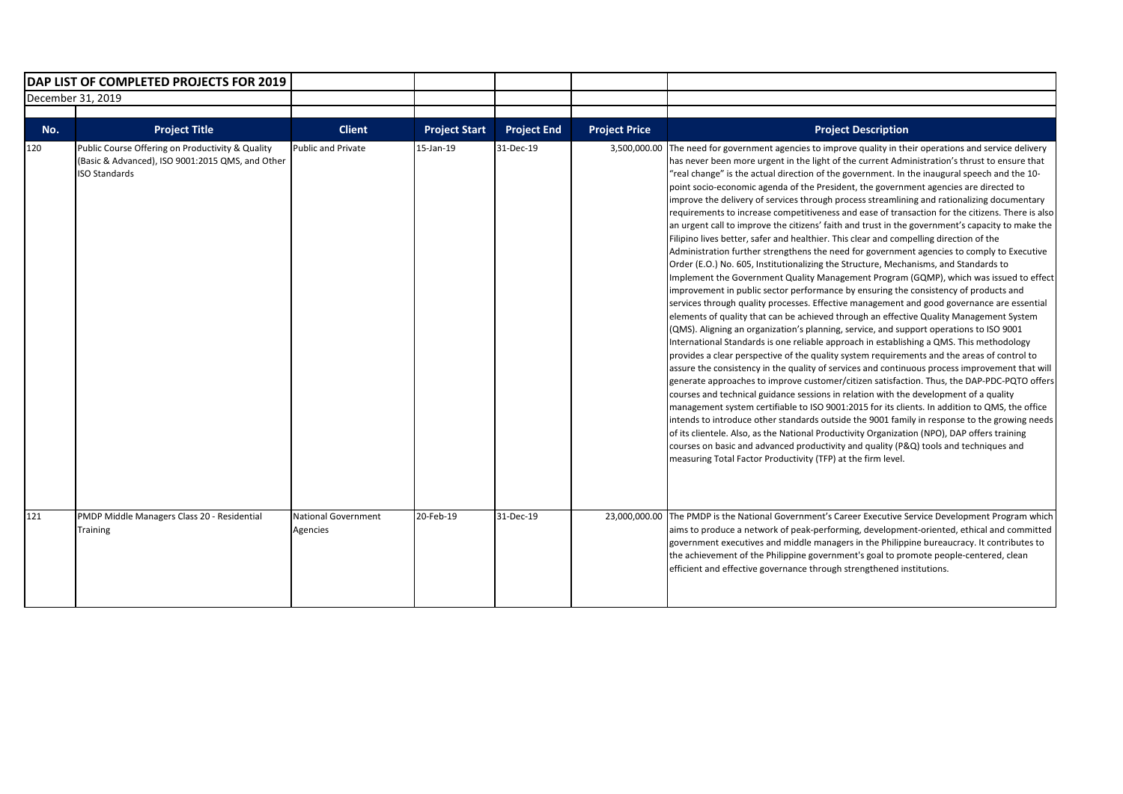| DAP LIST OF COMPLETED PROJECTS FOR 2019 |                                                                                                                              |                                        |                      |                    |                      |                                                                                                                                                                                                                                                                                                                                                                                                                                                                                                                                                                                                                                                                                                                                                                                                                                                                                                                                                                                                                                                                                                                                                                                                                                                                                                                                                                                                                                                                                                                                                                                                                                                                                                                                                                                                                                                                                                                                                                                                                                                                                                                                                                                                                                                                                                                                                                                                      |
|-----------------------------------------|------------------------------------------------------------------------------------------------------------------------------|----------------------------------------|----------------------|--------------------|----------------------|------------------------------------------------------------------------------------------------------------------------------------------------------------------------------------------------------------------------------------------------------------------------------------------------------------------------------------------------------------------------------------------------------------------------------------------------------------------------------------------------------------------------------------------------------------------------------------------------------------------------------------------------------------------------------------------------------------------------------------------------------------------------------------------------------------------------------------------------------------------------------------------------------------------------------------------------------------------------------------------------------------------------------------------------------------------------------------------------------------------------------------------------------------------------------------------------------------------------------------------------------------------------------------------------------------------------------------------------------------------------------------------------------------------------------------------------------------------------------------------------------------------------------------------------------------------------------------------------------------------------------------------------------------------------------------------------------------------------------------------------------------------------------------------------------------------------------------------------------------------------------------------------------------------------------------------------------------------------------------------------------------------------------------------------------------------------------------------------------------------------------------------------------------------------------------------------------------------------------------------------------------------------------------------------------------------------------------------------------------------------------------------------------|
| December 31, 2019                       |                                                                                                                              |                                        |                      |                    |                      |                                                                                                                                                                                                                                                                                                                                                                                                                                                                                                                                                                                                                                                                                                                                                                                                                                                                                                                                                                                                                                                                                                                                                                                                                                                                                                                                                                                                                                                                                                                                                                                                                                                                                                                                                                                                                                                                                                                                                                                                                                                                                                                                                                                                                                                                                                                                                                                                      |
| No.                                     | <b>Project Title</b>                                                                                                         | <b>Client</b>                          | <b>Project Start</b> | <b>Project End</b> | <b>Project Price</b> | <b>Project Description</b>                                                                                                                                                                                                                                                                                                                                                                                                                                                                                                                                                                                                                                                                                                                                                                                                                                                                                                                                                                                                                                                                                                                                                                                                                                                                                                                                                                                                                                                                                                                                                                                                                                                                                                                                                                                                                                                                                                                                                                                                                                                                                                                                                                                                                                                                                                                                                                           |
| 120                                     | Public Course Offering on Productivity & Quality<br>(Basic & Advanced), ISO 9001:2015 QMS, and Other<br><b>ISO Standards</b> | <b>Public and Private</b>              | 15-Jan-19            | 31-Dec-19          | 3,500,000.00         | The need for government agencies to improve quality in their operations and service delivery<br>has never been more urgent in the light of the current Administration's thrust to ensure that<br>"real change" is the actual direction of the government. In the inaugural speech and the 10-<br>point socio-economic agenda of the President, the government agencies are directed to<br>improve the delivery of services through process streamlining and rationalizing documentary<br>requirements to increase competitiveness and ease of transaction for the citizens. There is also<br>an urgent call to improve the citizens' faith and trust in the government's capacity to make the<br>Filipino lives better, safer and healthier. This clear and compelling direction of the<br>Administration further strengthens the need for government agencies to comply to Executive<br>Order (E.O.) No. 605, Institutionalizing the Structure, Mechanisms, and Standards to<br>Implement the Government Quality Management Program (GQMP), which was issued to effect<br>improvement in public sector performance by ensuring the consistency of products and<br>services through quality processes. Effective management and good governance are essential<br>elements of quality that can be achieved through an effective Quality Management System<br>(QMS). Aligning an organization's planning, service, and support operations to ISO 9001<br>International Standards is one reliable approach in establishing a QMS. This methodology<br>provides a clear perspective of the quality system requirements and the areas of control to<br>assure the consistency in the quality of services and continuous process improvement that will<br>generate approaches to improve customer/citizen satisfaction. Thus, the DAP-PDC-PQTO offers<br>courses and technical guidance sessions in relation with the development of a quality<br>management system certifiable to ISO 9001:2015 for its clients. In addition to QMS, the office<br>intends to introduce other standards outside the 9001 family in response to the growing needs<br>of its clientele. Also, as the National Productivity Organization (NPO), DAP offers training<br>courses on basic and advanced productivity and quality (P&Q) tools and techniques and<br>measuring Total Factor Productivity (TFP) at the firm level. |
| 121                                     | PMDP Middle Managers Class 20 - Residential<br>Training                                                                      | <b>National Government</b><br>Agencies | 20-Feb-19            | 31-Dec-19          | 23,000,000.00        | The PMDP is the National Government's Career Executive Service Development Program which<br>aims to produce a network of peak-performing, development-oriented, ethical and committed<br>government executives and middle managers in the Philippine bureaucracy. It contributes to<br>the achievement of the Philippine government's goal to promote people-centered, clean<br>efficient and effective governance through strengthened institutions.                                                                                                                                                                                                                                                                                                                                                                                                                                                                                                                                                                                                                                                                                                                                                                                                                                                                                                                                                                                                                                                                                                                                                                                                                                                                                                                                                                                                                                                                                                                                                                                                                                                                                                                                                                                                                                                                                                                                                |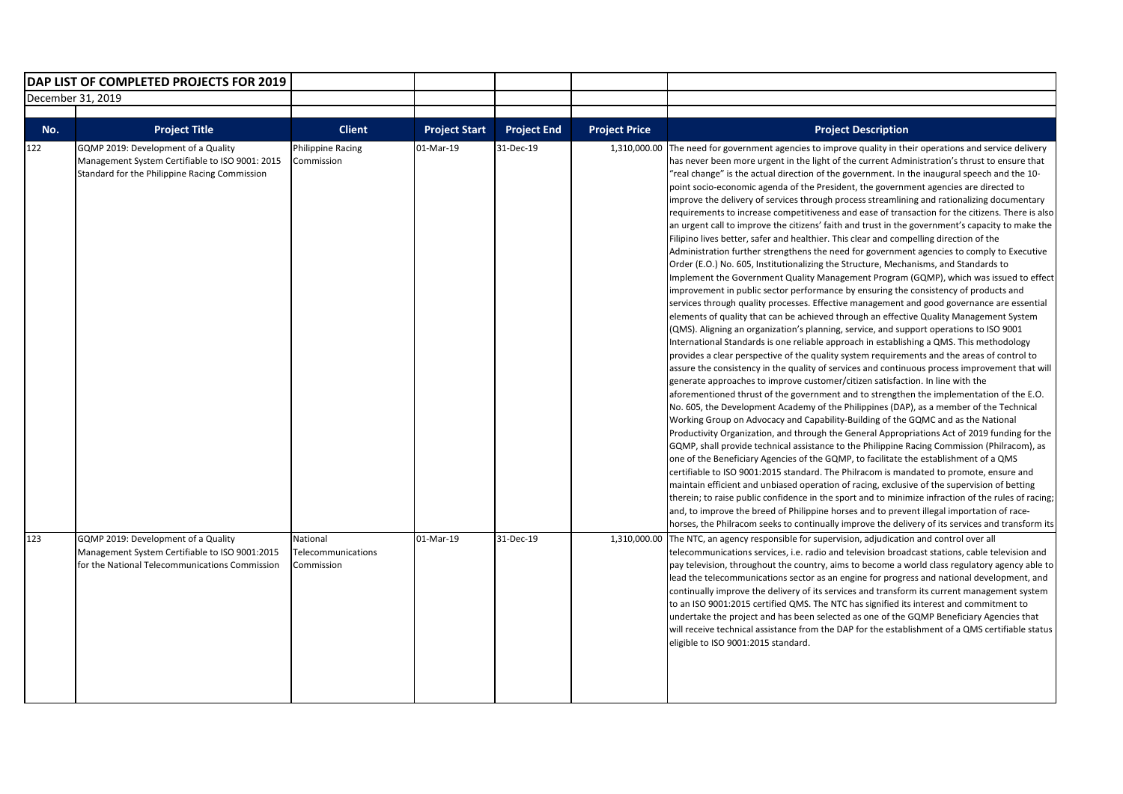|                   | DAP LIST OF COMPLETED PROJECTS FOR 2019                                                                                                 |                                              |                      |                    |                      |                                                                                                                                                                                                                                                                                                                                                                                                                                                                                                                                                                                                                                                                                                                                                                                                                                                                                                                                                                                                                                                                                                                                                                                                                                                                                                                                                                                                                                                                                                                                                                                                                                                                                                                                                                                                                                                                                                                                                                                                                                                                                                                                                                                                                                                                                                                                                                                                                                                                                                                                                                                                                                                                                                                                                                                                                                                                                                               |
|-------------------|-----------------------------------------------------------------------------------------------------------------------------------------|----------------------------------------------|----------------------|--------------------|----------------------|---------------------------------------------------------------------------------------------------------------------------------------------------------------------------------------------------------------------------------------------------------------------------------------------------------------------------------------------------------------------------------------------------------------------------------------------------------------------------------------------------------------------------------------------------------------------------------------------------------------------------------------------------------------------------------------------------------------------------------------------------------------------------------------------------------------------------------------------------------------------------------------------------------------------------------------------------------------------------------------------------------------------------------------------------------------------------------------------------------------------------------------------------------------------------------------------------------------------------------------------------------------------------------------------------------------------------------------------------------------------------------------------------------------------------------------------------------------------------------------------------------------------------------------------------------------------------------------------------------------------------------------------------------------------------------------------------------------------------------------------------------------------------------------------------------------------------------------------------------------------------------------------------------------------------------------------------------------------------------------------------------------------------------------------------------------------------------------------------------------------------------------------------------------------------------------------------------------------------------------------------------------------------------------------------------------------------------------------------------------------------------------------------------------------------------------------------------------------------------------------------------------------------------------------------------------------------------------------------------------------------------------------------------------------------------------------------------------------------------------------------------------------------------------------------------------------------------------------------------------------------------------------------------------|
| December 31, 2019 |                                                                                                                                         |                                              |                      |                    |                      |                                                                                                                                                                                                                                                                                                                                                                                                                                                                                                                                                                                                                                                                                                                                                                                                                                                                                                                                                                                                                                                                                                                                                                                                                                                                                                                                                                                                                                                                                                                                                                                                                                                                                                                                                                                                                                                                                                                                                                                                                                                                                                                                                                                                                                                                                                                                                                                                                                                                                                                                                                                                                                                                                                                                                                                                                                                                                                               |
|                   |                                                                                                                                         |                                              |                      |                    |                      |                                                                                                                                                                                                                                                                                                                                                                                                                                                                                                                                                                                                                                                                                                                                                                                                                                                                                                                                                                                                                                                                                                                                                                                                                                                                                                                                                                                                                                                                                                                                                                                                                                                                                                                                                                                                                                                                                                                                                                                                                                                                                                                                                                                                                                                                                                                                                                                                                                                                                                                                                                                                                                                                                                                                                                                                                                                                                                               |
| No.               | <b>Project Title</b>                                                                                                                    | <b>Client</b>                                | <b>Project Start</b> | <b>Project End</b> | <b>Project Price</b> | <b>Project Description</b>                                                                                                                                                                                                                                                                                                                                                                                                                                                                                                                                                                                                                                                                                                                                                                                                                                                                                                                                                                                                                                                                                                                                                                                                                                                                                                                                                                                                                                                                                                                                                                                                                                                                                                                                                                                                                                                                                                                                                                                                                                                                                                                                                                                                                                                                                                                                                                                                                                                                                                                                                                                                                                                                                                                                                                                                                                                                                    |
| 122               | GQMP 2019: Development of a Quality<br>Management System Certifiable to ISO 9001: 2015<br>Standard for the Philippine Racing Commission | Philippine Racing<br>Commission              | 01-Mar-19            | 31-Dec-19          | 1,310,000.00         | The need for government agencies to improve quality in their operations and service delivery<br>has never been more urgent in the light of the current Administration's thrust to ensure that<br>"real change" is the actual direction of the government. In the inaugural speech and the 10-<br>point socio-economic agenda of the President, the government agencies are directed to<br>improve the delivery of services through process streamlining and rationalizing documentary<br>requirements to increase competitiveness and ease of transaction for the citizens. There is also<br>an urgent call to improve the citizens' faith and trust in the government's capacity to make the<br>Filipino lives better, safer and healthier. This clear and compelling direction of the<br>Administration further strengthens the need for government agencies to comply to Executive<br>Order (E.O.) No. 605, Institutionalizing the Structure, Mechanisms, and Standards to<br>Implement the Government Quality Management Program (GQMP), which was issued to effect<br>improvement in public sector performance by ensuring the consistency of products and<br>services through quality processes. Effective management and good governance are essential<br>elements of quality that can be achieved through an effective Quality Management System<br>(QMS). Aligning an organization's planning, service, and support operations to ISO 9001<br>International Standards is one reliable approach in establishing a QMS. This methodology<br>provides a clear perspective of the quality system requirements and the areas of control to<br>assure the consistency in the quality of services and continuous process improvement that will<br>generate approaches to improve customer/citizen satisfaction. In line with the<br>aforementioned thrust of the government and to strengthen the implementation of the E.O.<br>No. 605, the Development Academy of the Philippines (DAP), as a member of the Technical<br>Working Group on Advocacy and Capability-Building of the GQMC and as the National<br>Productivity Organization, and through the General Appropriations Act of 2019 funding for the<br>GQMP, shall provide technical assistance to the Philippine Racing Commission (Philracom), as<br>one of the Beneficiary Agencies of the GQMP, to facilitate the establishment of a QMS<br>certifiable to ISO 9001:2015 standard. The Philracom is mandated to promote, ensure and<br>maintain efficient and unbiased operation of racing, exclusive of the supervision of betting<br>therein; to raise public confidence in the sport and to minimize infraction of the rules of racing;<br>and, to improve the breed of Philippine horses and to prevent illegal importation of race-<br>horses, the Philracom seeks to continually improve the delivery of its services and transform its |
| 123               | GQMP 2019: Development of a Quality<br>Management System Certifiable to ISO 9001:2015<br>for the National Telecommunications Commission | National<br>Telecommunications<br>Commission | 01-Mar-19            | 31-Dec-19          |                      | 1,310,000.00 The NTC, an agency responsible for supervision, adjudication and control over all<br>telecommunications services, i.e. radio and television broadcast stations, cable television and<br>pay television, throughout the country, aims to become a world class regulatory agency able to<br>lead the telecommunications sector as an engine for progress and national development, and<br>continually improve the delivery of its services and transform its current management system<br>to an ISO 9001:2015 certified QMS. The NTC has signified its interest and commitment to<br>undertake the project and has been selected as one of the GQMP Beneficiary Agencies that<br>will receive technical assistance from the DAP for the establishment of a QMS certifiable status<br>eligible to ISO 9001:2015 standard.                                                                                                                                                                                                                                                                                                                                                                                                                                                                                                                                                                                                                                                                                                                                                                                                                                                                                                                                                                                                                                                                                                                                                                                                                                                                                                                                                                                                                                                                                                                                                                                                                                                                                                                                                                                                                                                                                                                                                                                                                                                                           |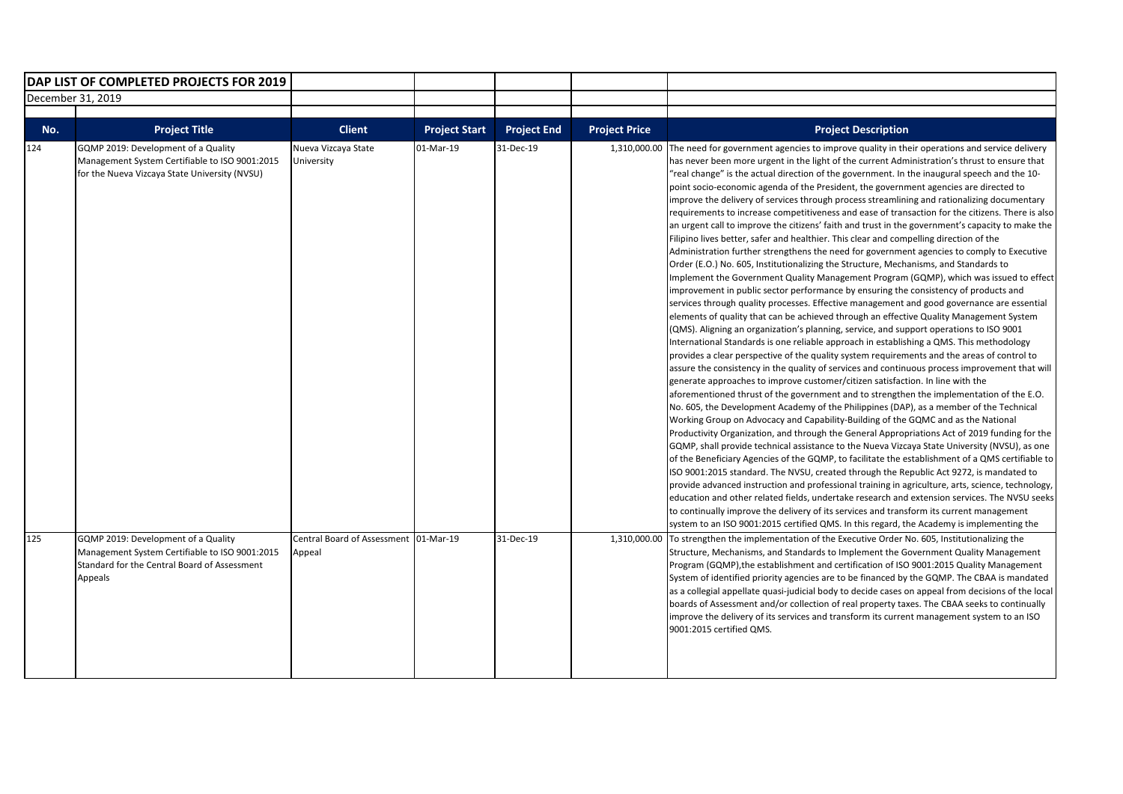| DAP LIST OF COMPLETED PROJECTS FOR 2019 |                                                                                                                                        |                                        |                      |                    |                      |                                                                                                                                                                                                                                                                                                                                                                                                                                                                                                                                                                                                                                                                                                                                                                                                                                                                                                                                                                                                                                                                                                                                                                                                                                                                                                                                                                                                                                                                                                                                                                                                                                                                                                                                                                                                                                                                                                                                                                                                                                                                                                                                                                                                                                                                                                                                                                                                                                                                                                                                                                                                                                                                                                                                                                                                                                                                                                                |
|-----------------------------------------|----------------------------------------------------------------------------------------------------------------------------------------|----------------------------------------|----------------------|--------------------|----------------------|----------------------------------------------------------------------------------------------------------------------------------------------------------------------------------------------------------------------------------------------------------------------------------------------------------------------------------------------------------------------------------------------------------------------------------------------------------------------------------------------------------------------------------------------------------------------------------------------------------------------------------------------------------------------------------------------------------------------------------------------------------------------------------------------------------------------------------------------------------------------------------------------------------------------------------------------------------------------------------------------------------------------------------------------------------------------------------------------------------------------------------------------------------------------------------------------------------------------------------------------------------------------------------------------------------------------------------------------------------------------------------------------------------------------------------------------------------------------------------------------------------------------------------------------------------------------------------------------------------------------------------------------------------------------------------------------------------------------------------------------------------------------------------------------------------------------------------------------------------------------------------------------------------------------------------------------------------------------------------------------------------------------------------------------------------------------------------------------------------------------------------------------------------------------------------------------------------------------------------------------------------------------------------------------------------------------------------------------------------------------------------------------------------------------------------------------------------------------------------------------------------------------------------------------------------------------------------------------------------------------------------------------------------------------------------------------------------------------------------------------------------------------------------------------------------------------------------------------------------------------------------------------------------------|
| December 31, 2019                       |                                                                                                                                        |                                        |                      |                    |                      |                                                                                                                                                                                                                                                                                                                                                                                                                                                                                                                                                                                                                                                                                                                                                                                                                                                                                                                                                                                                                                                                                                                                                                                                                                                                                                                                                                                                                                                                                                                                                                                                                                                                                                                                                                                                                                                                                                                                                                                                                                                                                                                                                                                                                                                                                                                                                                                                                                                                                                                                                                                                                                                                                                                                                                                                                                                                                                                |
|                                         |                                                                                                                                        |                                        |                      |                    |                      |                                                                                                                                                                                                                                                                                                                                                                                                                                                                                                                                                                                                                                                                                                                                                                                                                                                                                                                                                                                                                                                                                                                                                                                                                                                                                                                                                                                                                                                                                                                                                                                                                                                                                                                                                                                                                                                                                                                                                                                                                                                                                                                                                                                                                                                                                                                                                                                                                                                                                                                                                                                                                                                                                                                                                                                                                                                                                                                |
| No.                                     | <b>Project Title</b>                                                                                                                   | <b>Client</b>                          | <b>Project Start</b> | <b>Project End</b> | <b>Project Price</b> | <b>Project Description</b>                                                                                                                                                                                                                                                                                                                                                                                                                                                                                                                                                                                                                                                                                                                                                                                                                                                                                                                                                                                                                                                                                                                                                                                                                                                                                                                                                                                                                                                                                                                                                                                                                                                                                                                                                                                                                                                                                                                                                                                                                                                                                                                                                                                                                                                                                                                                                                                                                                                                                                                                                                                                                                                                                                                                                                                                                                                                                     |
| 124                                     | GQMP 2019: Development of a Quality<br>Management System Certifiable to ISO 9001:2015<br>for the Nueva Vizcaya State University (NVSU) | Nueva Vizcaya State<br>University      | 01-Mar-19            | 31-Dec-19          | 1,310,000.00         | The need for government agencies to improve quality in their operations and service delivery<br>has never been more urgent in the light of the current Administration's thrust to ensure that<br>"real change" is the actual direction of the government. In the inaugural speech and the 10-<br>point socio-economic agenda of the President, the government agencies are directed to<br>improve the delivery of services through process streamlining and rationalizing documentary<br>requirements to increase competitiveness and ease of transaction for the citizens. There is also<br>an urgent call to improve the citizens' faith and trust in the government's capacity to make the<br>Filipino lives better, safer and healthier. This clear and compelling direction of the<br>Administration further strengthens the need for government agencies to comply to Executive<br>Order (E.O.) No. 605, Institutionalizing the Structure, Mechanisms, and Standards to<br>Implement the Government Quality Management Program (GQMP), which was issued to effect<br>improvement in public sector performance by ensuring the consistency of products and<br>services through quality processes. Effective management and good governance are essential<br>elements of quality that can be achieved through an effective Quality Management System<br>(QMS). Aligning an organization's planning, service, and support operations to ISO 9001<br>International Standards is one reliable approach in establishing a QMS. This methodology<br>provides a clear perspective of the quality system requirements and the areas of control to<br>assure the consistency in the quality of services and continuous process improvement that will<br>generate approaches to improve customer/citizen satisfaction. In line with the<br>aforementioned thrust of the government and to strengthen the implementation of the E.O.<br>No. 605, the Development Academy of the Philippines (DAP), as a member of the Technical<br>Working Group on Advocacy and Capability-Building of the GQMC and as the National<br>Productivity Organization, and through the General Appropriations Act of 2019 funding for the<br>GQMP, shall provide technical assistance to the Nueva Vizcaya State University (NVSU), as one<br>of the Beneficiary Agencies of the GQMP, to facilitate the establishment of a QMS certifiable to<br>ISO 9001:2015 standard. The NVSU, created through the Republic Act 9272, is mandated to<br>provide advanced instruction and professional training in agriculture, arts, science, technology,<br>education and other related fields, undertake research and extension services. The NVSU seeks<br>to continually improve the delivery of its services and transform its current management<br>system to an ISO 9001:2015 certified QMS. In this regard, the Academy is implementing the |
| 125                                     | GQMP 2019: Development of a Quality                                                                                                    | Central Board of Assessment 101-Mar-19 |                      | 31-Dec-19          |                      | 1,310,000.00 To strengthen the implementation of the Executive Order No. 605, Institutionalizing the                                                                                                                                                                                                                                                                                                                                                                                                                                                                                                                                                                                                                                                                                                                                                                                                                                                                                                                                                                                                                                                                                                                                                                                                                                                                                                                                                                                                                                                                                                                                                                                                                                                                                                                                                                                                                                                                                                                                                                                                                                                                                                                                                                                                                                                                                                                                                                                                                                                                                                                                                                                                                                                                                                                                                                                                           |
|                                         | Management System Certifiable to ISO 9001:2015<br>Standard for the Central Board of Assessment<br>Appeals                              | Appeal                                 |                      |                    |                      | Structure, Mechanisms, and Standards to Implement the Government Quality Management<br>Program (GQMP), the establishment and certification of ISO 9001:2015 Quality Management<br>System of identified priority agencies are to be financed by the GQMP. The CBAA is mandated<br>as a collegial appellate quasi-judicial body to decide cases on appeal from decisions of the local<br>boards of Assessment and/or collection of real property taxes. The CBAA seeks to continually<br>improve the delivery of its services and transform its current management system to an ISO<br>9001:2015 certified QMS.                                                                                                                                                                                                                                                                                                                                                                                                                                                                                                                                                                                                                                                                                                                                                                                                                                                                                                                                                                                                                                                                                                                                                                                                                                                                                                                                                                                                                                                                                                                                                                                                                                                                                                                                                                                                                                                                                                                                                                                                                                                                                                                                                                                                                                                                                                  |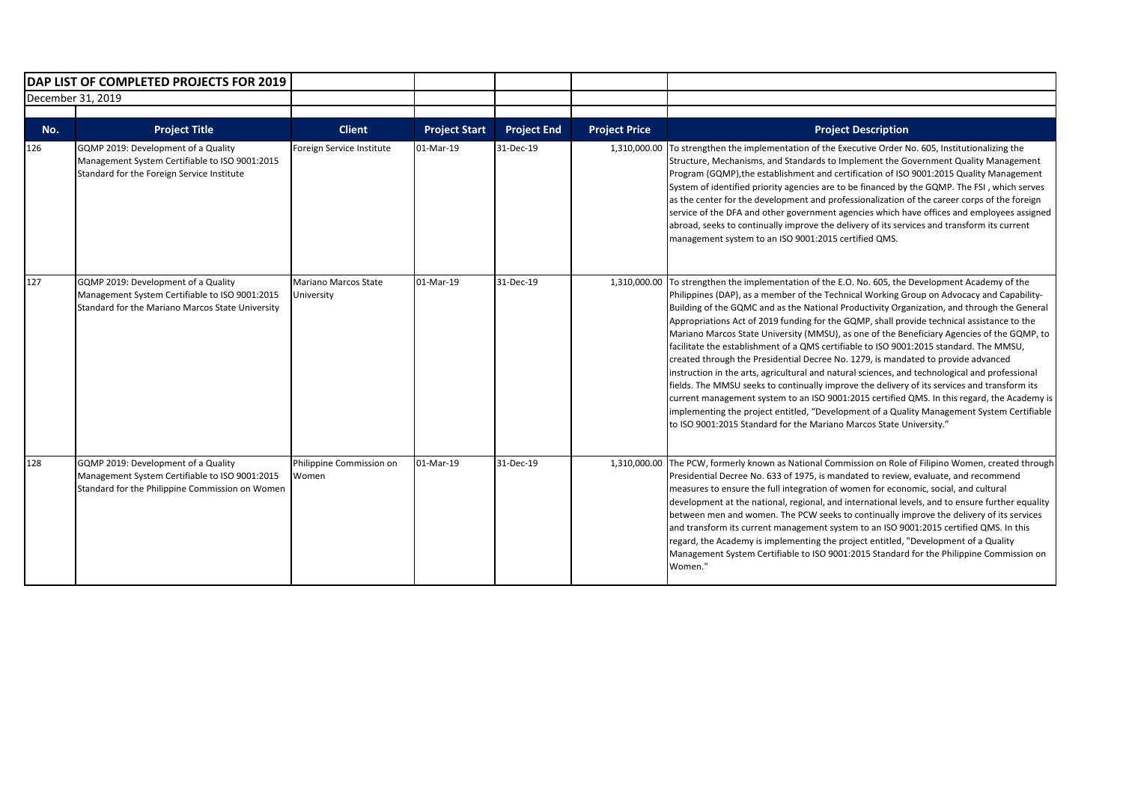|     | DAP LIST OF COMPLETED PROJECTS FOR 2019                                                                                                   |                                    |                      |                    |                      |                                                                                                                                                                                                                                                                                                                                                                                                                                                                                                                                                                                                                                                                                                                                                                                                                                                                                                                                                                                                                                                                                                                                   |
|-----|-------------------------------------------------------------------------------------------------------------------------------------------|------------------------------------|----------------------|--------------------|----------------------|-----------------------------------------------------------------------------------------------------------------------------------------------------------------------------------------------------------------------------------------------------------------------------------------------------------------------------------------------------------------------------------------------------------------------------------------------------------------------------------------------------------------------------------------------------------------------------------------------------------------------------------------------------------------------------------------------------------------------------------------------------------------------------------------------------------------------------------------------------------------------------------------------------------------------------------------------------------------------------------------------------------------------------------------------------------------------------------------------------------------------------------|
|     | December 31, 2019                                                                                                                         |                                    |                      |                    |                      |                                                                                                                                                                                                                                                                                                                                                                                                                                                                                                                                                                                                                                                                                                                                                                                                                                                                                                                                                                                                                                                                                                                                   |
| No. | <b>Project Title</b>                                                                                                                      | <b>Client</b>                      | <b>Project Start</b> | <b>Project End</b> | <b>Project Price</b> | <b>Project Description</b>                                                                                                                                                                                                                                                                                                                                                                                                                                                                                                                                                                                                                                                                                                                                                                                                                                                                                                                                                                                                                                                                                                        |
| 126 | GQMP 2019: Development of a Quality<br>Management System Certifiable to ISO 9001:2015<br>Standard for the Foreign Service Institute       | Foreign Service Institute          | 01-Mar-19            | 31-Dec-19          | 1,310,000.00         | To strengthen the implementation of the Executive Order No. 605, Institutionalizing the<br>Structure, Mechanisms, and Standards to Implement the Government Quality Management<br>Program (GQMP), the establishment and certification of ISO 9001:2015 Quality Management<br>System of identified priority agencies are to be financed by the GQMP. The FSI, which serves<br>as the center for the development and professionalization of the career corps of the foreign<br>service of the DFA and other government agencies which have offices and employees assigned<br>abroad, seeks to continually improve the delivery of its services and transform its current<br>management system to an ISO 9001:2015 certified QMS.                                                                                                                                                                                                                                                                                                                                                                                                    |
| 127 | GQMP 2019: Development of a Quality<br>Management System Certifiable to ISO 9001:2015<br>Standard for the Mariano Marcos State University | Mariano Marcos State<br>University | 01-Mar-19            | 31-Dec-19          | 1,310,000.00         | To strengthen the implementation of the E.O. No. 605, the Development Academy of the<br>Philippines (DAP), as a member of the Technical Working Group on Advocacy and Capability-<br>Building of the GQMC and as the National Productivity Organization, and through the General<br>Appropriations Act of 2019 funding for the GQMP, shall provide technical assistance to the<br>Mariano Marcos State University (MMSU), as one of the Beneficiary Agencies of the GQMP, to<br>facilitate the establishment of a QMS certifiable to ISO 9001:2015 standard. The MMSU,<br>created through the Presidential Decree No. 1279, is mandated to provide advanced<br>instruction in the arts, agricultural and natural sciences, and technological and professional<br>fields. The MMSU seeks to continually improve the delivery of its services and transform its<br>current management system to an ISO 9001:2015 certified QMS. In this regard, the Academy is<br>implementing the project entitled, "Development of a Quality Management System Certifiable<br>to ISO 9001:2015 Standard for the Mariano Marcos State University." |
| 128 | GQMP 2019: Development of a Quality<br>Management System Certifiable to ISO 9001:2015<br>Standard for the Philippine Commission on Women  | Philippine Commission on<br>Women  | 01-Mar-19            | 31-Dec-19          | 1,310,000.00         | The PCW, formerly known as National Commission on Role of Filipino Women, created through<br>Presidential Decree No. 633 of 1975, is mandated to review, evaluate, and recommend<br>measures to ensure the full integration of women for economic, social, and cultural<br>development at the national, regional, and international levels, and to ensure further equality<br>between men and women. The PCW seeks to continually improve the delivery of its services<br>and transform its current management system to an ISO 9001:2015 certified QMS. In this<br>regard, the Academy is implementing the project entitled, "Development of a Quality<br>Management System Certifiable to ISO 9001:2015 Standard for the Philippine Commission on<br>Women."                                                                                                                                                                                                                                                                                                                                                                    |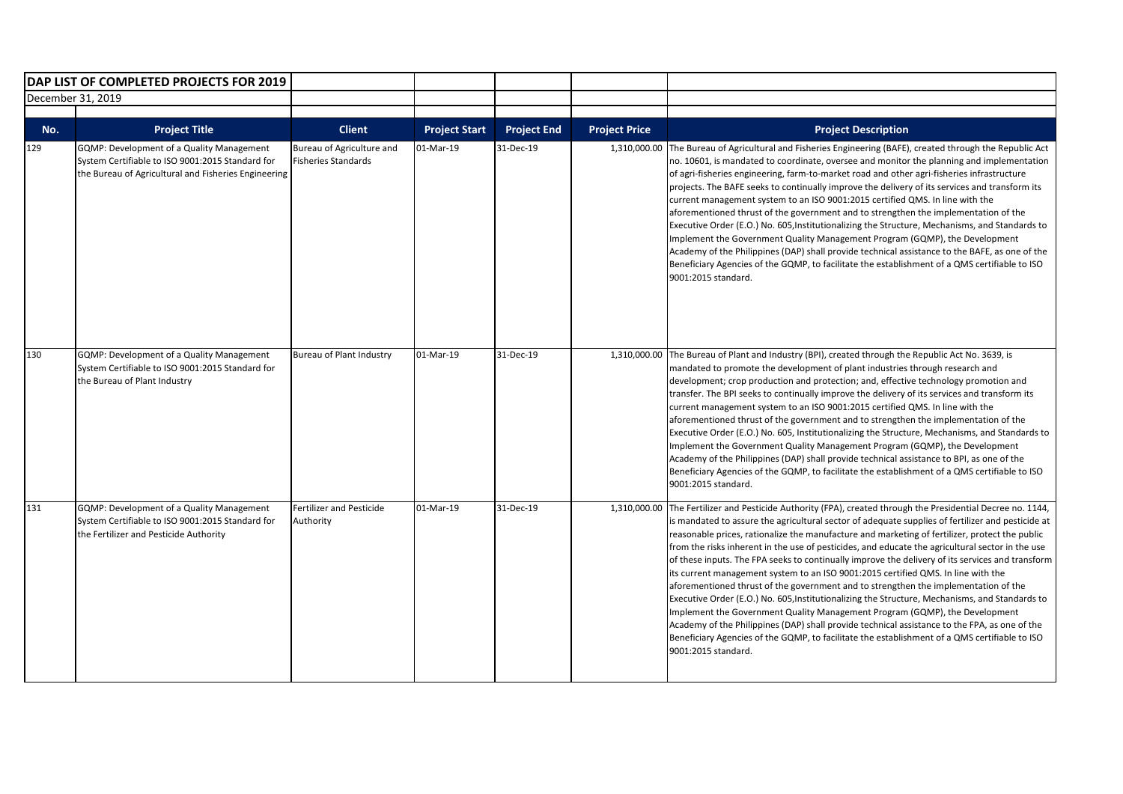|                   | DAP LIST OF COMPLETED PROJECTS FOR 2019                                                                                                               |                                                         |                      |                    |                      |                                                                                                                                                                                                                                                                                                                                                                                                                                                                                                                                                                                                                                                                                                                                                                                                                                                                                                                                                                                                                                                                                                      |
|-------------------|-------------------------------------------------------------------------------------------------------------------------------------------------------|---------------------------------------------------------|----------------------|--------------------|----------------------|------------------------------------------------------------------------------------------------------------------------------------------------------------------------------------------------------------------------------------------------------------------------------------------------------------------------------------------------------------------------------------------------------------------------------------------------------------------------------------------------------------------------------------------------------------------------------------------------------------------------------------------------------------------------------------------------------------------------------------------------------------------------------------------------------------------------------------------------------------------------------------------------------------------------------------------------------------------------------------------------------------------------------------------------------------------------------------------------------|
| December 31, 2019 |                                                                                                                                                       |                                                         |                      |                    |                      |                                                                                                                                                                                                                                                                                                                                                                                                                                                                                                                                                                                                                                                                                                                                                                                                                                                                                                                                                                                                                                                                                                      |
|                   |                                                                                                                                                       |                                                         |                      |                    |                      |                                                                                                                                                                                                                                                                                                                                                                                                                                                                                                                                                                                                                                                                                                                                                                                                                                                                                                                                                                                                                                                                                                      |
| No.               | <b>Project Title</b>                                                                                                                                  | <b>Client</b>                                           | <b>Project Start</b> | <b>Project End</b> | <b>Project Price</b> | <b>Project Description</b>                                                                                                                                                                                                                                                                                                                                                                                                                                                                                                                                                                                                                                                                                                                                                                                                                                                                                                                                                                                                                                                                           |
| 129               | GQMP: Development of a Quality Management<br>System Certifiable to ISO 9001:2015 Standard for<br>the Bureau of Agricultural and Fisheries Engineering | Bureau of Agriculture and<br><b>Fisheries Standards</b> | 01-Mar-19            | 31-Dec-19          | 1,310,000.00         | The Bureau of Agricultural and Fisheries Engineering (BAFE), created through the Republic Act<br>no. 10601, is mandated to coordinate, oversee and monitor the planning and implementation<br>of agri-fisheries engineering, farm-to-market road and other agri-fisheries infrastructure<br>projects. The BAFE seeks to continually improve the delivery of its services and transform its<br>current management system to an ISO 9001:2015 certified QMS. In line with the<br>aforementioned thrust of the government and to strengthen the implementation of the<br>Executive Order (E.O.) No. 605, Institutionalizing the Structure, Mechanisms, and Standards to<br>Implement the Government Quality Management Program (GQMP), the Development<br>Academy of the Philippines (DAP) shall provide technical assistance to the BAFE, as one of the<br>Beneficiary Agencies of the GQMP, to facilitate the establishment of a QMS certifiable to ISO<br>9001:2015 standard.                                                                                                                        |
| 130               | GQMP: Development of a Quality Management<br>System Certifiable to ISO 9001:2015 Standard for<br>the Bureau of Plant Industry                         | <b>Bureau of Plant Industry</b>                         | 01-Mar-19            | 31-Dec-19          |                      | 1,310,000.00 The Bureau of Plant and Industry (BPI), created through the Republic Act No. 3639, is<br>mandated to promote the development of plant industries through research and<br>development; crop production and protection; and, effective technology promotion and<br>transfer. The BPI seeks to continually improve the delivery of its services and transform its<br>current management system to an ISO 9001:2015 certified QMS. In line with the<br>aforementioned thrust of the government and to strengthen the implementation of the<br>Executive Order (E.O.) No. 605, Institutionalizing the Structure, Mechanisms, and Standards to<br>Implement the Government Quality Management Program (GQMP), the Development<br>Academy of the Philippines (DAP) shall provide technical assistance to BPI, as one of the<br>Beneficiary Agencies of the GQMP, to facilitate the establishment of a QMS certifiable to ISO<br>9001:2015 standard.                                                                                                                                            |
| 131               | GQMP: Development of a Quality Management<br>System Certifiable to ISO 9001:2015 Standard for<br>the Fertilizer and Pesticide Authority               | <b>Fertilizer and Pesticide</b><br>Authority            | 01-Mar-19            | 31-Dec-19          | 1,310,000.00         | The Fertilizer and Pesticide Authority (FPA), created through the Presidential Decree no. 1144,<br>is mandated to assure the agricultural sector of adequate supplies of fertilizer and pesticide at<br>reasonable prices, rationalize the manufacture and marketing of fertilizer, protect the public<br>from the risks inherent in the use of pesticides, and educate the agricultural sector in the use<br>of these inputs. The FPA seeks to continually improve the delivery of its services and transform<br>its current management system to an ISO 9001:2015 certified QMS. In line with the<br>aforementioned thrust of the government and to strengthen the implementation of the<br>Executive Order (E.O.) No. 605, Institutionalizing the Structure, Mechanisms, and Standards to<br>Implement the Government Quality Management Program (GQMP), the Development<br>Academy of the Philippines (DAP) shall provide technical assistance to the FPA, as one of the<br>Beneficiary Agencies of the GQMP, to facilitate the establishment of a QMS certifiable to ISO<br>9001:2015 standard. |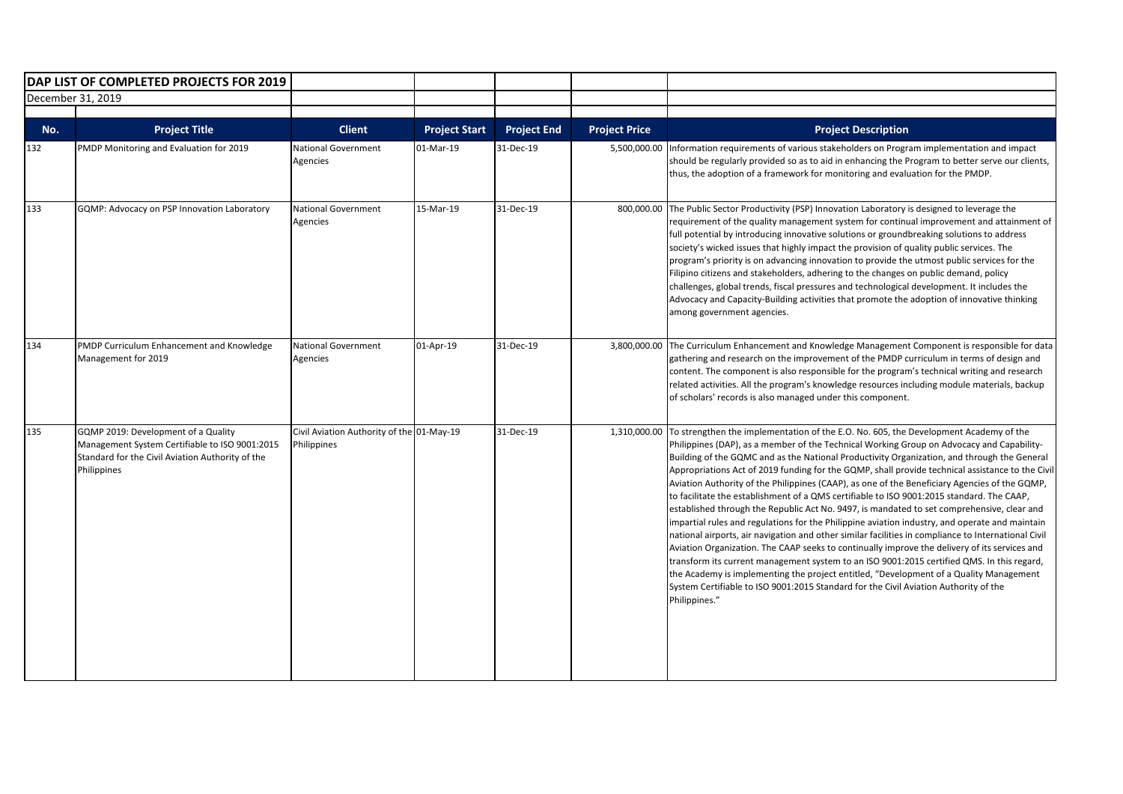|            | DAP LIST OF COMPLETED PROJECTS FOR 2019                                                                                                                  |                                                          |                                   |                                 |                                      |                                                                                                                                                                                                                                                                                                                                                                                                                                                                                                                                                                                                                                                                                                                                                                                                                                                                                                                                                                                                                                                                                                                                                                                                                                                                                             |
|------------|----------------------------------------------------------------------------------------------------------------------------------------------------------|----------------------------------------------------------|-----------------------------------|---------------------------------|--------------------------------------|---------------------------------------------------------------------------------------------------------------------------------------------------------------------------------------------------------------------------------------------------------------------------------------------------------------------------------------------------------------------------------------------------------------------------------------------------------------------------------------------------------------------------------------------------------------------------------------------------------------------------------------------------------------------------------------------------------------------------------------------------------------------------------------------------------------------------------------------------------------------------------------------------------------------------------------------------------------------------------------------------------------------------------------------------------------------------------------------------------------------------------------------------------------------------------------------------------------------------------------------------------------------------------------------|
|            | December 31, 2019                                                                                                                                        |                                                          |                                   |                                 |                                      |                                                                                                                                                                                                                                                                                                                                                                                                                                                                                                                                                                                                                                                                                                                                                                                                                                                                                                                                                                                                                                                                                                                                                                                                                                                                                             |
|            |                                                                                                                                                          |                                                          |                                   |                                 |                                      |                                                                                                                                                                                                                                                                                                                                                                                                                                                                                                                                                                                                                                                                                                                                                                                                                                                                                                                                                                                                                                                                                                                                                                                                                                                                                             |
| No.<br>132 | <b>Project Title</b><br>PMDP Monitoring and Evaluation for 2019                                                                                          | <b>Client</b><br><b>National Government</b><br>Agencies  | <b>Project Start</b><br>01-Mar-19 | <b>Project End</b><br>31-Dec-19 | <b>Project Price</b><br>5,500,000.00 | <b>Project Description</b><br>Information requirements of various stakeholders on Program implementation and impact<br>should be regularly provided so as to aid in enhancing the Program to better serve our clients,<br>thus, the adoption of a framework for monitoring and evaluation for the PMDP.                                                                                                                                                                                                                                                                                                                                                                                                                                                                                                                                                                                                                                                                                                                                                                                                                                                                                                                                                                                     |
| 133        | GQMP: Advocacy on PSP Innovation Laboratory                                                                                                              | <b>National Government</b><br>Agencies                   | 15-Mar-19                         | 31-Dec-19                       | 800,000.00                           | The Public Sector Productivity (PSP) Innovation Laboratory is designed to leverage the<br>requirement of the quality management system for continual improvement and attainment of<br>full potential by introducing innovative solutions or groundbreaking solutions to address<br>society's wicked issues that highly impact the provision of quality public services. The<br>program's priority is on advancing innovation to provide the utmost public services for the<br>Filipino citizens and stakeholders, adhering to the changes on public demand, policy<br>challenges, global trends, fiscal pressures and technological development. It includes the<br>Advocacy and Capacity-Building activities that promote the adoption of innovative thinking<br>among government agencies.                                                                                                                                                                                                                                                                                                                                                                                                                                                                                                |
| 134        | PMDP Curriculum Enhancement and Knowledge<br>Management for 2019                                                                                         | <b>National Government</b><br>Agencies                   | 01-Apr-19                         | 31-Dec-19                       |                                      | 3,800,000.00 The Curriculum Enhancement and Knowledge Management Component is responsible for data<br>gathering and research on the improvement of the PMDP curriculum in terms of design and<br>content. The component is also responsible for the program's technical writing and research<br>related activities. All the program's knowledge resources including module materials, backup<br>of scholars' records is also managed under this component.                                                                                                                                                                                                                                                                                                                                                                                                                                                                                                                                                                                                                                                                                                                                                                                                                                  |
| 135        | GQMP 2019: Development of a Quality<br>Management System Certifiable to ISO 9001:2015<br>Standard for the Civil Aviation Authority of the<br>Philippines | Civil Aviation Authority of the 01-May-19<br>Philippines |                                   | 31-Dec-19                       | 1,310,000.00                         | To strengthen the implementation of the E.O. No. 605, the Development Academy of the<br>Philippines (DAP), as a member of the Technical Working Group on Advocacy and Capability-<br>Building of the GQMC and as the National Productivity Organization, and through the General<br>Appropriations Act of 2019 funding for the GQMP, shall provide technical assistance to the Civil<br>Aviation Authority of the Philippines (CAAP), as one of the Beneficiary Agencies of the GQMP,<br>to facilitate the establishment of a QMS certifiable to ISO 9001:2015 standard. The CAAP,<br>established through the Republic Act No. 9497, is mandated to set comprehensive, clear and<br>impartial rules and regulations for the Philippine aviation industry, and operate and maintain<br>national airports, air navigation and other similar facilities in compliance to International Civil<br>Aviation Organization. The CAAP seeks to continually improve the delivery of its services and<br>transform its current management system to an ISO 9001:2015 certified QMS. In this regard,<br>the Academy is implementing the project entitled, "Development of a Quality Management<br>System Certifiable to ISO 9001:2015 Standard for the Civil Aviation Authority of the<br>Philippines." |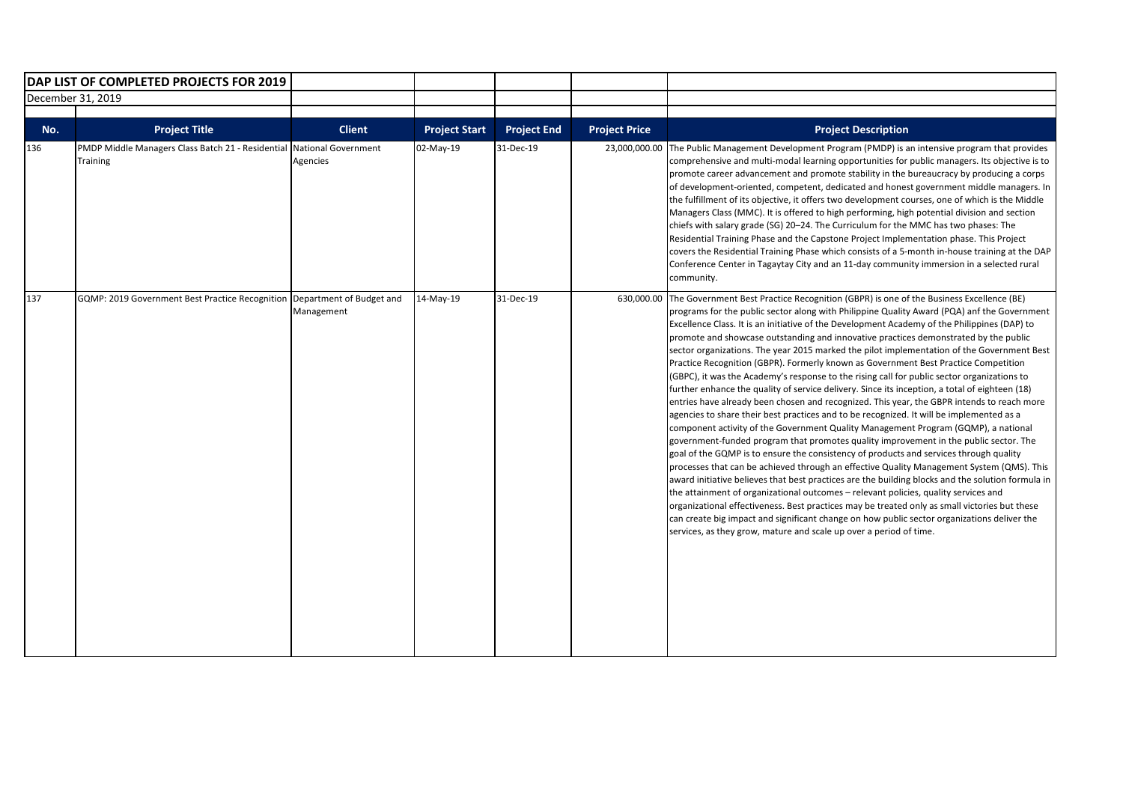|     | DAP LIST OF COMPLETED PROJECTS FOR 2019                                           |                                        |                      |                    |                      |                                                                                                                                                                                                                                                                                                                                                                                                                                                                                                                                                                                                                                                                                                                                                                                                                                                                                                                                                                                                                                                                                                                                                                                                                                                                                                                                                                                                                                                                                                                                                                                                                                                                                                                                                                                                       |
|-----|-----------------------------------------------------------------------------------|----------------------------------------|----------------------|--------------------|----------------------|-------------------------------------------------------------------------------------------------------------------------------------------------------------------------------------------------------------------------------------------------------------------------------------------------------------------------------------------------------------------------------------------------------------------------------------------------------------------------------------------------------------------------------------------------------------------------------------------------------------------------------------------------------------------------------------------------------------------------------------------------------------------------------------------------------------------------------------------------------------------------------------------------------------------------------------------------------------------------------------------------------------------------------------------------------------------------------------------------------------------------------------------------------------------------------------------------------------------------------------------------------------------------------------------------------------------------------------------------------------------------------------------------------------------------------------------------------------------------------------------------------------------------------------------------------------------------------------------------------------------------------------------------------------------------------------------------------------------------------------------------------------------------------------------------------|
|     | December 31, 2019                                                                 |                                        |                      |                    |                      |                                                                                                                                                                                                                                                                                                                                                                                                                                                                                                                                                                                                                                                                                                                                                                                                                                                                                                                                                                                                                                                                                                                                                                                                                                                                                                                                                                                                                                                                                                                                                                                                                                                                                                                                                                                                       |
| No. | <b>Project Title</b>                                                              | <b>Client</b>                          | <b>Project Start</b> | <b>Project End</b> | <b>Project Price</b> | <b>Project Description</b>                                                                                                                                                                                                                                                                                                                                                                                                                                                                                                                                                                                                                                                                                                                                                                                                                                                                                                                                                                                                                                                                                                                                                                                                                                                                                                                                                                                                                                                                                                                                                                                                                                                                                                                                                                            |
| 136 | PMDP Middle Managers Class Batch 21 - Residential National Government<br>Training | Agencies                               | 02-May-19            | 31-Dec-19          | 23,000,000.00        | The Public Management Development Program (PMDP) is an intensive program that provides<br>comprehensive and multi-modal learning opportunities for public managers. Its objective is to<br>promote career advancement and promote stability in the bureaucracy by producing a corps<br>of development-oriented, competent, dedicated and honest government middle managers. In<br>the fulfillment of its objective, it offers two development courses, one of which is the Middle<br>Managers Class (MMC). It is offered to high performing, high potential division and section<br>chiefs with salary grade (SG) 20–24. The Curriculum for the MMC has two phases: The<br>Residential Training Phase and the Capstone Project Implementation phase. This Project<br>covers the Residential Training Phase which consists of a 5-month in-house training at the DAP<br>Conference Center in Tagaytay City and an 11-day community immersion in a selected rural<br>community.                                                                                                                                                                                                                                                                                                                                                                                                                                                                                                                                                                                                                                                                                                                                                                                                                         |
| 137 | GQMP: 2019 Government Best Practice Recognition                                   | Department of Budget and<br>Management | 14-May-19            | 31-Dec-19          | 630.000.00           | The Government Best Practice Recognition (GBPR) is one of the Business Excellence (BE)<br>programs for the public sector along with Philippine Quality Award (PQA) anf the Government<br>Excellence Class. It is an initiative of the Development Academy of the Philippines (DAP) to<br>promote and showcase outstanding and innovative practices demonstrated by the public<br>sector organizations. The year 2015 marked the pilot implementation of the Government Best<br>Practice Recognition (GBPR). Formerly known as Government Best Practice Competition<br>(GBPC), it was the Academy's response to the rising call for public sector organizations to<br>further enhance the quality of service delivery. Since its inception, a total of eighteen (18)<br>entries have already been chosen and recognized. This year, the GBPR intends to reach more<br>agencies to share their best practices and to be recognized. It will be implemented as a<br>component activity of the Government Quality Management Program (GQMP), a national<br>government-funded program that promotes quality improvement in the public sector. The<br>goal of the GQMP is to ensure the consistency of products and services through quality<br>processes that can be achieved through an effective Quality Management System (QMS). This<br>award initiative believes that best practices are the building blocks and the solution formula in<br>the attainment of organizational outcomes - relevant policies, quality services and<br>organizational effectiveness. Best practices may be treated only as small victories but these<br>can create big impact and significant change on how public sector organizations deliver the<br>services, as they grow, mature and scale up over a period of time. |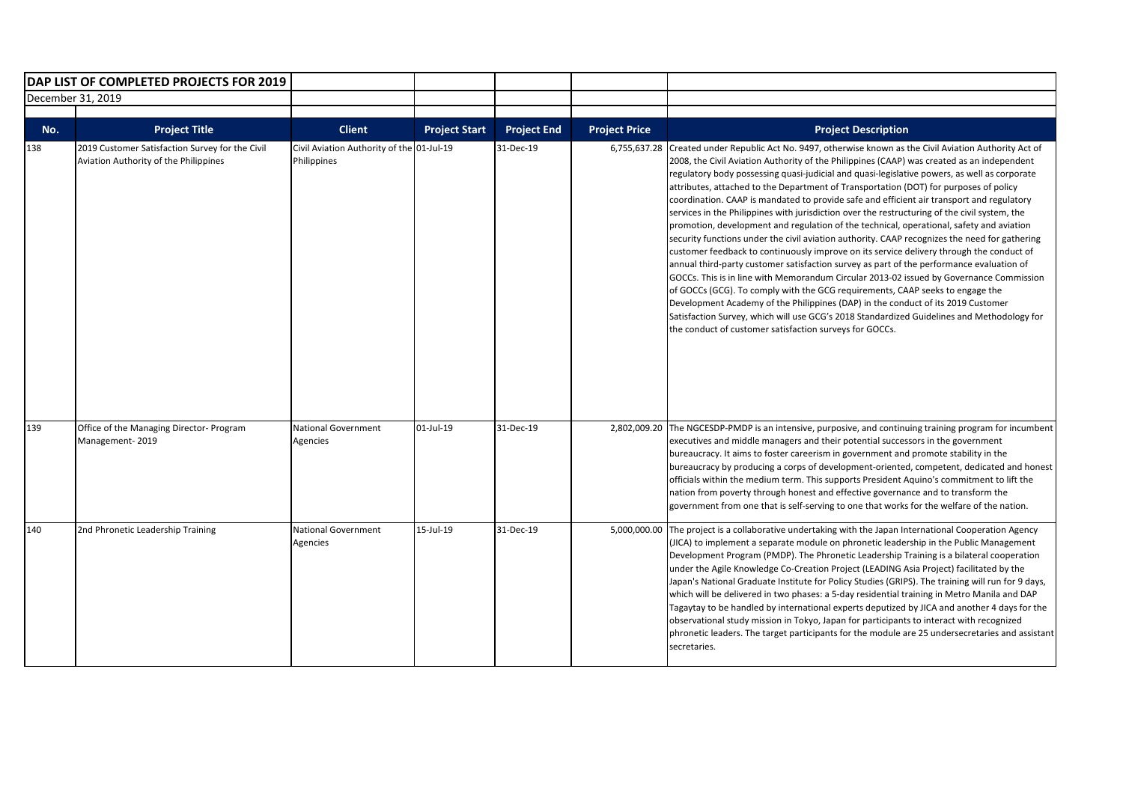|     | DAP LIST OF COMPLETED PROJECTS FOR 2019                                                  |                                                          |                      |                    |                      |                                                                                                                                                                                                                                                                                                                                                                                                                                                                                                                                                                                                                                                                                                                                                                                                                                                                                                                                                                                                                                                                                                                                                                                                                                                                                                                                                                                                |
|-----|------------------------------------------------------------------------------------------|----------------------------------------------------------|----------------------|--------------------|----------------------|------------------------------------------------------------------------------------------------------------------------------------------------------------------------------------------------------------------------------------------------------------------------------------------------------------------------------------------------------------------------------------------------------------------------------------------------------------------------------------------------------------------------------------------------------------------------------------------------------------------------------------------------------------------------------------------------------------------------------------------------------------------------------------------------------------------------------------------------------------------------------------------------------------------------------------------------------------------------------------------------------------------------------------------------------------------------------------------------------------------------------------------------------------------------------------------------------------------------------------------------------------------------------------------------------------------------------------------------------------------------------------------------|
|     | December 31, 2019                                                                        |                                                          |                      |                    |                      |                                                                                                                                                                                                                                                                                                                                                                                                                                                                                                                                                                                                                                                                                                                                                                                                                                                                                                                                                                                                                                                                                                                                                                                                                                                                                                                                                                                                |
|     |                                                                                          |                                                          |                      |                    |                      |                                                                                                                                                                                                                                                                                                                                                                                                                                                                                                                                                                                                                                                                                                                                                                                                                                                                                                                                                                                                                                                                                                                                                                                                                                                                                                                                                                                                |
| No. | <b>Project Title</b>                                                                     | <b>Client</b>                                            | <b>Project Start</b> | <b>Project End</b> | <b>Project Price</b> | <b>Project Description</b>                                                                                                                                                                                                                                                                                                                                                                                                                                                                                                                                                                                                                                                                                                                                                                                                                                                                                                                                                                                                                                                                                                                                                                                                                                                                                                                                                                     |
| 138 | 2019 Customer Satisfaction Survey for the Civil<br>Aviation Authority of the Philippines | Civil Aviation Authority of the 01-Jul-19<br>Philippines |                      | 31-Dec-19          | 6,755,637.28         | Created under Republic Act No. 9497, otherwise known as the Civil Aviation Authority Act of<br>2008, the Civil Aviation Authority of the Philippines (CAAP) was created as an independent<br>regulatory body possessing quasi-judicial and quasi-legislative powers, as well as corporate<br>attributes, attached to the Department of Transportation (DOT) for purposes of policy<br>coordination. CAAP is mandated to provide safe and efficient air transport and regulatory<br>services in the Philippines with jurisdiction over the restructuring of the civil system, the<br>promotion, development and regulation of the technical, operational, safety and aviation<br>security functions under the civil aviation authority. CAAP recognizes the need for gathering<br>customer feedback to continuously improve on its service delivery through the conduct of<br>annual third-party customer satisfaction survey as part of the performance evaluation of<br>GOCCs. This is in line with Memorandum Circular 2013-02 issued by Governance Commission<br>of GOCCs (GCG). To comply with the GCG requirements, CAAP seeks to engage the<br>Development Academy of the Philippines (DAP) in the conduct of its 2019 Customer<br>Satisfaction Survey, which will use GCG's 2018 Standardized Guidelines and Methodology for<br>the conduct of customer satisfaction surveys for GOCCs. |
| 139 | Office of the Managing Director- Program<br>Management-2019                              | <b>National Government</b><br>Agencies                   | 01-Jul-19            | 31-Dec-19          |                      | 2,802,009.20 The NGCESDP-PMDP is an intensive, purposive, and continuing training program for incumbent<br>executives and middle managers and their potential successors in the government<br>bureaucracy. It aims to foster careerism in government and promote stability in the<br>bureaucracy by producing a corps of development-oriented, competent, dedicated and honest<br>officials within the medium term. This supports President Aquino's commitment to lift the<br>nation from poverty through honest and effective governance and to transform the<br>government from one that is self-serving to one that works for the welfare of the nation.                                                                                                                                                                                                                                                                                                                                                                                                                                                                                                                                                                                                                                                                                                                                   |
| 140 | 2nd Phronetic Leadership Training                                                        | <b>National Government</b><br>Agencies                   | 15-Jul-19            | 31-Dec-19          | 5,000,000.00         | The project is a collaborative undertaking with the Japan International Cooperation Agency<br>(JICA) to implement a separate module on phronetic leadership in the Public Management<br>Development Program (PMDP). The Phronetic Leadership Training is a bilateral cooperation<br>under the Agile Knowledge Co-Creation Project (LEADING Asia Project) facilitated by the<br>Japan's National Graduate Institute for Policy Studies (GRIPS). The training will run for 9 days,<br>which will be delivered in two phases: a 5-day residential training in Metro Manila and DAP<br>Tagaytay to be handled by international experts deputized by JICA and another 4 days for the<br>observational study mission in Tokyo, Japan for participants to interact with recognized<br>phronetic leaders. The target participants for the module are 25 undersecretaries and assistant<br>secretaries.                                                                                                                                                                                                                                                                                                                                                                                                                                                                                                 |